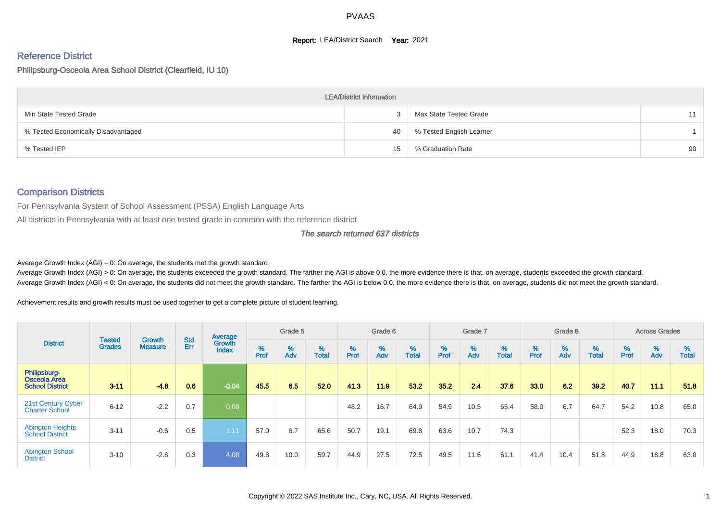#### **Report: LEA/District Search Year: 2021**

# Reference District

#### Philipsburg-Osceola Area School District (Clearfield, IU 10)

|                                     | <b>LEA/District Information</b> |                          |    |
|-------------------------------------|---------------------------------|--------------------------|----|
| Min State Tested Grade              |                                 | Max State Tested Grade   | 11 |
| % Tested Economically Disadvantaged | 40                              | % Tested English Learner |    |
| % Tested IEP                        | 15                              | % Graduation Rate        | 90 |

#### Comparison Districts

For Pennsylvania System of School Assessment (PSSA) English Language Arts

All districts in Pennsylvania with at least one tested grade in common with the reference district

#### The search returned 637 districts

Average Growth Index  $(AGI) = 0$ : On average, the students met the growth standard.

Average Growth Index (AGI) > 0: On average, the students exceeded the growth standard. The farther the AGI is above 0.0, the more evidence there is that, on average, students exceeded the growth standard. Average Growth Index (AGI) < 0: On average, the students did not meet the growth standard. The farther the AGI is below 0.0, the more evidence there is that, on average, students did not meet the growth standard.

Achievement results and growth results must be used together to get a complete picture of student learning.

|                                                               |                                |                                 |                   | Average                |           | Grade 5  |                   |           | Grade 6  |                   |           | Grade 7  |                   |           | Grade 8  |                   |           | <b>Across Grades</b> |                   |
|---------------------------------------------------------------|--------------------------------|---------------------------------|-------------------|------------------------|-----------|----------|-------------------|-----------|----------|-------------------|-----------|----------|-------------------|-----------|----------|-------------------|-----------|----------------------|-------------------|
| <b>District</b>                                               | <b>Tested</b><br><b>Grades</b> | <b>Growth</b><br><b>Measure</b> | <b>Std</b><br>Err | Growth<br><b>Index</b> | %<br>Prof | %<br>Adv | %<br><b>Total</b> | %<br>Prof | %<br>Adv | %<br><b>Total</b> | %<br>Prof | %<br>Adv | %<br><b>Total</b> | %<br>Prof | %<br>Adv | %<br><b>Total</b> | %<br>Prof | %<br>Adv             | %<br><b>Total</b> |
| Philipsburg-<br><b>Osceola Area</b><br><b>School District</b> | $3 - 11$                       | $-4.8$                          | 0.6               | $-0.04$                | 45.5      | 6.5      | 52.0              | 41.3      | 11.9     | 53.2              | 35.2      | 24       | 37.6              | 33.0      | 6.2      | 39.2              | 40.7      | 11.1                 | 51.8              |
| 21st Century Cyber<br><b>Charter School</b>                   | $6 - 12$                       | $-2.2$                          | 0.7               | 0.08                   |           |          |                   | 48.2      | 16.7     | 64.9              | 54.9      | 10.5     | 65.4              | 58.0      | 6.7      | 64.7              | 54.2      | 10.8                 | 65.0              |
| <b>Abington Heights</b><br><b>School District</b>             | $3 - 11$                       | $-0.6$                          | 0.5               | 1.11                   | 57.0      | 8.7      | 65.6              | 50.7      | 19.1     | 69.8              | 63.6      | 10.7     | 74.3              |           |          |                   | 52.3      | 18.0                 | 70.3              |
| <b>Abington School</b><br><b>District</b>                     | $3 - 10$                       | $-2.8$                          | 0.3               | 4.08                   | 49.8      | 10.0     | 59.7              | 44.9      | 27.5     | 72.5              | 49.5      | 11.6     | 61.1              | 41.4      | 10.4     | 51.8              | 44.9      | 18.8                 | 63.8              |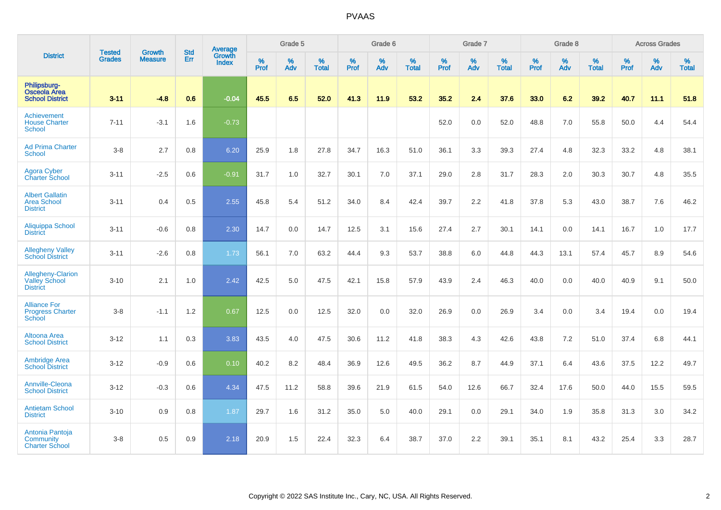|                                                                     |                                |                                 | <b>Std</b> | Average                       |              | Grade 5  |                   |           | Grade 6  |                   |           | Grade 7  |                   |           | Grade 8  |                   |           | <b>Across Grades</b> |                   |
|---------------------------------------------------------------------|--------------------------------|---------------------------------|------------|-------------------------------|--------------|----------|-------------------|-----------|----------|-------------------|-----------|----------|-------------------|-----------|----------|-------------------|-----------|----------------------|-------------------|
| <b>District</b>                                                     | <b>Tested</b><br><b>Grades</b> | <b>Growth</b><br><b>Measure</b> | Err        | <b>Growth</b><br><b>Index</b> | $\%$<br>Prof | %<br>Adv | %<br><b>Total</b> | %<br>Prof | %<br>Adv | %<br><b>Total</b> | %<br>Prof | %<br>Adv | %<br><b>Total</b> | %<br>Prof | %<br>Adv | %<br><b>Total</b> | %<br>Prof | %<br>Adv             | %<br><b>Total</b> |
| Philipsburg-<br><b>Osceola Area</b><br><b>School District</b>       | $3 - 11$                       | $-4.8$                          | 0.6        | $-0.04$                       | 45.5         | 6.5      | 52.0              | 41.3      | 11.9     | 53.2              | 35.2      | 2.4      | 37.6              | 33.0      | 6.2      | 39.2              | 40.7      | 11.1                 | 51.8              |
| Achievement<br><b>House Charter</b><br>School                       | $7 - 11$                       | $-3.1$                          | 1.6        | $-0.73$                       |              |          |                   |           |          |                   | 52.0      | 0.0      | 52.0              | 48.8      | 7.0      | 55.8              | 50.0      | 4.4                  | 54.4              |
| <b>Ad Prima Charter</b><br>School                                   | $3-8$                          | 2.7                             | 0.8        | 6.20                          | 25.9         | 1.8      | 27.8              | 34.7      | 16.3     | 51.0              | 36.1      | 3.3      | 39.3              | 27.4      | 4.8      | 32.3              | 33.2      | 4.8                  | 38.1              |
| <b>Agora Cyber</b><br><b>Charter School</b>                         | $3 - 11$                       | $-2.5$                          | 0.6        | $-0.91$                       | 31.7         | 1.0      | 32.7              | 30.1      | 7.0      | 37.1              | 29.0      | 2.8      | 31.7              | 28.3      | 2.0      | 30.3              | 30.7      | 4.8                  | 35.5              |
| <b>Albert Gallatin</b><br><b>Area School</b><br><b>District</b>     | $3 - 11$                       | 0.4                             | 0.5        | 2.55                          | 45.8         | 5.4      | 51.2              | 34.0      | 8.4      | 42.4              | 39.7      | 2.2      | 41.8              | 37.8      | 5.3      | 43.0              | 38.7      | 7.6                  | 46.2              |
| Aliquippa School<br><b>District</b>                                 | $3 - 11$                       | $-0.6$                          | 0.8        | 2.30                          | 14.7         | 0.0      | 14.7              | 12.5      | 3.1      | 15.6              | 27.4      | 2.7      | 30.1              | 14.1      | 0.0      | 14.1              | 16.7      | 1.0                  | 17.7              |
| <b>Allegheny Valley</b><br><b>School District</b>                   | $3 - 11$                       | $-2.6$                          | 0.8        | 1.73                          | 56.1         | 7.0      | 63.2              | 44.4      | 9.3      | 53.7              | 38.8      | 6.0      | 44.8              | 44.3      | 13.1     | 57.4              | 45.7      | 8.9                  | 54.6              |
| <b>Allegheny-Clarion</b><br><b>Valley School</b><br><b>District</b> | $3 - 10$                       | 2.1                             | 1.0        | 2.42                          | 42.5         | 5.0      | 47.5              | 42.1      | 15.8     | 57.9              | 43.9      | 2.4      | 46.3              | 40.0      | 0.0      | 40.0              | 40.9      | 9.1                  | 50.0              |
| <b>Alliance For</b><br><b>Progress Charter</b><br>School            | $3-8$                          | $-1.1$                          | 1.2        | 0.67                          | 12.5         | 0.0      | 12.5              | 32.0      | 0.0      | 32.0              | 26.9      | 0.0      | 26.9              | 3.4       | 0.0      | 3.4               | 19.4      | 0.0                  | 19.4              |
| Altoona Area<br><b>School District</b>                              | $3 - 12$                       | 1.1                             | 0.3        | 3.83                          | 43.5         | 4.0      | 47.5              | 30.6      | 11.2     | 41.8              | 38.3      | 4.3      | 42.6              | 43.8      | $7.2\,$  | 51.0              | 37.4      | 6.8                  | 44.1              |
| <b>Ambridge Area</b><br><b>School District</b>                      | $3 - 12$                       | $-0.9$                          | 0.6        | 0.10                          | 40.2         | 8.2      | 48.4              | 36.9      | 12.6     | 49.5              | 36.2      | 8.7      | 44.9              | 37.1      | 6.4      | 43.6              | 37.5      | 12.2                 | 49.7              |
| Annville-Cleona<br><b>School District</b>                           | $3 - 12$                       | $-0.3$                          | 0.6        | 4.34                          | 47.5         | 11.2     | 58.8              | 39.6      | 21.9     | 61.5              | 54.0      | 12.6     | 66.7              | 32.4      | 17.6     | 50.0              | 44.0      | 15.5                 | 59.5              |
| <b>Antietam School</b><br><b>District</b>                           | $3 - 10$                       | 0.9                             | 0.8        | 1.87                          | 29.7         | 1.6      | 31.2              | 35.0      | 5.0      | 40.0              | 29.1      | 0.0      | 29.1              | 34.0      | 1.9      | 35.8              | 31.3      | 3.0                  | 34.2              |
| Antonia Pantoja<br>Community<br><b>Charter School</b>               | $3-8$                          | 0.5                             | 0.9        | 2.18                          | 20.9         | 1.5      | 22.4              | 32.3      | 6.4      | 38.7              | 37.0      | 2.2      | 39.1              | 35.1      | 8.1      | 43.2              | 25.4      | 3.3                  | 28.7              |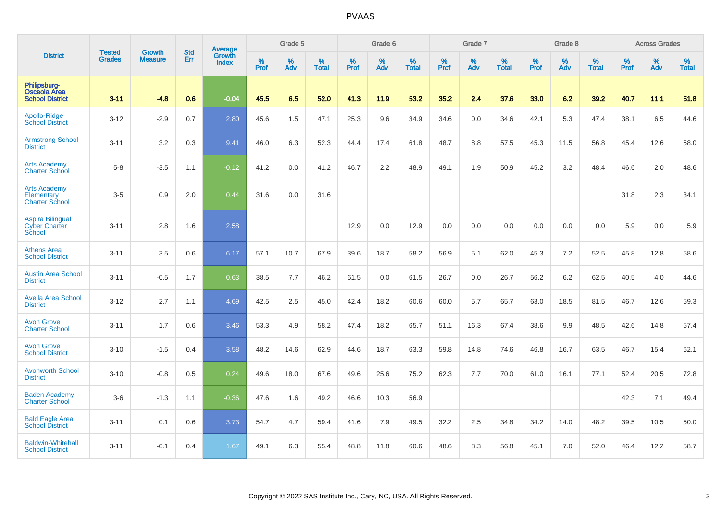|                                                               | <b>Tested</b> | <b>Growth</b>  | <b>Std</b> | Average                       |           | Grade 5  |                   |           | Grade 6  |                   |           | Grade 7  |                   |           | Grade 8  |                   |           | <b>Across Grades</b> |                   |
|---------------------------------------------------------------|---------------|----------------|------------|-------------------------------|-----------|----------|-------------------|-----------|----------|-------------------|-----------|----------|-------------------|-----------|----------|-------------------|-----------|----------------------|-------------------|
| <b>District</b>                                               | <b>Grades</b> | <b>Measure</b> | Err        | <b>Growth</b><br><b>Index</b> | %<br>Prof | %<br>Adv | %<br><b>Total</b> | %<br>Prof | %<br>Adv | %<br><b>Total</b> | %<br>Prof | %<br>Adv | %<br><b>Total</b> | %<br>Prof | %<br>Adv | %<br><b>Total</b> | %<br>Prof | %<br>Adv             | %<br><b>Total</b> |
| Philipsburg-<br><b>Osceola Area</b><br><b>School District</b> | $3 - 11$      | $-4.8$         | 0.6        | $-0.04$                       | 45.5      | 6.5      | 52.0              | 41.3      | 11.9     | 53.2              | 35.2      | 2.4      | 37.6              | 33.0      | 6.2      | 39.2              | 40.7      | 11.1                 | 51.8              |
| Apollo-Ridge<br><b>School District</b>                        | $3 - 12$      | $-2.9$         | 0.7        | 2.80                          | 45.6      | 1.5      | 47.1              | 25.3      | 9.6      | 34.9              | 34.6      | 0.0      | 34.6              | 42.1      | 5.3      | 47.4              | 38.1      | 6.5                  | 44.6              |
| <b>Armstrong School</b><br><b>District</b>                    | $3 - 11$      | 3.2            | 0.3        | 9.41                          | 46.0      | 6.3      | 52.3              | 44.4      | 17.4     | 61.8              | 48.7      | 8.8      | 57.5              | 45.3      | 11.5     | 56.8              | 45.4      | 12.6                 | 58.0              |
| <b>Arts Academy</b><br><b>Charter School</b>                  | $5-8$         | $-3.5$         | 1.1        | $-0.12$                       | 41.2      | 0.0      | 41.2              | 46.7      | 2.2      | 48.9              | 49.1      | 1.9      | 50.9              | 45.2      | 3.2      | 48.4              | 46.6      | 2.0                  | 48.6              |
| <b>Arts Academy</b><br>Elementary<br><b>Charter School</b>    | $3-5$         | 0.9            | 2.0        | 0.44                          | 31.6      | 0.0      | 31.6              |           |          |                   |           |          |                   |           |          |                   | 31.8      | 2.3                  | 34.1              |
| <b>Aspira Bilingual</b><br><b>Cyber Charter</b><br>School     | $3 - 11$      | 2.8            | 1.6        | 2.58                          |           |          |                   | 12.9      | 0.0      | 12.9              | 0.0       | 0.0      | 0.0               | 0.0       | 0.0      | 0.0               | 5.9       | 0.0                  | 5.9               |
| <b>Athens Area</b><br><b>School District</b>                  | $3 - 11$      | 3.5            | 0.6        | 6.17                          | 57.1      | 10.7     | 67.9              | 39.6      | 18.7     | 58.2              | 56.9      | 5.1      | 62.0              | 45.3      | 7.2      | 52.5              | 45.8      | 12.8                 | 58.6              |
| <b>Austin Area School</b><br><b>District</b>                  | $3 - 11$      | $-0.5$         | 1.7        | 0.63                          | 38.5      | 7.7      | 46.2              | 61.5      | 0.0      | 61.5              | 26.7      | 0.0      | 26.7              | 56.2      | 6.2      | 62.5              | 40.5      | 4.0                  | 44.6              |
| <b>Avella Area School</b><br><b>District</b>                  | $3 - 12$      | 2.7            | 1.1        | 4.69                          | 42.5      | 2.5      | 45.0              | 42.4      | 18.2     | 60.6              | 60.0      | 5.7      | 65.7              | 63.0      | 18.5     | 81.5              | 46.7      | 12.6                 | 59.3              |
| <b>Avon Grove</b><br><b>Charter School</b>                    | $3 - 11$      | 1.7            | 0.6        | 3.46                          | 53.3      | 4.9      | 58.2              | 47.4      | 18.2     | 65.7              | 51.1      | 16.3     | 67.4              | 38.6      | 9.9      | 48.5              | 42.6      | 14.8                 | 57.4              |
| <b>Avon Grove</b><br><b>School District</b>                   | $3 - 10$      | $-1.5$         | 0.4        | 3.58                          | 48.2      | 14.6     | 62.9              | 44.6      | 18.7     | 63.3              | 59.8      | 14.8     | 74.6              | 46.8      | 16.7     | 63.5              | 46.7      | 15.4                 | 62.1              |
| <b>Avonworth School</b><br><b>District</b>                    | $3 - 10$      | $-0.8$         | 0.5        | 0.24                          | 49.6      | 18.0     | 67.6              | 49.6      | 25.6     | 75.2              | 62.3      | 7.7      | 70.0              | 61.0      | 16.1     | 77.1              | 52.4      | 20.5                 | 72.8              |
| <b>Baden Academy</b><br><b>Charter School</b>                 | $3-6$         | $-1.3$         | 1.1        | $-0.36$                       | 47.6      | 1.6      | 49.2              | 46.6      | 10.3     | 56.9              |           |          |                   |           |          |                   | 42.3      | 7.1                  | 49.4              |
| <b>Bald Eagle Area</b><br><b>School District</b>              | $3 - 11$      | 0.1            | 0.6        | 3.73                          | 54.7      | 4.7      | 59.4              | 41.6      | 7.9      | 49.5              | 32.2      | 2.5      | 34.8              | 34.2      | 14.0     | 48.2              | 39.5      | 10.5                 | 50.0              |
| <b>Baldwin-Whitehall</b><br><b>School District</b>            | $3 - 11$      | $-0.1$         | 0.4        | 1.67                          | 49.1      | 6.3      | 55.4              | 48.8      | 11.8     | 60.6              | 48.6      | 8.3      | 56.8              | 45.1      | 7.0      | 52.0              | 46.4      | 12.2                 | 58.7              |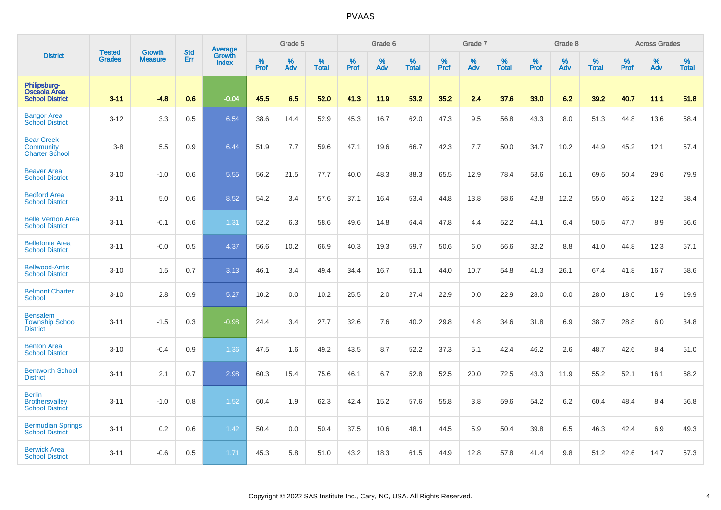|                                                                  | <b>Tested</b> | <b>Growth</b>  | <b>Std</b> | Average                |              | Grade 5  |                   |                  | Grade 6  |                   |                  | Grade 7  |                   |           | Grade 8  |                   |              | <b>Across Grades</b> |                   |
|------------------------------------------------------------------|---------------|----------------|------------|------------------------|--------------|----------|-------------------|------------------|----------|-------------------|------------------|----------|-------------------|-----------|----------|-------------------|--------------|----------------------|-------------------|
| <b>District</b>                                                  | <b>Grades</b> | <b>Measure</b> | Err        | Growth<br><b>Index</b> | $\%$<br>Prof | %<br>Adv | %<br><b>Total</b> | %<br><b>Prof</b> | %<br>Adv | %<br><b>Total</b> | %<br><b>Prof</b> | %<br>Adv | %<br><b>Total</b> | %<br>Prof | %<br>Adv | %<br><b>Total</b> | $\%$<br>Prof | %<br>Adv             | %<br><b>Total</b> |
| Philipsburg-<br><b>Osceola Area</b><br><b>School District</b>    | $3 - 11$      | $-4.8$         | 0.6        | $-0.04$                | 45.5         | 6.5      | 52.0              | 41.3             | 11.9     | 53.2              | 35.2             | 2.4      | 37.6              | 33.0      | 6.2      | 39.2              | 40.7         | 11.1                 | 51.8              |
| <b>Bangor Area</b><br><b>School District</b>                     | $3 - 12$      | 3.3            | 0.5        | 6.54                   | 38.6         | 14.4     | 52.9              | 45.3             | 16.7     | 62.0              | 47.3             | 9.5      | 56.8              | 43.3      | 8.0      | 51.3              | 44.8         | 13.6                 | 58.4              |
| <b>Bear Creek</b><br>Community<br><b>Charter School</b>          | $3 - 8$       | 5.5            | 0.9        | 6.44                   | 51.9         | 7.7      | 59.6              | 47.1             | 19.6     | 66.7              | 42.3             | 7.7      | 50.0              | 34.7      | 10.2     | 44.9              | 45.2         | 12.1                 | 57.4              |
| <b>Beaver Area</b><br><b>School District</b>                     | $3 - 10$      | $-1.0$         | 0.6        | 5.55                   | 56.2         | 21.5     | 77.7              | 40.0             | 48.3     | 88.3              | 65.5             | 12.9     | 78.4              | 53.6      | 16.1     | 69.6              | 50.4         | 29.6                 | 79.9              |
| <b>Bedford Area</b><br><b>School District</b>                    | $3 - 11$      | 5.0            | 0.6        | 8.52                   | 54.2         | 3.4      | 57.6              | 37.1             | 16.4     | 53.4              | 44.8             | 13.8     | 58.6              | 42.8      | 12.2     | 55.0              | 46.2         | 12.2                 | 58.4              |
| <b>Belle Vernon Area</b><br><b>School District</b>               | $3 - 11$      | $-0.1$         | 0.6        | 1.31                   | 52.2         | 6.3      | 58.6              | 49.6             | 14.8     | 64.4              | 47.8             | 4.4      | 52.2              | 44.1      | 6.4      | 50.5              | 47.7         | 8.9                  | 56.6              |
| <b>Bellefonte Area</b><br><b>School District</b>                 | $3 - 11$      | $-0.0$         | 0.5        | 4.37                   | 56.6         | 10.2     | 66.9              | 40.3             | 19.3     | 59.7              | 50.6             | 6.0      | 56.6              | 32.2      | 8.8      | 41.0              | 44.8         | 12.3                 | 57.1              |
| <b>Bellwood-Antis</b><br><b>School District</b>                  | $3 - 10$      | 1.5            | 0.7        | 3.13                   | 46.1         | 3.4      | 49.4              | 34.4             | 16.7     | 51.1              | 44.0             | 10.7     | 54.8              | 41.3      | 26.1     | 67.4              | 41.8         | 16.7                 | 58.6              |
| <b>Belmont Charter</b><br><b>School</b>                          | $3 - 10$      | 2.8            | 0.9        | 5.27                   | 10.2         | 0.0      | 10.2              | 25.5             | 2.0      | 27.4              | 22.9             | 0.0      | 22.9              | 28.0      | 0.0      | 28.0              | 18.0         | 1.9                  | 19.9              |
| <b>Bensalem</b><br><b>Township School</b><br><b>District</b>     | $3 - 11$      | $-1.5$         | 0.3        | $-0.98$                | 24.4         | 3.4      | 27.7              | 32.6             | 7.6      | 40.2              | 29.8             | 4.8      | 34.6              | 31.8      | 6.9      | 38.7              | 28.8         | 6.0                  | 34.8              |
| <b>Benton Area</b><br><b>School District</b>                     | $3 - 10$      | $-0.4$         | 0.9        | 1.36                   | 47.5         | 1.6      | 49.2              | 43.5             | 8.7      | 52.2              | 37.3             | 5.1      | 42.4              | 46.2      | 2.6      | 48.7              | 42.6         | 8.4                  | 51.0              |
| <b>Bentworth School</b><br><b>District</b>                       | $3 - 11$      | 2.1            | 0.7        | 2.98                   | 60.3         | 15.4     | 75.6              | 46.1             | 6.7      | 52.8              | 52.5             | 20.0     | 72.5              | 43.3      | 11.9     | 55.2              | 52.1         | 16.1                 | 68.2              |
| <b>Berlin</b><br><b>Brothersvalley</b><br><b>School District</b> | $3 - 11$      | $-1.0$         | 0.8        | 1.52                   | 60.4         | 1.9      | 62.3              | 42.4             | 15.2     | 57.6              | 55.8             | 3.8      | 59.6              | 54.2      | 6.2      | 60.4              | 48.4         | 8.4                  | 56.8              |
| <b>Bermudian Springs</b><br><b>School District</b>               | $3 - 11$      | 0.2            | 0.6        | 1.42                   | 50.4         | 0.0      | 50.4              | 37.5             | 10.6     | 48.1              | 44.5             | 5.9      | 50.4              | 39.8      | 6.5      | 46.3              | 42.4         | 6.9                  | 49.3              |
| <b>Berwick Area</b><br><b>School District</b>                    | $3 - 11$      | $-0.6$         | 0.5        | 1.71                   | 45.3         | 5.8      | 51.0              | 43.2             | 18.3     | 61.5              | 44.9             | 12.8     | 57.8              | 41.4      | 9.8      | 51.2              | 42.6         | 14.7                 | 57.3              |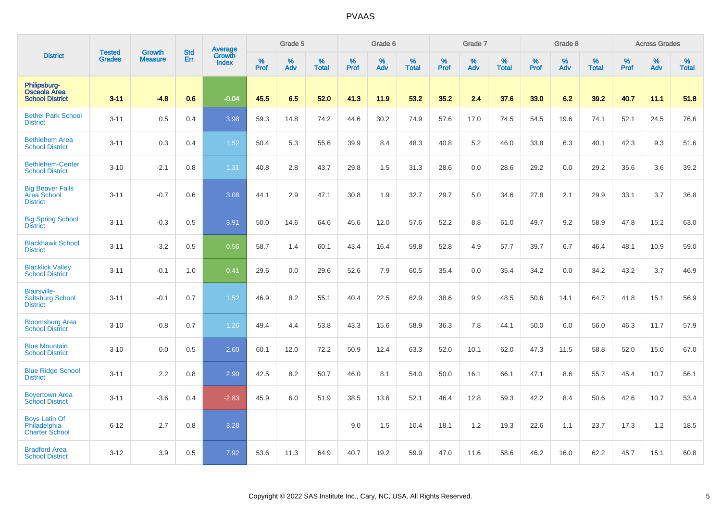|                                                                   |                                | <b>Growth</b>  | <b>Std</b> | Average                |                     | Grade 5  |                   |                  | Grade 6  |                   |                  | Grade 7  |                   |           | Grade 8  |                   |              | <b>Across Grades</b> |                   |
|-------------------------------------------------------------------|--------------------------------|----------------|------------|------------------------|---------------------|----------|-------------------|------------------|----------|-------------------|------------------|----------|-------------------|-----------|----------|-------------------|--------------|----------------------|-------------------|
| <b>District</b>                                                   | <b>Tested</b><br><b>Grades</b> | <b>Measure</b> | Err        | Growth<br><b>Index</b> | $\%$<br><b>Prof</b> | %<br>Adv | %<br><b>Total</b> | %<br><b>Prof</b> | %<br>Adv | %<br><b>Total</b> | %<br><b>Prof</b> | %<br>Adv | %<br><b>Total</b> | %<br>Prof | %<br>Adv | %<br><b>Total</b> | $\%$<br>Prof | %<br>Adv             | %<br><b>Total</b> |
| Philipsburg-<br><b>Osceola Area</b><br><b>School District</b>     | $3 - 11$                       | $-4.8$         | 0.6        | $-0.04$                | 45.5                | 6.5      | 52.0              | 41.3             | 11.9     | 53.2              | 35.2             | 2.4      | 37.6              | 33.0      | 6.2      | 39.2              | 40.7         | 11.1                 | 51.8              |
| <b>Bethel Park School</b><br><b>District</b>                      | $3 - 11$                       | 0.5            | 0.4        | 3.98                   | 59.3                | 14.8     | 74.2              | 44.6             | 30.2     | 74.9              | 57.6             | 17.0     | 74.5              | 54.5      | 19.6     | 74.1              | 52.1         | 24.5                 | 76.6              |
| <b>Bethlehem Area</b><br><b>School District</b>                   | $3 - 11$                       | 0.3            | 0.4        | 1.52                   | 50.4                | 5.3      | 55.6              | 39.9             | 8.4      | 48.3              | 40.8             | 5.2      | 46.0              | 33.8      | 6.3      | 40.1              | 42.3         | 9.3                  | 51.6              |
| <b>Bethlehem-Center</b><br><b>School District</b>                 | $3 - 10$                       | $-2.1$         | 0.8        | 1.31                   | 40.8                | 2.8      | 43.7              | 29.8             | 1.5      | 31.3              | 28.6             | 0.0      | 28.6              | 29.2      | 0.0      | 29.2              | 35.6         | 3.6                  | 39.2              |
| <b>Big Beaver Falls</b><br><b>Area School</b><br><b>District</b>  | $3 - 11$                       | $-0.7$         | 0.6        | 3.08                   | 44.1                | 2.9      | 47.1              | 30.8             | 1.9      | 32.7              | 29.7             | 5.0      | 34.6              | 27.8      | 2.1      | 29.9              | 33.1         | 3.7                  | 36.8              |
| <b>Big Spring School</b><br><b>District</b>                       | $3 - 11$                       | $-0.3$         | 0.5        | 3.91                   | 50.0                | 14.6     | 64.6              | 45.6             | 12.0     | 57.6              | 52.2             | 8.8      | 61.0              | 49.7      | 9.2      | 58.9              | 47.8         | 15.2                 | 63.0              |
| <b>Blackhawk School</b><br><b>District</b>                        | $3 - 11$                       | $-3.2$         | 0.5        | 0.56                   | 58.7                | 1.4      | 60.1              | 43.4             | 16.4     | 59.8              | 52.8             | 4.9      | 57.7              | 39.7      | 6.7      | 46.4              | 48.1         | 10.9                 | 59.0              |
| <b>Blacklick Valley</b><br><b>School District</b>                 | $3 - 11$                       | $-0.1$         | 1.0        | 0.41                   | 29.6                | 0.0      | 29.6              | 52.6             | 7.9      | 60.5              | 35.4             | 0.0      | 35.4              | 34.2      | 0.0      | 34.2              | 43.2         | 3.7                  | 46.9              |
| <b>Blairsville-</b><br><b>Saltsburg School</b><br><b>District</b> | $3 - 11$                       | $-0.1$         | 0.7        | 1.52                   | 46.9                | 8.2      | 55.1              | 40.4             | 22.5     | 62.9              | 38.6             | 9.9      | 48.5              | 50.6      | 14.1     | 64.7              | 41.8         | 15.1                 | 56.9              |
| <b>Bloomsburg Area</b><br><b>School District</b>                  | $3 - 10$                       | $-0.8$         | 0.7        | 1.26                   | 49.4                | 4.4      | 53.8              | 43.3             | 15.6     | 58.9              | 36.3             | 7.8      | 44.1              | 50.0      | 6.0      | 56.0              | 46.3         | 11.7                 | 57.9              |
| <b>Blue Mountain</b><br><b>School District</b>                    | $3 - 10$                       | 0.0            | 0.5        | 2.60                   | 60.1                | 12.0     | 72.2              | 50.9             | 12.4     | 63.3              | 52.0             | 10.1     | 62.0              | 47.3      | 11.5     | 58.8              | 52.0         | 15.0                 | 67.0              |
| <b>Blue Ridge School</b><br><b>District</b>                       | $3 - 11$                       | 2.2            | 0.8        | 2.90                   | 42.5                | 8.2      | 50.7              | 46.0             | 8.1      | 54.0              | 50.0             | 16.1     | 66.1              | 47.1      | 8.6      | 55.7              | 45.4         | 10.7                 | 56.1              |
| <b>Boyertown Area</b><br><b>School District</b>                   | $3 - 11$                       | $-3.6$         | 0.4        | $-2.83$                | 45.9                | 6.0      | 51.9              | 38.5             | 13.6     | 52.1              | 46.4             | 12.8     | 59.3              | 42.2      | 8.4      | 50.6              | 42.6         | 10.7                 | 53.4              |
| <b>Boys Latin Of</b><br>Philadelphia<br><b>Charter School</b>     | $6 - 12$                       | 2.7            | 0.8        | 3.28                   |                     |          |                   | 9.0              | 1.5      | 10.4              | 18.1             | 1.2      | 19.3              | 22.6      | 1.1      | 23.7              | 17.3         | $1.2$                | 18.5              |
| <b>Bradford Area</b><br><b>School District</b>                    | $3 - 12$                       | 3.9            | 0.5        | 7.92                   | 53.6                | 11.3     | 64.9              | 40.7             | 19.2     | 59.9              | 47.0             | 11.6     | 58.6              | 46.2      | 16.0     | 62.2              | 45.7         | 15.1                 | 60.8              |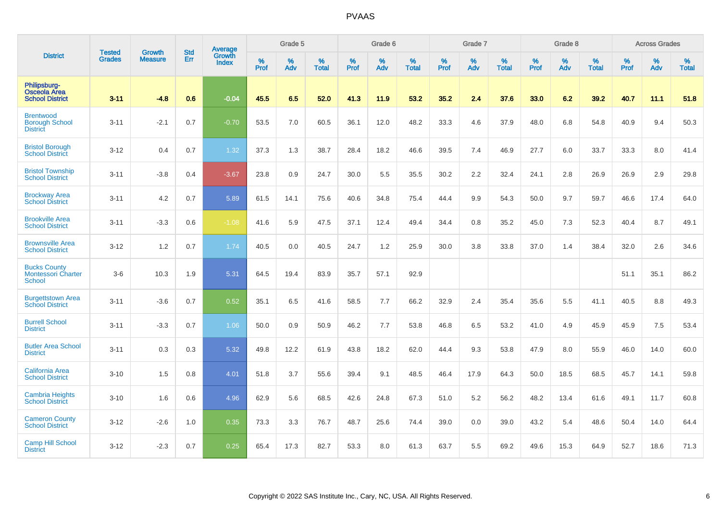|                                                               |                                |                                 | <b>Std</b> | Average                       |              | Grade 5  |                   |           | Grade 6  |                   |           | Grade 7  |                   |           | Grade 8  |                   |           | <b>Across Grades</b> |                   |
|---------------------------------------------------------------|--------------------------------|---------------------------------|------------|-------------------------------|--------------|----------|-------------------|-----------|----------|-------------------|-----------|----------|-------------------|-----------|----------|-------------------|-----------|----------------------|-------------------|
| <b>District</b>                                               | <b>Tested</b><br><b>Grades</b> | <b>Growth</b><br><b>Measure</b> | Err        | <b>Growth</b><br><b>Index</b> | $\%$<br>Prof | %<br>Adv | %<br><b>Total</b> | %<br>Prof | %<br>Adv | %<br><b>Total</b> | %<br>Prof | %<br>Adv | %<br><b>Total</b> | %<br>Prof | %<br>Adv | %<br><b>Total</b> | %<br>Prof | %<br>Adv             | %<br><b>Total</b> |
| Philipsburg-<br><b>Osceola Area</b><br><b>School District</b> | $3 - 11$                       | $-4.8$                          | 0.6        | $-0.04$                       | 45.5         | 6.5      | 52.0              | 41.3      | 11.9     | 53.2              | 35.2      | 2.4      | 37.6              | 33.0      | 6.2      | 39.2              | 40.7      | 11.1                 | 51.8              |
| <b>Brentwood</b><br><b>Borough School</b><br><b>District</b>  | $3 - 11$                       | $-2.1$                          | 0.7        | $-0.70$                       | 53.5         | 7.0      | 60.5              | 36.1      | 12.0     | 48.2              | 33.3      | 4.6      | 37.9              | 48.0      | 6.8      | 54.8              | 40.9      | 9.4                  | 50.3              |
| <b>Bristol Borough</b><br><b>School District</b>              | $3 - 12$                       | 0.4                             | 0.7        | 1.32                          | 37.3         | 1.3      | 38.7              | 28.4      | 18.2     | 46.6              | 39.5      | 7.4      | 46.9              | 27.7      | 6.0      | 33.7              | 33.3      | 8.0                  | 41.4              |
| <b>Bristol Township</b><br><b>School District</b>             | $3 - 11$                       | $-3.8$                          | 0.4        | $-3.67$                       | 23.8         | 0.9      | 24.7              | 30.0      | 5.5      | 35.5              | 30.2      | 2.2      | 32.4              | 24.1      | 2.8      | 26.9              | 26.9      | 2.9                  | 29.8              |
| <b>Brockway Area</b><br><b>School District</b>                | $3 - 11$                       | 4.2                             | 0.7        | 5.89                          | 61.5         | 14.1     | 75.6              | 40.6      | 34.8     | 75.4              | 44.4      | 9.9      | 54.3              | 50.0      | 9.7      | 59.7              | 46.6      | 17.4                 | 64.0              |
| <b>Brookville Area</b><br><b>School District</b>              | $3 - 11$                       | $-3.3$                          | 0.6        | $-1.08$                       | 41.6         | 5.9      | 47.5              | 37.1      | 12.4     | 49.4              | 34.4      | 0.8      | 35.2              | 45.0      | 7.3      | 52.3              | 40.4      | 8.7                  | 49.1              |
| <b>Brownsville Area</b><br><b>School District</b>             | $3 - 12$                       | 1.2                             | 0.7        | 1.74                          | 40.5         | 0.0      | 40.5              | 24.7      | 1.2      | 25.9              | 30.0      | 3.8      | 33.8              | 37.0      | 1.4      | 38.4              | 32.0      | 2.6                  | 34.6              |
| <b>Bucks County</b><br><b>Montessori Charter</b><br>School    | $3-6$                          | 10.3                            | 1.9        | 5.31                          | 64.5         | 19.4     | 83.9              | 35.7      | 57.1     | 92.9              |           |          |                   |           |          |                   | 51.1      | 35.1                 | 86.2              |
| <b>Burgettstown Area</b><br><b>School District</b>            | $3 - 11$                       | $-3.6$                          | 0.7        | 0.52                          | 35.1         | 6.5      | 41.6              | 58.5      | 7.7      | 66.2              | 32.9      | 2.4      | 35.4              | 35.6      | 5.5      | 41.1              | 40.5      | 8.8                  | 49.3              |
| <b>Burrell School</b><br><b>District</b>                      | $3 - 11$                       | $-3.3$                          | 0.7        | 1.06                          | 50.0         | 0.9      | 50.9              | 46.2      | 7.7      | 53.8              | 46.8      | 6.5      | 53.2              | 41.0      | 4.9      | 45.9              | 45.9      | 7.5                  | 53.4              |
| <b>Butler Area School</b><br><b>District</b>                  | $3 - 11$                       | 0.3                             | 0.3        | 5.32                          | 49.8         | 12.2     | 61.9              | 43.8      | 18.2     | 62.0              | 44.4      | 9.3      | 53.8              | 47.9      | 8.0      | 55.9              | 46.0      | 14.0                 | 60.0              |
| <b>California Area</b><br><b>School District</b>              | $3 - 10$                       | 1.5                             | 0.8        | 4.01                          | 51.8         | 3.7      | 55.6              | 39.4      | 9.1      | 48.5              | 46.4      | 17.9     | 64.3              | 50.0      | 18.5     | 68.5              | 45.7      | 14.1                 | 59.8              |
| <b>Cambria Heights</b><br><b>School District</b>              | $3 - 10$                       | 1.6                             | 0.6        | 4.96                          | 62.9         | 5.6      | 68.5              | 42.6      | 24.8     | 67.3              | 51.0      | 5.2      | 56.2              | 48.2      | 13.4     | 61.6              | 49.1      | 11.7                 | 60.8              |
| <b>Cameron County</b><br><b>School District</b>               | $3 - 12$                       | $-2.6$                          | 1.0        | 0.35                          | 73.3         | 3.3      | 76.7              | 48.7      | 25.6     | 74.4              | 39.0      | 0.0      | 39.0              | 43.2      | 5.4      | 48.6              | 50.4      | 14.0                 | 64.4              |
| <b>Camp Hill School</b><br><b>District</b>                    | $3 - 12$                       | $-2.3$                          | 0.7        | 0.25                          | 65.4         | 17.3     | 82.7              | 53.3      | 8.0      | 61.3              | 63.7      | 5.5      | 69.2              | 49.6      | 15.3     | 64.9              | 52.7      | 18.6                 | 71.3              |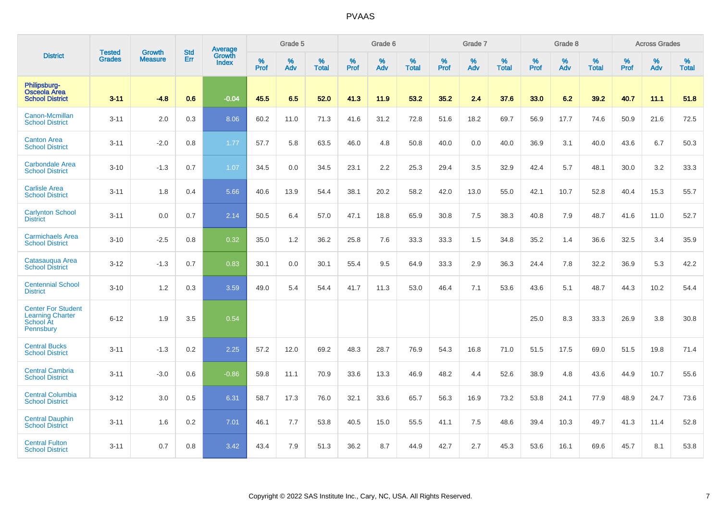|                                                                                | <b>Tested</b> | <b>Growth</b>  | <b>Std</b> | Average                |           | Grade 5  |                   |           | Grade 6  |                   |           | Grade 7  |                   |           | Grade 8  |                   |           | <b>Across Grades</b> |                   |
|--------------------------------------------------------------------------------|---------------|----------------|------------|------------------------|-----------|----------|-------------------|-----------|----------|-------------------|-----------|----------|-------------------|-----------|----------|-------------------|-----------|----------------------|-------------------|
| <b>District</b>                                                                | <b>Grades</b> | <b>Measure</b> | Err        | <b>Growth</b><br>Index | %<br>Prof | %<br>Adv | %<br><b>Total</b> | %<br>Prof | %<br>Adv | %<br><b>Total</b> | %<br>Prof | %<br>Adv | %<br><b>Total</b> | %<br>Prof | %<br>Adv | %<br><b>Total</b> | %<br>Prof | %<br>Adv             | %<br><b>Total</b> |
| Philipsburg-<br><b>Osceola Area</b><br><b>School District</b>                  | $3 - 11$      | $-4.8$         | 0.6        | $-0.04$                | 45.5      | 6.5      | 52.0              | 41.3      | 11.9     | 53.2              | 35.2      | 2.4      | 37.6              | 33.0      | 6.2      | 39.2              | 40.7      | 11.1                 | 51.8              |
| Canon-Mcmillan<br><b>School District</b>                                       | $3 - 11$      | 2.0            | 0.3        | 8.06                   | 60.2      | 11.0     | 71.3              | 41.6      | 31.2     | 72.8              | 51.6      | 18.2     | 69.7              | 56.9      | 17.7     | 74.6              | 50.9      | 21.6                 | 72.5              |
| <b>Canton Area</b><br><b>School District</b>                                   | $3 - 11$      | $-2.0$         | 0.8        | 1.77                   | 57.7      | 5.8      | 63.5              | 46.0      | 4.8      | 50.8              | 40.0      | 0.0      | 40.0              | 36.9      | 3.1      | 40.0              | 43.6      | 6.7                  | 50.3              |
| <b>Carbondale Area</b><br><b>School District</b>                               | $3 - 10$      | $-1.3$         | 0.7        | 1.07                   | 34.5      | 0.0      | 34.5              | 23.1      | 2.2      | 25.3              | 29.4      | 3.5      | 32.9              | 42.4      | 5.7      | 48.1              | 30.0      | 3.2                  | 33.3              |
| <b>Carlisle Area</b><br><b>School District</b>                                 | $3 - 11$      | 1.8            | 0.4        | 5.66                   | 40.6      | 13.9     | 54.4              | 38.1      | 20.2     | 58.2              | 42.0      | 13.0     | 55.0              | 42.1      | 10.7     | 52.8              | 40.4      | 15.3                 | 55.7              |
| <b>Carlynton School</b><br><b>District</b>                                     | $3 - 11$      | 0.0            | 0.7        | 2.14                   | 50.5      | 6.4      | 57.0              | 47.1      | 18.8     | 65.9              | 30.8      | 7.5      | 38.3              | 40.8      | 7.9      | 48.7              | 41.6      | 11.0                 | 52.7              |
| <b>Carmichaels Area</b><br><b>School District</b>                              | $3 - 10$      | $-2.5$         | 0.8        | 0.32                   | 35.0      | 1.2      | 36.2              | 25.8      | 7.6      | 33.3              | 33.3      | 1.5      | 34.8              | 35.2      | 1.4      | 36.6              | 32.5      | 3.4                  | 35.9              |
| Catasauqua Area<br><b>School District</b>                                      | $3 - 12$      | $-1.3$         | 0.7        | 0.83                   | 30.1      | 0.0      | 30.1              | 55.4      | 9.5      | 64.9              | 33.3      | 2.9      | 36.3              | 24.4      | 7.8      | 32.2              | 36.9      | 5.3                  | 42.2              |
| <b>Centennial School</b><br><b>District</b>                                    | $3 - 10$      | 1.2            | 0.3        | 3.59                   | 49.0      | 5.4      | 54.4              | 41.7      | 11.3     | 53.0              | 46.4      | 7.1      | 53.6              | 43.6      | 5.1      | 48.7              | 44.3      | 10.2                 | 54.4              |
| <b>Center For Student</b><br><b>Learning Charter</b><br>School At<br>Pennsbury | $6 - 12$      | 1.9            | 3.5        | 0.54                   |           |          |                   |           |          |                   |           |          |                   | 25.0      | 8.3      | 33.3              | 26.9      | 3.8                  | 30.8              |
| <b>Central Bucks</b><br><b>School District</b>                                 | $3 - 11$      | $-1.3$         | 0.2        | 2.25                   | 57.2      | 12.0     | 69.2              | 48.3      | 28.7     | 76.9              | 54.3      | 16.8     | 71.0              | 51.5      | 17.5     | 69.0              | 51.5      | 19.8                 | 71.4              |
| <b>Central Cambria</b><br><b>School District</b>                               | $3 - 11$      | $-3.0$         | 0.6        | $-0.86$                | 59.8      | 11.1     | 70.9              | 33.6      | 13.3     | 46.9              | 48.2      | 4.4      | 52.6              | 38.9      | 4.8      | 43.6              | 44.9      | 10.7                 | 55.6              |
| <b>Central Columbia</b><br><b>School District</b>                              | $3 - 12$      | 3.0            | 0.5        | 6.31                   | 58.7      | 17.3     | 76.0              | 32.1      | 33.6     | 65.7              | 56.3      | 16.9     | 73.2              | 53.8      | 24.1     | 77.9              | 48.9      | 24.7                 | 73.6              |
| <b>Central Dauphin</b><br><b>School District</b>                               | $3 - 11$      | 1.6            | 0.2        | 7.01                   | 46.1      | 7.7      | 53.8              | 40.5      | 15.0     | 55.5              | 41.1      | 7.5      | 48.6              | 39.4      | 10.3     | 49.7              | 41.3      | 11.4                 | 52.8              |
| <b>Central Fulton</b><br><b>School District</b>                                | $3 - 11$      | 0.7            | 0.8        | 3.42                   | 43.4      | 7.9      | 51.3              | 36.2      | 8.7      | 44.9              | 42.7      | 2.7      | 45.3              | 53.6      | 16.1     | 69.6              | 45.7      | 8.1                  | 53.8              |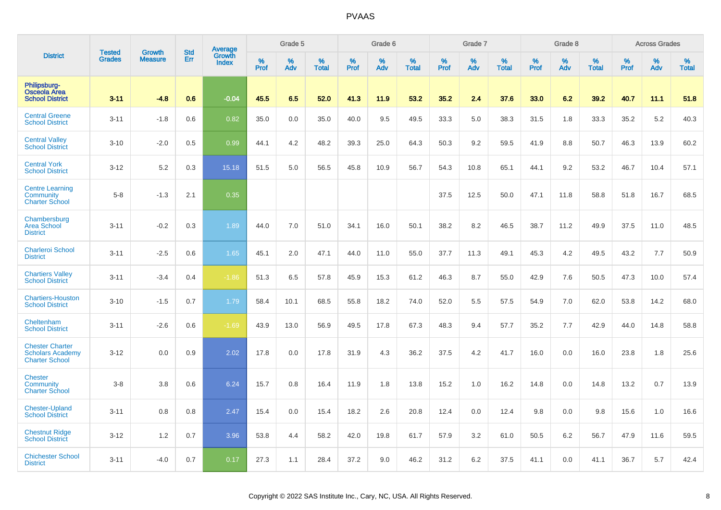|                                                                            | <b>Tested</b> | <b>Growth</b>  | <b>Std</b> | Average                |              | Grade 5  |                   |                  | Grade 6  |                   |                  | Grade 7  |                   |                  | Grade 8  |                   |           | <b>Across Grades</b> |                   |
|----------------------------------------------------------------------------|---------------|----------------|------------|------------------------|--------------|----------|-------------------|------------------|----------|-------------------|------------------|----------|-------------------|------------------|----------|-------------------|-----------|----------------------|-------------------|
| <b>District</b>                                                            | <b>Grades</b> | <b>Measure</b> | Err        | Growth<br><b>Index</b> | $\%$<br>Prof | %<br>Adv | %<br><b>Total</b> | %<br><b>Prof</b> | %<br>Adv | %<br><b>Total</b> | %<br><b>Prof</b> | %<br>Adv | %<br><b>Total</b> | %<br><b>Prof</b> | %<br>Adv | %<br><b>Total</b> | %<br>Prof | %<br>Adv             | %<br><b>Total</b> |
| Philipsburg-<br>Osceola Area<br><b>School District</b>                     | $3 - 11$      | $-4.8$         | 0.6        | $-0.04$                | 45.5         | 6.5      | 52.0              | 41.3             | 11.9     | 53.2              | 35.2             | 2.4      | 37.6              | 33.0             | 6.2      | 39.2              | 40.7      | 11.1                 | 51.8              |
| <b>Central Greene</b><br><b>School District</b>                            | $3 - 11$      | $-1.8$         | 0.6        | 0.82                   | 35.0         | 0.0      | 35.0              | 40.0             | 9.5      | 49.5              | 33.3             | 5.0      | 38.3              | 31.5             | 1.8      | 33.3              | 35.2      | 5.2                  | 40.3              |
| <b>Central Valley</b><br><b>School District</b>                            | $3 - 10$      | $-2.0$         | 0.5        | 0.99                   | 44.1         | 4.2      | 48.2              | 39.3             | 25.0     | 64.3              | 50.3             | 9.2      | 59.5              | 41.9             | 8.8      | 50.7              | 46.3      | 13.9                 | 60.2              |
| <b>Central York</b><br><b>School District</b>                              | $3 - 12$      | 5.2            | 0.3        | 15.18                  | 51.5         | 5.0      | 56.5              | 45.8             | 10.9     | 56.7              | 54.3             | 10.8     | 65.1              | 44.1             | 9.2      | 53.2              | 46.7      | 10.4                 | 57.1              |
| <b>Centre Learning</b><br>Community<br><b>Charter School</b>               | $5 - 8$       | $-1.3$         | 2.1        | 0.35                   |              |          |                   |                  |          |                   | 37.5             | 12.5     | 50.0              | 47.1             | 11.8     | 58.8              | 51.8      | 16.7                 | 68.5              |
| Chambersburg<br><b>Area School</b><br><b>District</b>                      | $3 - 11$      | $-0.2$         | 0.3        | 1.89                   | 44.0         | 7.0      | 51.0              | 34.1             | 16.0     | 50.1              | 38.2             | 8.2      | 46.5              | 38.7             | 11.2     | 49.9              | 37.5      | 11.0                 | 48.5              |
| <b>Charleroi School</b><br><b>District</b>                                 | $3 - 11$      | $-2.5$         | 0.6        | 1.65                   | 45.1         | 2.0      | 47.1              | 44.0             | 11.0     | 55.0              | 37.7             | 11.3     | 49.1              | 45.3             | 4.2      | 49.5              | 43.2      | 7.7                  | 50.9              |
| <b>Chartiers Valley</b><br><b>School District</b>                          | $3 - 11$      | $-3.4$         | 0.4        | $-1.86$                | 51.3         | 6.5      | 57.8              | 45.9             | 15.3     | 61.2              | 46.3             | 8.7      | 55.0              | 42.9             | 7.6      | 50.5              | 47.3      | 10.0                 | 57.4              |
| <b>Chartiers-Houston</b><br><b>School District</b>                         | $3 - 10$      | $-1.5$         | 0.7        | 1.79                   | 58.4         | 10.1     | 68.5              | 55.8             | 18.2     | 74.0              | 52.0             | 5.5      | 57.5              | 54.9             | 7.0      | 62.0              | 53.8      | 14.2                 | 68.0              |
| Cheltenham<br><b>School District</b>                                       | $3 - 11$      | $-2.6$         | 0.6        | $-1.69$                | 43.9         | 13.0     | 56.9              | 49.5             | 17.8     | 67.3              | 48.3             | 9.4      | 57.7              | 35.2             | 7.7      | 42.9              | 44.0      | 14.8                 | 58.8              |
| <b>Chester Charter</b><br><b>Scholars Academy</b><br><b>Charter School</b> | $3 - 12$      | 0.0            | 0.9        | 2.02                   | 17.8         | 0.0      | 17.8              | 31.9             | 4.3      | 36.2              | 37.5             | 4.2      | 41.7              | 16.0             | 0.0      | 16.0              | 23.8      | 1.8                  | 25.6              |
| <b>Chester</b><br>Community<br><b>Charter School</b>                       | $3 - 8$       | 3.8            | 0.6        | 6.24                   | 15.7         | 0.8      | 16.4              | 11.9             | 1.8      | 13.8              | 15.2             | 1.0      | 16.2              | 14.8             | 0.0      | 14.8              | 13.2      | 0.7                  | 13.9              |
| <b>Chester-Upland</b><br><b>School District</b>                            | $3 - 11$      | 0.8            | 0.8        | 2.47                   | 15.4         | 0.0      | 15.4              | 18.2             | 2.6      | 20.8              | 12.4             | 0.0      | 12.4              | 9.8              | 0.0      | 9.8               | 15.6      | 1.0                  | 16.6              |
| <b>Chestnut Ridge</b><br><b>School District</b>                            | $3 - 12$      | 1.2            | 0.7        | 3.96                   | 53.8         | 4.4      | 58.2              | 42.0             | 19.8     | 61.7              | 57.9             | 3.2      | 61.0              | 50.5             | 6.2      | 56.7              | 47.9      | 11.6                 | 59.5              |
| <b>Chichester School</b><br><b>District</b>                                | $3 - 11$      | $-4.0$         | 0.7        | 0.17                   | 27.3         | 1.1      | 28.4              | 37.2             | 9.0      | 46.2              | 31.2             | 6.2      | 37.5              | 41.1             | 0.0      | 41.1              | 36.7      | 5.7                  | 42.4              |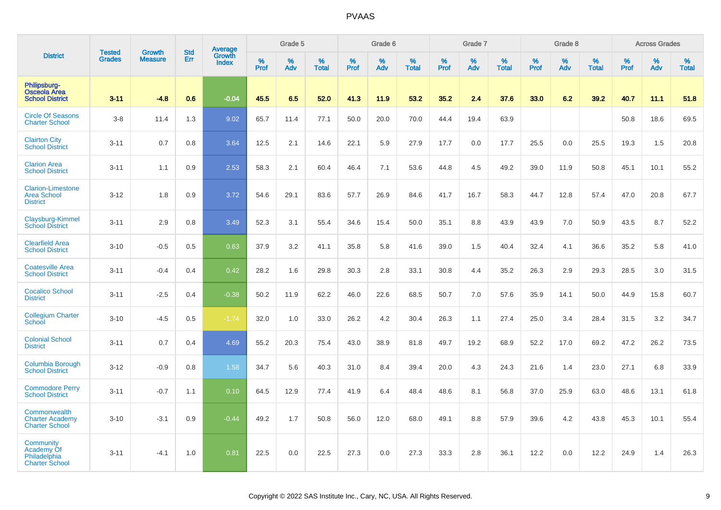|                                                                   |                                | <b>Growth</b>  | <b>Std</b> | Average                |                     | Grade 5     |                   |                  | Grade 6  |                   |                  | Grade 7  |                   |           | Grade 8  |                   |              | <b>Across Grades</b> |                   |
|-------------------------------------------------------------------|--------------------------------|----------------|------------|------------------------|---------------------|-------------|-------------------|------------------|----------|-------------------|------------------|----------|-------------------|-----------|----------|-------------------|--------------|----------------------|-------------------|
| <b>District</b>                                                   | <b>Tested</b><br><b>Grades</b> | <b>Measure</b> | Err        | Growth<br><b>Index</b> | $\%$<br><b>Prof</b> | $\%$<br>Adv | %<br><b>Total</b> | %<br><b>Prof</b> | %<br>Adv | %<br><b>Total</b> | %<br><b>Prof</b> | %<br>Adv | %<br><b>Total</b> | %<br>Prof | %<br>Adv | %<br><b>Total</b> | $\%$<br>Prof | %<br>Adv             | %<br><b>Total</b> |
| Philipsburg-<br><b>Osceola Area</b><br><b>School District</b>     | $3 - 11$                       | $-4.8$         | 0.6        | $-0.04$                | 45.5                | 6.5         | 52.0              | 41.3             | 11.9     | 53.2              | 35.2             | 2.4      | 37.6              | 33.0      | 6.2      | 39.2              | 40.7         | 11.1                 | 51.8              |
| <b>Circle Of Seasons</b><br><b>Charter School</b>                 | $3 - 8$                        | 11.4           | 1.3        | 9.02                   | 65.7                | 11.4        | 77.1              | 50.0             | 20.0     | 70.0              | 44.4             | 19.4     | 63.9              |           |          |                   | 50.8         | 18.6                 | 69.5              |
| <b>Clairton City</b><br><b>School District</b>                    | $3 - 11$                       | 0.7            | 0.8        | 3.64                   | 12.5                | 2.1         | 14.6              | 22.1             | 5.9      | 27.9              | 17.7             | 0.0      | 17.7              | 25.5      | 0.0      | 25.5              | 19.3         | 1.5                  | 20.8              |
| <b>Clarion Area</b><br><b>School District</b>                     | $3 - 11$                       | 1.1            | 0.9        | 2.53                   | 58.3                | 2.1         | 60.4              | 46.4             | 7.1      | 53.6              | 44.8             | 4.5      | 49.2              | 39.0      | 11.9     | 50.8              | 45.1         | 10.1                 | 55.2              |
| <b>Clarion-Limestone</b><br><b>Area School</b><br><b>District</b> | $3 - 12$                       | 1.8            | 0.9        | 3.72                   | 54.6                | 29.1        | 83.6              | 57.7             | 26.9     | 84.6              | 41.7             | 16.7     | 58.3              | 44.7      | 12.8     | 57.4              | 47.0         | 20.8                 | 67.7              |
| Claysburg-Kimmel<br><b>School District</b>                        | $3 - 11$                       | 2.9            | 0.8        | 3.49                   | 52.3                | 3.1         | 55.4              | 34.6             | 15.4     | 50.0              | 35.1             | 8.8      | 43.9              | 43.9      | 7.0      | 50.9              | 43.5         | $8.7\,$              | 52.2              |
| <b>Clearfield Area</b><br><b>School District</b>                  | $3 - 10$                       | $-0.5$         | 0.5        | 0.63                   | 37.9                | 3.2         | 41.1              | 35.8             | 5.8      | 41.6              | 39.0             | 1.5      | 40.4              | 32.4      | 4.1      | 36.6              | 35.2         | 5.8                  | 41.0              |
| <b>Coatesville Area</b><br><b>School District</b>                 | $3 - 11$                       | $-0.4$         | 0.4        | 0.42                   | 28.2                | 1.6         | 29.8              | 30.3             | 2.8      | 33.1              | 30.8             | 4.4      | 35.2              | 26.3      | 2.9      | 29.3              | 28.5         | 3.0                  | 31.5              |
| <b>Cocalico School</b><br><b>District</b>                         | $3 - 11$                       | $-2.5$         | 0.4        | $-0.38$                | 50.2                | 11.9        | 62.2              | 46.0             | 22.6     | 68.5              | 50.7             | 7.0      | 57.6              | 35.9      | 14.1     | 50.0              | 44.9         | 15.8                 | 60.7              |
| <b>Collegium Charter</b><br>School                                | $3 - 10$                       | $-4.5$         | 0.5        | $-1.74$                | 32.0                | 1.0         | 33.0              | 26.2             | 4.2      | 30.4              | 26.3             | 1.1      | 27.4              | 25.0      | 3.4      | 28.4              | 31.5         | 3.2                  | 34.7              |
| <b>Colonial School</b><br><b>District</b>                         | $3 - 11$                       | 0.7            | 0.4        | 4.69                   | 55.2                | 20.3        | 75.4              | 43.0             | 38.9     | 81.8              | 49.7             | 19.2     | 68.9              | 52.2      | 17.0     | 69.2              | 47.2         | 26.2                 | 73.5              |
| Columbia Borough<br><b>School District</b>                        | $3 - 12$                       | $-0.9$         | 0.8        | 1.58                   | 34.7                | 5.6         | 40.3              | 31.0             | 8.4      | 39.4              | 20.0             | 4.3      | 24.3              | 21.6      | 1.4      | 23.0              | 27.1         | 6.8                  | 33.9              |
| <b>Commodore Perry</b><br><b>School District</b>                  | $3 - 11$                       | $-0.7$         | 1.1        | 0.10                   | 64.5                | 12.9        | 77.4              | 41.9             | 6.4      | 48.4              | 48.6             | 8.1      | 56.8              | 37.0      | 25.9     | 63.0              | 48.6         | 13.1                 | 61.8              |
| Commonwealth<br><b>Charter Academy</b><br><b>Charter School</b>   | $3 - 10$                       | $-3.1$         | 0.9        | $-0.44$                | 49.2                | 1.7         | 50.8              | 56.0             | 12.0     | 68.0              | 49.1             | 8.8      | 57.9              | 39.6      | 4.2      | 43.8              | 45.3         | 10.1                 | 55.4              |
| Community<br>Academy Of<br>Philadelphia<br><b>Charter School</b>  | $3 - 11$                       | $-4.1$         | 1.0        | 0.81                   | 22.5                | 0.0         | 22.5              | 27.3             | 0.0      | 27.3              | 33.3             | 2.8      | 36.1              | 12.2      | 0.0      | 12.2              | 24.9         | 1.4                  | 26.3              |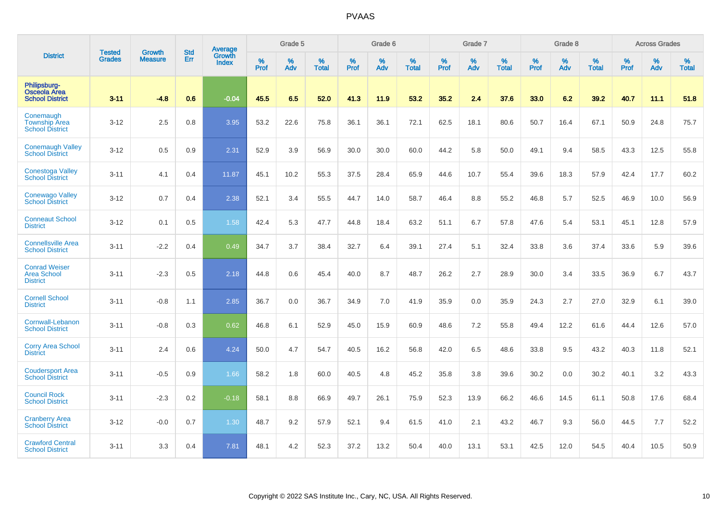|                                                               | <b>Tested</b> | <b>Growth</b>  | <b>Std</b> | <b>Average</b>         |              | Grade 5  |                   |           | Grade 6  |                   |           | Grade 7  |                   |                  | Grade 8  |                   |                  | <b>Across Grades</b> |                   |
|---------------------------------------------------------------|---------------|----------------|------------|------------------------|--------------|----------|-------------------|-----------|----------|-------------------|-----------|----------|-------------------|------------------|----------|-------------------|------------------|----------------------|-------------------|
| <b>District</b>                                               | Grades        | <b>Measure</b> | <b>Err</b> | Growth<br><b>Index</b> | $\%$<br>Prof | %<br>Adv | %<br><b>Total</b> | %<br>Prof | %<br>Adv | %<br><b>Total</b> | %<br>Prof | %<br>Adv | %<br><b>Total</b> | %<br><b>Prof</b> | %<br>Adv | %<br><b>Total</b> | %<br><b>Prof</b> | $\%$<br>Adv          | %<br><b>Total</b> |
| Philipsburg-<br>Osceola Area<br><b>School District</b>        | $3 - 11$      | $-4.8$         | 0.6        | $-0.04$                | 45.5         | 6.5      | 52.0              | 41.3      | 11.9     | 53.2              | 35.2      | 2.4      | 37.6              | 33.0             | 6.2      | 39.2              | 40.7             | 11.1                 | 51.8              |
| Conemaugh<br><b>Township Area</b><br><b>School District</b>   | $3 - 12$      | 2.5            | 0.8        | 3.95                   | 53.2         | 22.6     | 75.8              | 36.1      | 36.1     | 72.1              | 62.5      | 18.1     | 80.6              | 50.7             | 16.4     | 67.1              | 50.9             | 24.8                 | 75.7              |
| <b>Conemaugh Valley</b><br><b>School District</b>             | $3 - 12$      | 0.5            | 0.9        | 2.31                   | 52.9         | 3.9      | 56.9              | 30.0      | 30.0     | 60.0              | 44.2      | 5.8      | 50.0              | 49.1             | 9.4      | 58.5              | 43.3             | 12.5                 | 55.8              |
| <b>Conestoga Valley</b><br><b>School District</b>             | $3 - 11$      | 4.1            | 0.4        | 11.87                  | 45.1         | 10.2     | 55.3              | 37.5      | 28.4     | 65.9              | 44.6      | 10.7     | 55.4              | 39.6             | 18.3     | 57.9              | 42.4             | 17.7                 | 60.2              |
| <b>Conewago Valley</b><br><b>School District</b>              | $3 - 12$      | 0.7            | 0.4        | 2.38                   | 52.1         | 3.4      | 55.5              | 44.7      | 14.0     | 58.7              | 46.4      | 8.8      | 55.2              | 46.8             | 5.7      | 52.5              | 46.9             | 10.0                 | 56.9              |
| <b>Conneaut School</b><br><b>District</b>                     | $3 - 12$      | 0.1            | 0.5        | 1.58                   | 42.4         | 5.3      | 47.7              | 44.8      | 18.4     | 63.2              | 51.1      | 6.7      | 57.8              | 47.6             | 5.4      | 53.1              | 45.1             | 12.8                 | 57.9              |
| <b>Connellsville Area</b><br><b>School District</b>           | $3 - 11$      | $-2.2$         | 0.4        | 0.49                   | 34.7         | 3.7      | 38.4              | 32.7      | 6.4      | 39.1              | 27.4      | 5.1      | 32.4              | 33.8             | 3.6      | 37.4              | 33.6             | 5.9                  | 39.6              |
| <b>Conrad Weiser</b><br><b>Area School</b><br><b>District</b> | $3 - 11$      | $-2.3$         | 0.5        | 2.18                   | 44.8         | 0.6      | 45.4              | 40.0      | 8.7      | 48.7              | 26.2      | 2.7      | 28.9              | 30.0             | 3.4      | 33.5              | 36.9             | 6.7                  | 43.7              |
| <b>Cornell School</b><br><b>District</b>                      | $3 - 11$      | $-0.8$         | 1.1        | 2.85                   | 36.7         | 0.0      | 36.7              | 34.9      | 7.0      | 41.9              | 35.9      | 0.0      | 35.9              | 24.3             | 2.7      | 27.0              | 32.9             | 6.1                  | 39.0              |
| Cornwall-Lebanon<br><b>School District</b>                    | $3 - 11$      | $-0.8$         | 0.3        | 0.62                   | 46.8         | 6.1      | 52.9              | 45.0      | 15.9     | 60.9              | 48.6      | 7.2      | 55.8              | 49.4             | 12.2     | 61.6              | 44.4             | 12.6                 | 57.0              |
| <b>Corry Area School</b><br><b>District</b>                   | $3 - 11$      | 2.4            | 0.6        | 4.24                   | 50.0         | 4.7      | 54.7              | 40.5      | 16.2     | 56.8              | 42.0      | 6.5      | 48.6              | 33.8             | 9.5      | 43.2              | 40.3             | 11.8                 | 52.1              |
| <b>Coudersport Area</b><br><b>School District</b>             | $3 - 11$      | $-0.5$         | 0.9        | 1.66                   | 58.2         | 1.8      | 60.0              | 40.5      | 4.8      | 45.2              | 35.8      | 3.8      | 39.6              | 30.2             | 0.0      | 30.2              | 40.1             | 3.2                  | 43.3              |
| <b>Council Rock</b><br><b>School District</b>                 | $3 - 11$      | $-2.3$         | 0.2        | $-0.18$                | 58.1         | 8.8      | 66.9              | 49.7      | 26.1     | 75.9              | 52.3      | 13.9     | 66.2              | 46.6             | 14.5     | 61.1              | 50.8             | 17.6                 | 68.4              |
| <b>Cranberry Area</b><br><b>School District</b>               | $3 - 12$      | $-0.0$         | 0.7        | 1.30                   | 48.7         | 9.2      | 57.9              | 52.1      | 9.4      | 61.5              | 41.0      | 2.1      | 43.2              | 46.7             | 9.3      | 56.0              | 44.5             | 7.7                  | 52.2              |
| <b>Crawford Central</b><br><b>School District</b>             | $3 - 11$      | 3.3            | 0.4        | 7.81                   | 48.1         | 4.2      | 52.3              | 37.2      | 13.2     | 50.4              | 40.0      | 13.1     | 53.1              | 42.5             | 12.0     | 54.5              | 40.4             | 10.5                 | 50.9              |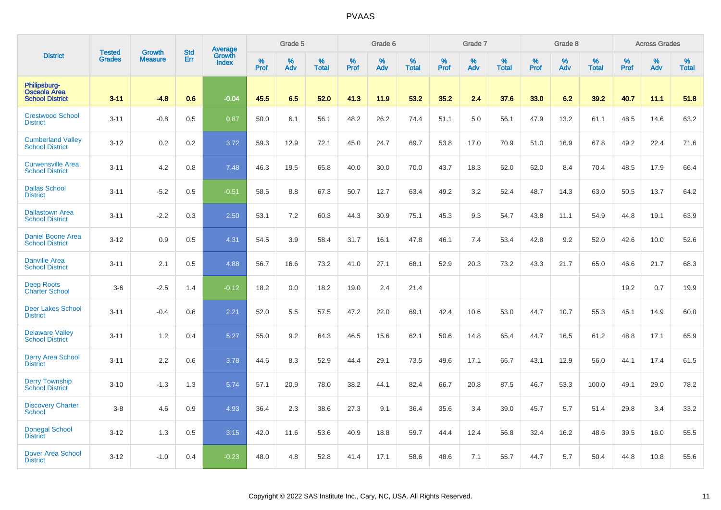|                                                               |                         |                                 | <b>Std</b> | Average                |                     | Grade 5  |                      |              | Grade 6  |                      |                     | Grade 7  |                      |                     | Grade 8     |                      |                     | <b>Across Grades</b> |                   |
|---------------------------------------------------------------|-------------------------|---------------------------------|------------|------------------------|---------------------|----------|----------------------|--------------|----------|----------------------|---------------------|----------|----------------------|---------------------|-------------|----------------------|---------------------|----------------------|-------------------|
| <b>District</b>                                               | <b>Tested</b><br>Grades | <b>Growth</b><br><b>Measure</b> | Err        | Growth<br><b>Index</b> | $\%$<br><b>Prof</b> | %<br>Adv | $\%$<br><b>Total</b> | $\%$<br>Prof | %<br>Adv | $\%$<br><b>Total</b> | $\%$<br><b>Prof</b> | %<br>Adv | $\%$<br><b>Total</b> | $\%$<br><b>Prof</b> | $\%$<br>Adv | $\%$<br><b>Total</b> | $\%$<br><b>Prof</b> | %<br>Adv             | %<br><b>Total</b> |
| Philipsburg-<br><b>Osceola Area</b><br><b>School District</b> | $3 - 11$                | $-4.8$                          | 0.6        | $-0.04$                | 45.5                | 6.5      | 52.0                 | 41.3         | 11.9     | 53.2                 | 35.2                | 2.4      | 37.6                 | 33.0                | 6.2         | 39.2                 | 40.7                | 11.1                 | 51.8              |
| <b>Crestwood School</b><br><b>District</b>                    | $3 - 11$                | $-0.8$                          | 0.5        | 0.87                   | 50.0                | 6.1      | 56.1                 | 48.2         | 26.2     | 74.4                 | 51.1                | 5.0      | 56.1                 | 47.9                | 13.2        | 61.1                 | 48.5                | 14.6                 | 63.2              |
| <b>Cumberland Valley</b><br><b>School District</b>            | $3 - 12$                | 0.2                             | 0.2        | 3.72                   | 59.3                | 12.9     | 72.1                 | 45.0         | 24.7     | 69.7                 | 53.8                | 17.0     | 70.9                 | 51.0                | 16.9        | 67.8                 | 49.2                | 22.4                 | 71.6              |
| <b>Curwensville Area</b><br><b>School District</b>            | $3 - 11$                | 4.2                             | 0.8        | 7.48                   | 46.3                | 19.5     | 65.8                 | 40.0         | 30.0     | 70.0                 | 43.7                | 18.3     | 62.0                 | 62.0                | 8.4         | 70.4                 | 48.5                | 17.9                 | 66.4              |
| <b>Dallas School</b><br><b>District</b>                       | $3 - 11$                | $-5.2$                          | 0.5        | $-0.51$                | 58.5                | 8.8      | 67.3                 | 50.7         | 12.7     | 63.4                 | 49.2                | 3.2      | 52.4                 | 48.7                | 14.3        | 63.0                 | 50.5                | 13.7                 | 64.2              |
| <b>Dallastown Area</b><br><b>School District</b>              | $3 - 11$                | $-2.2$                          | 0.3        | 2.50                   | 53.1                | 7.2      | 60.3                 | 44.3         | 30.9     | 75.1                 | 45.3                | 9.3      | 54.7                 | 43.8                | 11.1        | 54.9                 | 44.8                | 19.1                 | 63.9              |
| <b>Daniel Boone Area</b><br><b>School District</b>            | $3 - 12$                | 0.9                             | 0.5        | 4.31                   | 54.5                | 3.9      | 58.4                 | 31.7         | 16.1     | 47.8                 | 46.1                | 7.4      | 53.4                 | 42.8                | 9.2         | 52.0                 | 42.6                | 10.0                 | 52.6              |
| <b>Danville Area</b><br><b>School District</b>                | $3 - 11$                | 2.1                             | 0.5        | 4.88                   | 56.7                | 16.6     | 73.2                 | 41.0         | 27.1     | 68.1                 | 52.9                | 20.3     | 73.2                 | 43.3                | 21.7        | 65.0                 | 46.6                | 21.7                 | 68.3              |
| <b>Deep Roots</b><br><b>Charter School</b>                    | $3-6$                   | $-2.5$                          | 1.4        | $-0.12$                | 18.2                | 0.0      | 18.2                 | 19.0         | 2.4      | 21.4                 |                     |          |                      |                     |             |                      | 19.2                | 0.7                  | 19.9              |
| <b>Deer Lakes School</b><br><b>District</b>                   | $3 - 11$                | $-0.4$                          | 0.6        | 2.21                   | 52.0                | 5.5      | 57.5                 | 47.2         | 22.0     | 69.1                 | 42.4                | 10.6     | 53.0                 | 44.7                | 10.7        | 55.3                 | 45.1                | 14.9                 | 60.0              |
| <b>Delaware Valley</b><br><b>School District</b>              | $3 - 11$                | 1.2                             | 0.4        | 5.27                   | 55.0                | 9.2      | 64.3                 | 46.5         | 15.6     | 62.1                 | 50.6                | 14.8     | 65.4                 | 44.7                | 16.5        | 61.2                 | 48.8                | 17.1                 | 65.9              |
| <b>Derry Area School</b><br><b>District</b>                   | $3 - 11$                | 2.2                             | 0.6        | 3.78                   | 44.6                | 8.3      | 52.9                 | 44.4         | 29.1     | 73.5                 | 49.6                | 17.1     | 66.7                 | 43.1                | 12.9        | 56.0                 | 44.1                | 17.4                 | 61.5              |
| <b>Derry Township</b><br><b>School District</b>               | $3 - 10$                | $-1.3$                          | 1.3        | 5.74                   | 57.1                | 20.9     | 78.0                 | 38.2         | 44.1     | 82.4                 | 66.7                | 20.8     | 87.5                 | 46.7                | 53.3        | 100.0                | 49.1                | 29.0                 | 78.2              |
| <b>Discovery Charter</b><br><b>School</b>                     | $3-8$                   | 4.6                             | 0.9        | 4.93                   | 36.4                | 2.3      | 38.6                 | 27.3         | 9.1      | 36.4                 | 35.6                | 3.4      | 39.0                 | 45.7                | 5.7         | 51.4                 | 29.8                | 3.4                  | 33.2              |
| <b>Donegal School</b><br><b>District</b>                      | $3 - 12$                | 1.3                             | 0.5        | 3.15                   | 42.0                | 11.6     | 53.6                 | 40.9         | 18.8     | 59.7                 | 44.4                | 12.4     | 56.8                 | 32.4                | 16.2        | 48.6                 | 39.5                | 16.0                 | 55.5              |
| <b>Dover Area School</b><br><b>District</b>                   | $3 - 12$                | $-1.0$                          | 0.4        | $-0.23$                | 48.0                | 4.8      | 52.8                 | 41.4         | 17.1     | 58.6                 | 48.6                | 7.1      | 55.7                 | 44.7                | 5.7         | 50.4                 | 44.8                | 10.8                 | 55.6              |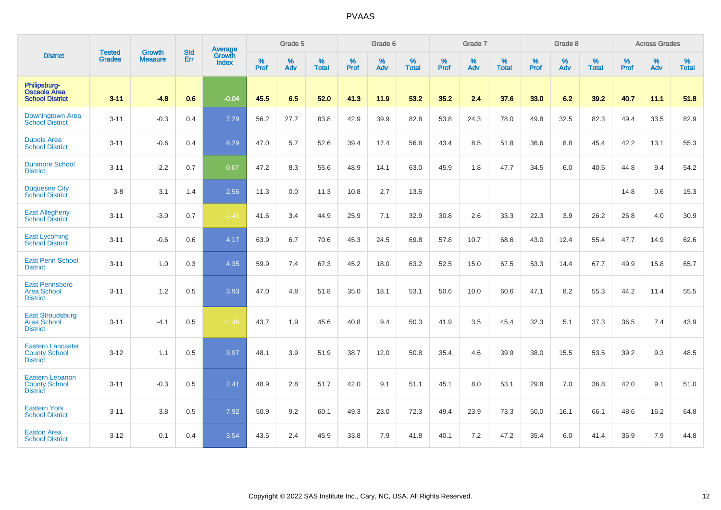|                                                                     |                                |                                 | <b>Std</b> | Average                       |              | Grade 5  |                   |                  | Grade 6  |                   |                  | Grade 7  |                   |                  | Grade 8  |                   |                  | <b>Across Grades</b> |                   |
|---------------------------------------------------------------------|--------------------------------|---------------------------------|------------|-------------------------------|--------------|----------|-------------------|------------------|----------|-------------------|------------------|----------|-------------------|------------------|----------|-------------------|------------------|----------------------|-------------------|
| <b>District</b>                                                     | <b>Tested</b><br><b>Grades</b> | <b>Growth</b><br><b>Measure</b> | Err        | <b>Growth</b><br><b>Index</b> | $\%$<br>Prof | %<br>Adv | %<br><b>Total</b> | %<br><b>Prof</b> | %<br>Adv | %<br><b>Total</b> | %<br><b>Prof</b> | %<br>Adv | %<br><b>Total</b> | %<br><b>Prof</b> | %<br>Adv | %<br><b>Total</b> | %<br><b>Prof</b> | %<br>Adv             | %<br><b>Total</b> |
| Philipsburg-<br><b>Osceola Area</b><br><b>School District</b>       | $3 - 11$                       | $-4.8$                          | 0.6        | $-0.04$                       | 45.5         | 6.5      | 52.0              | 41.3             | 11.9     | 53.2              | 35.2             | 2.4      | 37.6              | 33.0             | 6.2      | 39.2              | 40.7             | 11.1                 | 51.8              |
| Downingtown Area<br><b>School District</b>                          | $3 - 11$                       | $-0.3$                          | 0.4        | 7.29                          | 56.2         | 27.7     | 83.8              | 42.9             | 39.9     | 82.8              | 53.8             | 24.3     | 78.0              | 49.8             | 32.5     | 82.3              | 49.4             | 33.5                 | 82.9              |
| <b>Dubois Area</b><br><b>School District</b>                        | $3 - 11$                       | $-0.6$                          | 0.4        | 6.29                          | 47.0         | 5.7      | 52.6              | 39.4             | 17.4     | 56.8              | 43.4             | 8.5      | 51.8              | 36.6             | 8.8      | 45.4              | 42.2             | 13.1                 | 55.3              |
| <b>Dunmore School</b><br><b>District</b>                            | $3 - 11$                       | $-2.2$                          | 0.7        | 0.07                          | 47.2         | 8.3      | 55.6              | 48.9             | 14.1     | 63.0              | 45.9             | 1.8      | 47.7              | 34.5             | 6.0      | 40.5              | 44.8             | 9.4                  | 54.2              |
| <b>Duquesne City</b><br><b>School District</b>                      | $3-8$                          | 3.1                             | 1.4        | 2.56                          | 11.3         | 0.0      | 11.3              | 10.8             | 2.7      | 13.5              |                  |          |                   |                  |          |                   | 14.8             | 0.6                  | 15.3              |
| <b>East Allegheny</b><br><b>School District</b>                     | $3 - 11$                       | $-3.0$                          | 0.7        | $-1.41$                       | 41.6         | 3.4      | 44.9              | 25.9             | 7.1      | 32.9              | 30.8             | 2.6      | 33.3              | 22.3             | 3.9      | 26.2              | 26.8             | 4.0                  | 30.9              |
| <b>East Lycoming</b><br><b>School District</b>                      | $3 - 11$                       | $-0.6$                          | 0.6        | 4.17                          | 63.9         | 6.7      | 70.6              | 45.3             | 24.5     | 69.8              | 57.8             | 10.7     | 68.6              | 43.0             | 12.4     | 55.4              | 47.7             | 14.9                 | 62.6              |
| <b>East Penn School</b><br><b>District</b>                          | $3 - 11$                       | 1.0                             | 0.3        | 4.35                          | 59.9         | 7.4      | 67.3              | 45.2             | 18.0     | 63.2              | 52.5             | 15.0     | 67.5              | 53.3             | 14.4     | 67.7              | 49.9             | 15.8                 | 65.7              |
| <b>East Pennsboro</b><br><b>Area School</b><br><b>District</b>      | $3 - 11$                       | 1.2                             | 0.5        | 3.93                          | 47.0         | 4.8      | 51.8              | 35.0             | 18.1     | 53.1              | 50.6             | 10.0     | 60.6              | 47.1             | 8.2      | 55.3              | 44.2             | 11.4                 | 55.5              |
| <b>East Stroudsburg</b><br><b>Area School</b><br><b>District</b>    | $3 - 11$                       | $-4.1$                          | 0.5        | $-1.46$                       | 43.7         | 1.9      | 45.6              | 40.8             | 9.4      | 50.3              | 41.9             | 3.5      | 45.4              | 32.3             | 5.1      | 37.3              | 36.5             | 7.4                  | 43.9              |
| <b>Eastern Lancaster</b><br><b>County School</b><br><b>District</b> | $3 - 12$                       | 1.1                             | 0.5        | 3.97                          | 48.1         | 3.9      | 51.9              | 38.7             | 12.0     | 50.8              | 35.4             | 4.6      | 39.9              | 38.0             | 15.5     | 53.5              | 39.2             | 9.3                  | 48.5              |
| <b>Eastern Lebanon</b><br><b>County School</b><br><b>District</b>   | $3 - 11$                       | $-0.3$                          | 0.5        | 2.41                          | 48.9         | 2.8      | 51.7              | 42.0             | 9.1      | 51.1              | 45.1             | 8.0      | 53.1              | 29.8             | 7.0      | 36.8              | 42.0             | 9.1                  | 51.0              |
| <b>Eastern York</b><br><b>School District</b>                       | $3 - 11$                       | 3.8                             | 0.5        | 7.92                          | 50.9         | 9.2      | 60.1              | 49.3             | 23.0     | 72.3              | 49.4             | 23.9     | 73.3              | 50.0             | 16.1     | 66.1              | 48.6             | 16.2                 | 64.8              |
| <b>Easton Area</b><br><b>School District</b>                        | $3 - 12$                       | 0.1                             | 0.4        | 3.54                          | 43.5         | 2.4      | 45.9              | 33.8             | 7.9      | 41.8              | 40.1             | 7.2      | 47.2              | 35.4             | 6.0      | 41.4              | 36.9             | 7.9                  | 44.8              |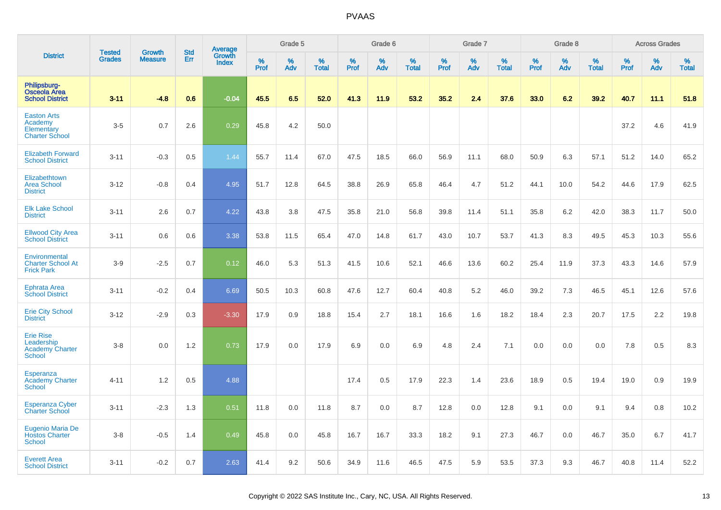|                                                                      | <b>Tested</b> | <b>Growth</b>  | <b>Std</b> | <b>Average</b><br>Growth |              | Grade 5  |                   |              | Grade 6  |                   |           | Grade 7  |                   |           | Grade 8  |                   |           | <b>Across Grades</b> |                   |
|----------------------------------------------------------------------|---------------|----------------|------------|--------------------------|--------------|----------|-------------------|--------------|----------|-------------------|-----------|----------|-------------------|-----------|----------|-------------------|-----------|----------------------|-------------------|
| <b>District</b>                                                      | <b>Grades</b> | <b>Measure</b> | Err        | <b>Index</b>             | $\%$<br>Prof | %<br>Adv | %<br><b>Total</b> | $\%$<br>Prof | %<br>Adv | %<br><b>Total</b> | %<br>Prof | %<br>Adv | %<br><b>Total</b> | %<br>Prof | %<br>Adv | %<br><b>Total</b> | %<br>Prof | %<br>Adv             | %<br><b>Total</b> |
| Philipsburg-<br><b>Osceola Area</b><br><b>School District</b>        | $3 - 11$      | $-4.8$         | 0.6        | $-0.04$                  | 45.5         | 6.5      | 52.0              | 41.3         | 11.9     | 53.2              | 35.2      | 2.4      | 37.6              | 33.0      | 6.2      | 39.2              | 40.7      | 11.1                 | 51.8              |
| <b>Easton Arts</b><br>Academy<br>Elementary<br><b>Charter School</b> | $3-5$         | 0.7            | 2.6        | 0.29                     | 45.8         | 4.2      | 50.0              |              |          |                   |           |          |                   |           |          |                   | 37.2      | 4.6                  | 41.9              |
| <b>Elizabeth Forward</b><br><b>School District</b>                   | $3 - 11$      | $-0.3$         | 0.5        | 1.44                     | 55.7         | 11.4     | 67.0              | 47.5         | 18.5     | 66.0              | 56.9      | 11.1     | 68.0              | 50.9      | 6.3      | 57.1              | 51.2      | 14.0                 | 65.2              |
| Elizabethtown<br><b>Area School</b><br><b>District</b>               | $3 - 12$      | $-0.8$         | 0.4        | 4.95                     | 51.7         | 12.8     | 64.5              | 38.8         | 26.9     | 65.8              | 46.4      | 4.7      | 51.2              | 44.1      | 10.0     | 54.2              | 44.6      | 17.9                 | 62.5              |
| <b>Elk Lake School</b><br><b>District</b>                            | $3 - 11$      | 2.6            | 0.7        | 4.22                     | 43.8         | 3.8      | 47.5              | 35.8         | 21.0     | 56.8              | 39.8      | 11.4     | 51.1              | 35.8      | 6.2      | 42.0              | 38.3      | 11.7                 | 50.0              |
| <b>Ellwood City Area</b><br><b>School District</b>                   | $3 - 11$      | 0.6            | 0.6        | 3.38                     | 53.8         | 11.5     | 65.4              | 47.0         | 14.8     | 61.7              | 43.0      | 10.7     | 53.7              | 41.3      | 8.3      | 49.5              | 45.3      | 10.3                 | 55.6              |
| Environmental<br><b>Charter School At</b><br><b>Frick Park</b>       | $3-9$         | $-2.5$         | 0.7        | 0.12                     | 46.0         | 5.3      | 51.3              | 41.5         | 10.6     | 52.1              | 46.6      | 13.6     | 60.2              | 25.4      | 11.9     | 37.3              | 43.3      | 14.6                 | 57.9              |
| <b>Ephrata Area</b><br><b>School District</b>                        | $3 - 11$      | $-0.2$         | 0.4        | 6.69                     | 50.5         | 10.3     | 60.8              | 47.6         | 12.7     | 60.4              | 40.8      | 5.2      | 46.0              | 39.2      | 7.3      | 46.5              | 45.1      | 12.6                 | 57.6              |
| <b>Erie City School</b><br><b>District</b>                           | $3 - 12$      | $-2.9$         | 0.3        | $-3.30$                  | 17.9         | 0.9      | 18.8              | 15.4         | 2.7      | 18.1              | 16.6      | 1.6      | 18.2              | 18.4      | 2.3      | 20.7              | 17.5      | 2.2                  | 19.8              |
| <b>Erie Rise</b><br>Leadership<br><b>Academy Charter</b><br>School   | $3 - 8$       | 0.0            | 1.2        | 0.73                     | 17.9         | 0.0      | 17.9              | 6.9          | 0.0      | 6.9               | 4.8       | 2.4      | 7.1               | 0.0       | 0.0      | 0.0               | 7.8       | 0.5                  | 8.3               |
| Esperanza<br><b>Academy Charter</b><br><b>School</b>                 | $4 - 11$      | 1.2            | 0.5        | 4.88                     |              |          |                   | 17.4         | 0.5      | 17.9              | 22.3      | 1.4      | 23.6              | 18.9      | 0.5      | 19.4              | 19.0      | 0.9                  | 19.9              |
| <b>Esperanza Cyber</b><br><b>Charter School</b>                      | $3 - 11$      | $-2.3$         | 1.3        | 0.51                     | 11.8         | 0.0      | 11.8              | 8.7          | 0.0      | 8.7               | 12.8      | 0.0      | 12.8              | 9.1       | 0.0      | 9.1               | 9.4       | 0.8                  | 10.2              |
| Eugenio Maria De<br><b>Hostos Charter</b><br><b>School</b>           | $3 - 8$       | $-0.5$         | 1.4        | 0.49                     | 45.8         | 0.0      | 45.8              | 16.7         | 16.7     | 33.3              | 18.2      | 9.1      | 27.3              | 46.7      | 0.0      | 46.7              | 35.0      | 6.7                  | 41.7              |
| <b>Everett Area</b><br><b>School District</b>                        | $3 - 11$      | $-0.2$         | 0.7        | 2.63                     | 41.4         | 9.2      | 50.6              | 34.9         | 11.6     | 46.5              | 47.5      | 5.9      | 53.5              | 37.3      | 9.3      | 46.7              | 40.8      | 11.4                 | 52.2              |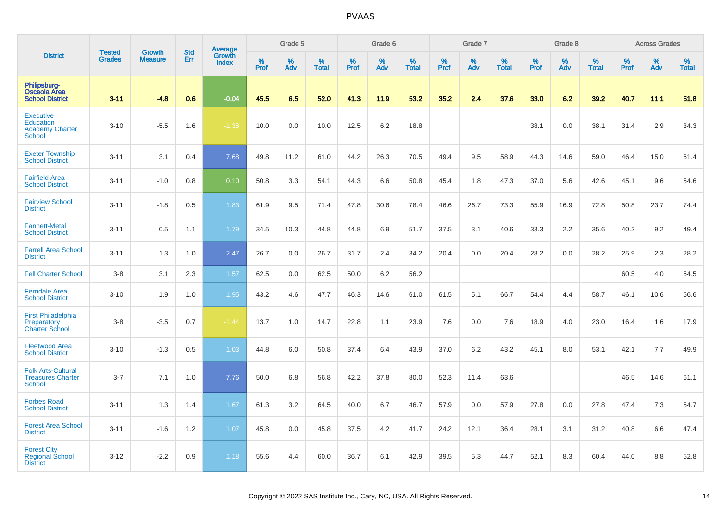|                                                                                 | <b>Tested</b> | <b>Growth</b>  | <b>Std</b> | Average                |           | Grade 5  |                   |                  | Grade 6  |                   |                  | Grade 7  |                   |                  | Grade 8  |                   |                  | <b>Across Grades</b> |                   |
|---------------------------------------------------------------------------------|---------------|----------------|------------|------------------------|-----------|----------|-------------------|------------------|----------|-------------------|------------------|----------|-------------------|------------------|----------|-------------------|------------------|----------------------|-------------------|
| <b>District</b>                                                                 | <b>Grades</b> | <b>Measure</b> | Err        | Growth<br><b>Index</b> | %<br>Prof | %<br>Adv | %<br><b>Total</b> | %<br><b>Prof</b> | %<br>Adv | %<br><b>Total</b> | %<br><b>Prof</b> | %<br>Adv | %<br><b>Total</b> | %<br><b>Prof</b> | %<br>Adv | %<br><b>Total</b> | %<br><b>Prof</b> | %<br>Adv             | %<br><b>Total</b> |
| Philipsburg-<br><b>Osceola Area</b><br><b>School District</b>                   | $3 - 11$      | $-4.8$         | 0.6        | $-0.04$                | 45.5      | 6.5      | 52.0              | 41.3             | 11.9     | 53.2              | 35.2             | 2.4      | 37.6              | 33.0             | 6.2      | 39.2              | 40.7             | 11.1                 | 51.8              |
| <b>Executive</b><br><b>Education</b><br><b>Academy Charter</b><br><b>School</b> | $3 - 10$      | $-5.5$         | 1.6        | $-1.38$                | 10.0      | 0.0      | 10.0              | 12.5             | 6.2      | 18.8              |                  |          |                   | 38.1             | 0.0      | 38.1              | 31.4             | 2.9                  | 34.3              |
| <b>Exeter Township</b><br><b>School District</b>                                | $3 - 11$      | 3.1            | 0.4        | 7.68                   | 49.8      | 11.2     | 61.0              | 44.2             | 26.3     | 70.5              | 49.4             | 9.5      | 58.9              | 44.3             | 14.6     | 59.0              | 46.4             | 15.0                 | 61.4              |
| <b>Fairfield Area</b><br><b>School District</b>                                 | $3 - 11$      | $-1.0$         | 0.8        | 0.10                   | 50.8      | 3.3      | 54.1              | 44.3             | 6.6      | 50.8              | 45.4             | 1.8      | 47.3              | 37.0             | 5.6      | 42.6              | 45.1             | 9.6                  | 54.6              |
| <b>Fairview School</b><br><b>District</b>                                       | $3 - 11$      | $-1.8$         | 0.5        | 1.83                   | 61.9      | 9.5      | 71.4              | 47.8             | 30.6     | 78.4              | 46.6             | 26.7     | 73.3              | 55.9             | 16.9     | 72.8              | 50.8             | 23.7                 | 74.4              |
| <b>Fannett-Metal</b><br><b>School District</b>                                  | $3 - 11$      | 0.5            | 1.1        | 1.79                   | 34.5      | 10.3     | 44.8              | 44.8             | 6.9      | 51.7              | 37.5             | 3.1      | 40.6              | 33.3             | 2.2      | 35.6              | 40.2             | 9.2                  | 49.4              |
| <b>Farrell Area School</b><br><b>District</b>                                   | $3 - 11$      | 1.3            | 1.0        | 2.47                   | 26.7      | 0.0      | 26.7              | 31.7             | 2.4      | 34.2              | 20.4             | 0.0      | 20.4              | 28.2             | 0.0      | 28.2              | 25.9             | 2.3                  | 28.2              |
| <b>Fell Charter School</b>                                                      | $3 - 8$       | 3.1            | 2.3        | 1.57                   | 62.5      | 0.0      | 62.5              | 50.0             | 6.2      | 56.2              |                  |          |                   |                  |          |                   | 60.5             | 4.0                  | 64.5              |
| <b>Ferndale Area</b><br><b>School District</b>                                  | $3 - 10$      | 1.9            | 1.0        | 1.95                   | 43.2      | 4.6      | 47.7              | 46.3             | 14.6     | 61.0              | 61.5             | 5.1      | 66.7              | 54.4             | 4.4      | 58.7              | 46.1             | 10.6                 | 56.6              |
| <b>First Philadelphia</b><br>Preparatory<br><b>Charter School</b>               | $3 - 8$       | $-3.5$         | 0.7        | $-1.44$                | 13.7      | 1.0      | 14.7              | 22.8             | 1.1      | 23.9              | 7.6              | 0.0      | 7.6               | 18.9             | 4.0      | 23.0              | 16.4             | 1.6                  | 17.9              |
| <b>Fleetwood Area</b><br><b>School District</b>                                 | $3 - 10$      | $-1.3$         | 0.5        | 1.03                   | 44.8      | 6.0      | 50.8              | 37.4             | 6.4      | 43.9              | 37.0             | 6.2      | 43.2              | 45.1             | 8.0      | 53.1              | 42.1             | 7.7                  | 49.9              |
| <b>Folk Arts-Cultural</b><br><b>Treasures Charter</b><br>School                 | $3 - 7$       | 7.1            | 1.0        | 7.76                   | 50.0      | 6.8      | 56.8              | 42.2             | 37.8     | 80.0              | 52.3             | 11.4     | 63.6              |                  |          |                   | 46.5             | 14.6                 | 61.1              |
| <b>Forbes Road</b><br><b>School District</b>                                    | $3 - 11$      | 1.3            | 1.4        | 1.67                   | 61.3      | 3.2      | 64.5              | 40.0             | 6.7      | 46.7              | 57.9             | 0.0      | 57.9              | 27.8             | 0.0      | 27.8              | 47.4             | 7.3                  | 54.7              |
| <b>Forest Area School</b><br><b>District</b>                                    | $3 - 11$      | $-1.6$         | 1.2        | 1.07                   | 45.8      | 0.0      | 45.8              | 37.5             | 4.2      | 41.7              | 24.2             | 12.1     | 36.4              | 28.1             | 3.1      | 31.2              | 40.8             | 6.6                  | 47.4              |
| <b>Forest City</b><br><b>Regional School</b><br><b>District</b>                 | $3 - 12$      | $-2.2$         | 0.9        | 1.18                   | 55.6      | 4.4      | 60.0              | 36.7             | 6.1      | 42.9              | 39.5             | 5.3      | 44.7              | 52.1             | 8.3      | 60.4              | 44.0             | 8.8                  | 52.8              |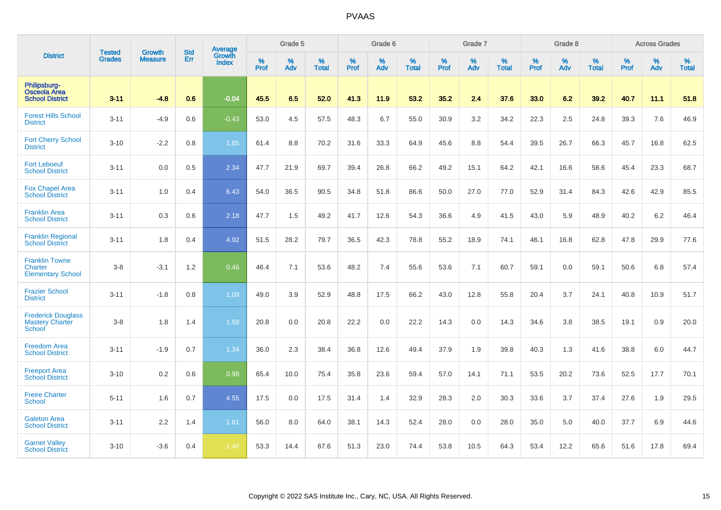|                                                                      | <b>Tested</b> | <b>Growth</b>  | <b>Std</b> | Average                       |           | Grade 5  |                   |           | Grade 6  |                   |           | Grade 7  |                   |           | Grade 8  |                   |           | <b>Across Grades</b> |                   |
|----------------------------------------------------------------------|---------------|----------------|------------|-------------------------------|-----------|----------|-------------------|-----------|----------|-------------------|-----------|----------|-------------------|-----------|----------|-------------------|-----------|----------------------|-------------------|
| <b>District</b>                                                      | <b>Grades</b> | <b>Measure</b> | Err        | <b>Growth</b><br><b>Index</b> | %<br>Prof | %<br>Adv | %<br><b>Total</b> | %<br>Prof | %<br>Adv | %<br><b>Total</b> | %<br>Prof | %<br>Adv | %<br><b>Total</b> | %<br>Prof | %<br>Adv | %<br><b>Total</b> | %<br>Prof | %<br>Adv             | %<br><b>Total</b> |
| Philipsburg-<br><b>Osceola Area</b><br><b>School District</b>        | $3 - 11$      | $-4.8$         | 0.6        | $-0.04$                       | 45.5      | 6.5      | 52.0              | 41.3      | 11.9     | 53.2              | 35.2      | 2.4      | 37.6              | 33.0      | 6.2      | 39.2              | 40.7      | 11.1                 | 51.8              |
| <b>Forest Hills School</b><br><b>District</b>                        | $3 - 11$      | $-4.9$         | 0.6        | $-0.43$                       | 53.0      | 4.5      | 57.5              | 48.3      | 6.7      | 55.0              | 30.9      | 3.2      | 34.2              | 22.3      | 2.5      | 24.8              | 39.3      | 7.6                  | 46.9              |
| <b>Fort Cherry School</b><br><b>District</b>                         | $3 - 10$      | $-2.2$         | 0.8        | 1.85                          | 61.4      | 8.8      | 70.2              | 31.6      | 33.3     | 64.9              | 45.6      | 8.8      | 54.4              | 39.5      | 26.7     | 66.3              | 45.7      | 16.8                 | 62.5              |
| <b>Fort Leboeuf</b><br><b>School District</b>                        | $3 - 11$      | 0.0            | 0.5        | 2.34                          | 47.7      | 21.9     | 69.7              | 39.4      | 26.8     | 66.2              | 49.2      | 15.1     | 64.2              | 42.1      | 16.6     | 58.6              | 45.4      | 23.3                 | 68.7              |
| <b>Fox Chapel Area</b><br><b>School District</b>                     | $3 - 11$      | 1.0            | 0.4        | 6.43                          | 54.0      | 36.5     | 90.5              | 34.8      | 51.8     | 86.6              | 50.0      | 27.0     | 77.0              | 52.9      | 31.4     | 84.3              | 42.6      | 42.9                 | 85.5              |
| <b>Franklin Area</b><br><b>School District</b>                       | $3 - 11$      | 0.3            | 0.6        | 2.18                          | 47.7      | 1.5      | 49.2              | 41.7      | 12.6     | 54.3              | 36.6      | 4.9      | 41.5              | 43.0      | 5.9      | 48.9              | 40.2      | 6.2                  | 46.4              |
| <b>Franklin Regional</b><br><b>School District</b>                   | $3 - 11$      | 1.8            | 0.4        | 4.92                          | 51.5      | 28.2     | 79.7              | 36.5      | 42.3     | 78.8              | 55.2      | 18.9     | 74.1              | 46.1      | 16.8     | 62.8              | 47.8      | 29.9                 | 77.6              |
| <b>Franklin Towne</b><br><b>Charter</b><br><b>Elementary School</b>  | $3-8$         | $-3.1$         | 1.2        | 0.46                          | 46.4      | 7.1      | 53.6              | 48.2      | 7.4      | 55.6              | 53.6      | 7.1      | 60.7              | 59.1      | 0.0      | 59.1              | 50.6      | 6.8                  | 57.4              |
| <b>Frazier School</b><br><b>District</b>                             | $3 - 11$      | $-1.8$         | 0.8        | 1.09                          | 49.0      | 3.9      | 52.9              | 48.8      | 17.5     | 66.2              | 43.0      | 12.8     | 55.8              | 20.4      | 3.7      | 24.1              | 40.8      | 10.9                 | 51.7              |
| <b>Frederick Douglass</b><br><b>Mastery Charter</b><br><b>School</b> | $3-8$         | 1.8            | 1.4        | 1.59                          | 20.8      | 0.0      | 20.8              | 22.2      | 0.0      | 22.2              | 14.3      | 0.0      | 14.3              | 34.6      | 3.8      | 38.5              | 19.1      | 0.9                  | 20.0              |
| <b>Freedom Area</b><br><b>School District</b>                        | $3 - 11$      | $-1.9$         | 0.7        | 1.34                          | 36.0      | 2.3      | 38.4              | 36.8      | 12.6     | 49.4              | 37.9      | 1.9      | 39.8              | 40.3      | 1.3      | 41.6              | 38.8      | 6.0                  | 44.7              |
| <b>Freeport Area</b><br><b>School District</b>                       | $3 - 10$      | 0.2            | 0.6        | 0.98                          | 65.4      | 10.0     | 75.4              | 35.8      | 23.6     | 59.4              | 57.0      | 14.1     | 71.1              | 53.5      | 20.2     | 73.6              | 52.5      | 17.7                 | 70.1              |
| <b>Freire Charter</b><br><b>School</b>                               | $5 - 11$      | 1.6            | 0.7        | 4.55                          | 17.5      | 0.0      | 17.5              | 31.4      | 1.4      | 32.9              | 28.3      | 2.0      | 30.3              | 33.6      | 3.7      | 37.4              | 27.6      | 1.9                  | 29.5              |
| <b>Galeton Area</b><br><b>School District</b>                        | $3 - 11$      | 2.2            | 1.4        | 1.61                          | 56.0      | 8.0      | 64.0              | 38.1      | 14.3     | 52.4              | 28.0      | 0.0      | 28.0              | 35.0      | 5.0      | 40.0              | 37.7      | 6.9                  | 44.6              |
| <b>Garnet Valley</b><br><b>School District</b>                       | $3 - 10$      | $-3.6$         | 0.4        | $-1.48$                       | 53.3      | 14.4     | 67.6              | 51.3      | 23.0     | 74.4              | 53.8      | 10.5     | 64.3              | 53.4      | 12.2     | 65.6              | 51.6      | 17.8                 | 69.4              |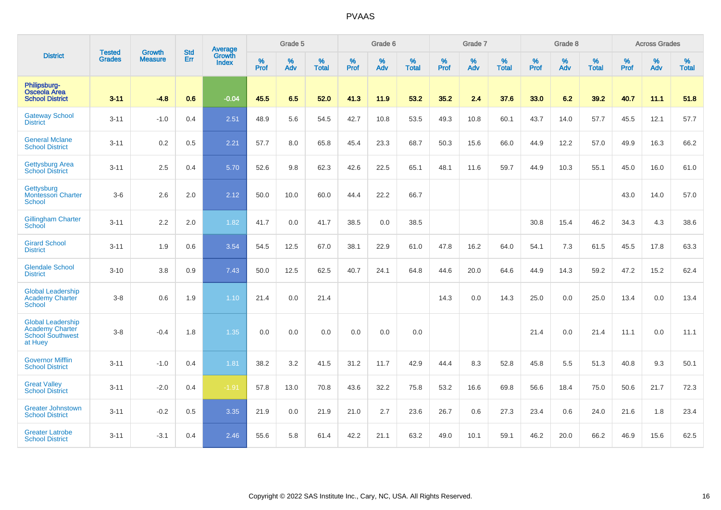|                                                                                          |                                | <b>Growth</b>  | <b>Std</b> | Average                |                     | Grade 5  |                   |                     | Grade 6  |                   |                     | Grade 7  |                   |                     | Grade 8  |                   |                     | <b>Across Grades</b> |                   |
|------------------------------------------------------------------------------------------|--------------------------------|----------------|------------|------------------------|---------------------|----------|-------------------|---------------------|----------|-------------------|---------------------|----------|-------------------|---------------------|----------|-------------------|---------------------|----------------------|-------------------|
| <b>District</b>                                                                          | <b>Tested</b><br><b>Grades</b> | <b>Measure</b> | Err        | Growth<br><b>Index</b> | $\%$<br><b>Prof</b> | %<br>Adv | %<br><b>Total</b> | $\%$<br><b>Prof</b> | %<br>Adv | %<br><b>Total</b> | $\%$<br><b>Prof</b> | %<br>Adv | %<br><b>Total</b> | $\%$<br><b>Prof</b> | %<br>Adv | %<br><b>Total</b> | $\%$<br><b>Prof</b> | %<br>Adv             | %<br><b>Total</b> |
| Philipsburg-<br><b>Osceola Area</b><br><b>School District</b>                            | $3 - 11$                       | $-4.8$         | 0.6        | $-0.04$                | 45.5                | 6.5      | 52.0              | 41.3                | 11.9     | 53.2              | 35.2                | 2.4      | 37.6              | 33.0                | 6.2      | 39.2              | 40.7                | 11.1                 | 51.8              |
| <b>Gateway School</b><br><b>District</b>                                                 | $3 - 11$                       | $-1.0$         | 0.4        | 2.51                   | 48.9                | 5.6      | 54.5              | 42.7                | 10.8     | 53.5              | 49.3                | 10.8     | 60.1              | 43.7                | 14.0     | 57.7              | 45.5                | 12.1                 | 57.7              |
| <b>General Mclane</b><br><b>School District</b>                                          | $3 - 11$                       | 0.2            | 0.5        | 2.21                   | 57.7                | 8.0      | 65.8              | 45.4                | 23.3     | 68.7              | 50.3                | 15.6     | 66.0              | 44.9                | 12.2     | 57.0              | 49.9                | 16.3                 | 66.2              |
| <b>Gettysburg Area</b><br><b>School District</b>                                         | $3 - 11$                       | 2.5            | 0.4        | 5.70                   | 52.6                | 9.8      | 62.3              | 42.6                | 22.5     | 65.1              | 48.1                | 11.6     | 59.7              | 44.9                | 10.3     | 55.1              | 45.0                | 16.0                 | 61.0              |
| Gettysburg<br>Montessori Charter<br><b>School</b>                                        | $3-6$                          | 2.6            | 2.0        | 2.12                   | 50.0                | 10.0     | 60.0              | 44.4                | 22.2     | 66.7              |                     |          |                   |                     |          |                   | 43.0                | 14.0                 | 57.0              |
| <b>Gillingham Charter</b><br>School                                                      | $3 - 11$                       | 2.2            | 2.0        | 1.82                   | 41.7                | 0.0      | 41.7              | 38.5                | 0.0      | 38.5              |                     |          |                   | 30.8                | 15.4     | 46.2              | 34.3                | 4.3                  | 38.6              |
| <b>Girard School</b><br><b>District</b>                                                  | $3 - 11$                       | 1.9            | 0.6        | 3.54                   | 54.5                | 12.5     | 67.0              | 38.1                | 22.9     | 61.0              | 47.8                | 16.2     | 64.0              | 54.1                | 7.3      | 61.5              | 45.5                | 17.8                 | 63.3              |
| <b>Glendale School</b><br><b>District</b>                                                | $3 - 10$                       | 3.8            | 0.9        | 7.43                   | 50.0                | 12.5     | 62.5              | 40.7                | 24.1     | 64.8              | 44.6                | 20.0     | 64.6              | 44.9                | 14.3     | 59.2              | 47.2                | 15.2                 | 62.4              |
| <b>Global Leadership</b><br><b>Academy Charter</b><br>School                             | $3 - 8$                        | 0.6            | 1.9        | 1.10                   | 21.4                | 0.0      | 21.4              |                     |          |                   | 14.3                | 0.0      | 14.3              | 25.0                | 0.0      | 25.0              | 13.4                | 0.0                  | 13.4              |
| <b>Global Leadership</b><br><b>Academy Charter</b><br><b>School Southwest</b><br>at Huey | $3-8$                          | $-0.4$         | 1.8        | 1.35                   | 0.0                 | 0.0      | 0.0               | 0.0                 | 0.0      | 0.0               |                     |          |                   | 21.4                | 0.0      | 21.4              | 11.1                | 0.0                  | 11.1              |
| <b>Governor Mifflin</b><br><b>School District</b>                                        | $3 - 11$                       | $-1.0$         | 0.4        | 1.81                   | 38.2                | 3.2      | 41.5              | 31.2                | 11.7     | 42.9              | 44.4                | 8.3      | 52.8              | 45.8                | 5.5      | 51.3              | 40.8                | 9.3                  | 50.1              |
| <b>Great Valley</b><br><b>School District</b>                                            | $3 - 11$                       | $-2.0$         | 0.4        | $-1.91$                | 57.8                | 13.0     | 70.8              | 43.6                | 32.2     | 75.8              | 53.2                | 16.6     | 69.8              | 56.6                | 18.4     | 75.0              | 50.6                | 21.7                 | 72.3              |
| <b>Greater Johnstown</b><br><b>School District</b>                                       | $3 - 11$                       | $-0.2$         | 0.5        | 3.35                   | 21.9                | 0.0      | 21.9              | 21.0                | 2.7      | 23.6              | 26.7                | 0.6      | 27.3              | 23.4                | 0.6      | 24.0              | 21.6                | 1.8                  | 23.4              |
| <b>Greater Latrobe</b><br><b>School District</b>                                         | $3 - 11$                       | $-3.1$         | 0.4        | 2.46                   | 55.6                | 5.8      | 61.4              | 42.2                | 21.1     | 63.2              | 49.0                | 10.1     | 59.1              | 46.2                | 20.0     | 66.2              | 46.9                | 15.6                 | 62.5              |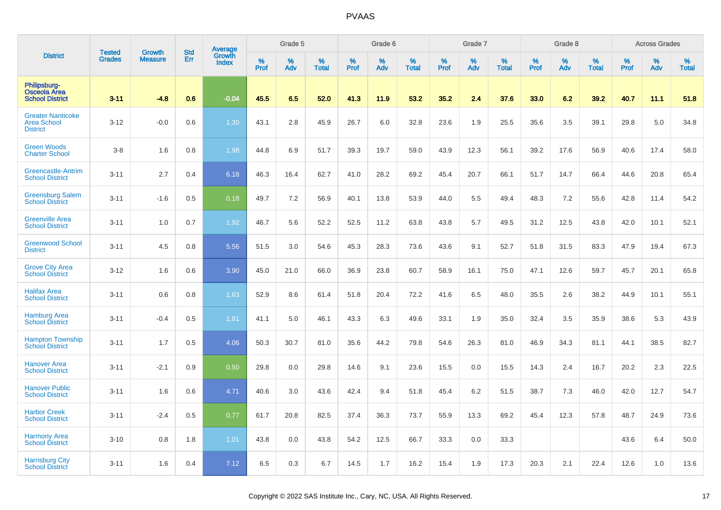|                                                                   | <b>Tested</b> |                          | <b>Std</b> | Average                       |           | Grade 5  |                   |           | Grade 6  |                   |           | Grade 7  |                   |           | Grade 8  |                   |           | <b>Across Grades</b> |                   |
|-------------------------------------------------------------------|---------------|--------------------------|------------|-------------------------------|-----------|----------|-------------------|-----------|----------|-------------------|-----------|----------|-------------------|-----------|----------|-------------------|-----------|----------------------|-------------------|
| <b>District</b>                                                   | <b>Grades</b> | Growth<br><b>Measure</b> | Err        | <b>Growth</b><br><b>Index</b> | %<br>Prof | %<br>Adv | %<br><b>Total</b> | %<br>Prof | %<br>Adv | %<br><b>Total</b> | %<br>Prof | %<br>Adv | %<br><b>Total</b> | %<br>Prof | %<br>Adv | %<br><b>Total</b> | %<br>Prof | $\%$<br>Adv          | %<br><b>Total</b> |
| Philipsburg-<br>Osceola Area<br><b>School District</b>            | $3 - 11$      | $-4.8$                   | 0.6        | $-0.04$                       | 45.5      | 6.5      | 52.0              | 41.3      | 11.9     | 53.2              | 35.2      | 2.4      | 37.6              | 33.0      | 6.2      | 39.2              | 40.7      | 11.1                 | 51.8              |
| <b>Greater Nanticoke</b><br><b>Area School</b><br><b>District</b> | $3 - 12$      | $-0.0$                   | 0.6        | 1.30                          | 43.1      | 2.8      | 45.9              | 26.7      | 6.0      | 32.8              | 23.6      | 1.9      | 25.5              | 35.6      | 3.5      | 39.1              | 29.8      | 5.0                  | 34.8              |
| <b>Green Woods</b><br><b>Charter School</b>                       | $3 - 8$       | 1.6                      | 0.8        | 1.98                          | 44.8      | 6.9      | 51.7              | 39.3      | 19.7     | 59.0              | 43.9      | 12.3     | 56.1              | 39.2      | 17.6     | 56.9              | 40.6      | 17.4                 | 58.0              |
| Greencastle-Antrim<br><b>School District</b>                      | $3 - 11$      | 2.7                      | 0.4        | 6.18                          | 46.3      | 16.4     | 62.7              | 41.0      | 28.2     | 69.2              | 45.4      | 20.7     | 66.1              | 51.7      | 14.7     | 66.4              | 44.6      | 20.8                 | 65.4              |
| <b>Greensburg Salem</b><br><b>School District</b>                 | $3 - 11$      | $-1.6$                   | 0.5        | 0.18                          | 49.7      | 7.2      | 56.9              | 40.1      | 13.8     | 53.9              | 44.0      | 5.5      | 49.4              | 48.3      | 7.2      | 55.6              | 42.8      | 11.4                 | 54.2              |
| <b>Greenville Area</b><br><b>School District</b>                  | $3 - 11$      | 1.0                      | 0.7        | 1.92                          | 46.7      | 5.6      | 52.2              | 52.5      | 11.2     | 63.8              | 43.8      | 5.7      | 49.5              | 31.2      | 12.5     | 43.8              | 42.0      | 10.1                 | 52.1              |
| <b>Greenwood School</b><br><b>District</b>                        | $3 - 11$      | 4.5                      | 0.8        | 5.56                          | 51.5      | 3.0      | 54.6              | 45.3      | 28.3     | 73.6              | 43.6      | 9.1      | 52.7              | 51.8      | 31.5     | 83.3              | 47.9      | 19.4                 | 67.3              |
| <b>Grove City Area</b><br><b>School District</b>                  | $3 - 12$      | 1.6                      | 0.6        | 3.90                          | 45.0      | 21.0     | 66.0              | 36.9      | 23.8     | 60.7              | 58.9      | 16.1     | 75.0              | 47.1      | 12.6     | 59.7              | 45.7      | 20.1                 | 65.8              |
| <b>Halifax Area</b><br><b>School District</b>                     | $3 - 11$      | 0.6                      | 0.8        | 1.63                          | 52.9      | 8.6      | 61.4              | 51.8      | 20.4     | 72.2              | 41.6      | 6.5      | 48.0              | 35.5      | 2.6      | 38.2              | 44.9      | 10.1                 | 55.1              |
| <b>Hamburg Area</b><br><b>School District</b>                     | $3 - 11$      | $-0.4$                   | 0.5        | 1.81                          | 41.1      | 5.0      | 46.1              | 43.3      | 6.3      | 49.6              | 33.1      | 1.9      | 35.0              | 32.4      | 3.5      | 35.9              | 38.6      | 5.3                  | 43.9              |
| <b>Hampton Township</b><br><b>School District</b>                 | $3 - 11$      | 1.7                      | 0.5        | 4.06                          | 50.3      | 30.7     | 81.0              | 35.6      | 44.2     | 79.8              | 54.6      | 26.3     | 81.0              | 46.9      | 34.3     | 81.1              | 44.1      | 38.5                 | 82.7              |
| <b>Hanover Area</b><br><b>School District</b>                     | $3 - 11$      | $-2.1$                   | 0.9        | 0.50                          | 29.8      | 0.0      | 29.8              | 14.6      | 9.1      | 23.6              | 15.5      | 0.0      | 15.5              | 14.3      | 2.4      | 16.7              | 20.2      | 2.3                  | 22.5              |
| <b>Hanover Public</b><br><b>School District</b>                   | $3 - 11$      | 1.6                      | 0.6        | 4.71                          | 40.6      | 3.0      | 43.6              | 42.4      | 9.4      | 51.8              | 45.4      | 6.2      | 51.5              | 38.7      | 7.3      | 46.0              | 42.0      | 12.7                 | 54.7              |
| <b>Harbor Creek</b><br><b>School District</b>                     | $3 - 11$      | $-2.4$                   | 0.5        | 0.77                          | 61.7      | 20.8     | 82.5              | 37.4      | 36.3     | 73.7              | 55.9      | 13.3     | 69.2              | 45.4      | 12.3     | 57.8              | 48.7      | 24.9                 | 73.6              |
| <b>Harmony Area</b><br><b>School District</b>                     | $3 - 10$      | 0.8                      | 1.8        | 1.01                          | 43.8      | 0.0      | 43.8              | 54.2      | 12.5     | 66.7              | 33.3      | 0.0      | 33.3              |           |          |                   | 43.6      | 6.4                  | 50.0              |
| <b>Harrisburg City</b><br><b>School District</b>                  | $3 - 11$      | 1.6                      | 0.4        | 7.12                          | 6.5       | 0.3      | 6.7               | 14.5      | 1.7      | 16.2              | 15.4      | 1.9      | 17.3              | 20.3      | 2.1      | 22.4              | 12.6      | 1.0                  | 13.6              |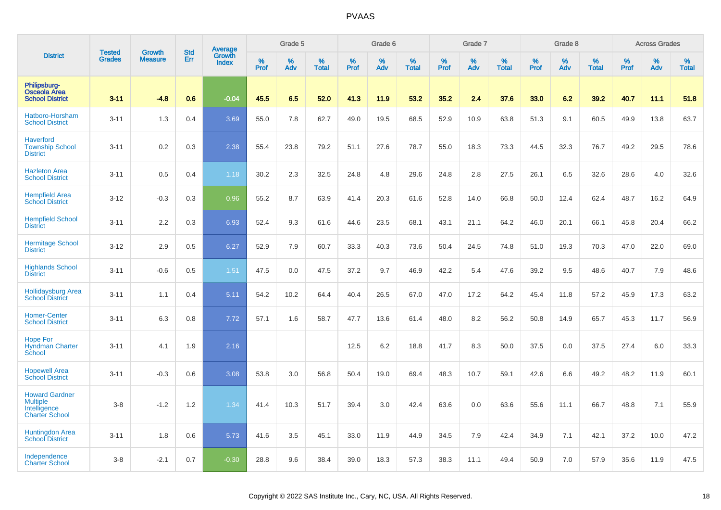|                                                                                   |                                | <b>Growth</b>  | <b>Std</b> | <b>Average</b><br>Growth |              | Grade 5  |                   |           | Grade 6  |                   |           | Grade 7  |                   |           | Grade 8  |                   |                  | <b>Across Grades</b> |                   |
|-----------------------------------------------------------------------------------|--------------------------------|----------------|------------|--------------------------|--------------|----------|-------------------|-----------|----------|-------------------|-----------|----------|-------------------|-----------|----------|-------------------|------------------|----------------------|-------------------|
| <b>District</b>                                                                   | <b>Tested</b><br><b>Grades</b> | <b>Measure</b> | Err        | <b>Index</b>             | $\%$<br>Prof | %<br>Adv | %<br><b>Total</b> | %<br>Prof | %<br>Adv | %<br><b>Total</b> | %<br>Prof | %<br>Adv | %<br><b>Total</b> | %<br>Prof | %<br>Adv | %<br><b>Total</b> | %<br><b>Prof</b> | %<br>Adv             | %<br><b>Total</b> |
| Philipsburg-<br><b>Osceola Area</b><br><b>School District</b>                     | $3 - 11$                       | $-4.8$         | 0.6        | $-0.04$                  | 45.5         | 6.5      | 52.0              | 41.3      | 11.9     | 53.2              | 35.2      | 2.4      | 37.6              | 33.0      | 6.2      | 39.2              | 40.7             | 11.1                 | 51.8              |
| Hatboro-Horsham<br><b>School District</b>                                         | $3 - 11$                       | 1.3            | 0.4        | 3.69                     | 55.0         | 7.8      | 62.7              | 49.0      | 19.5     | 68.5              | 52.9      | 10.9     | 63.8              | 51.3      | 9.1      | 60.5              | 49.9             | 13.8                 | 63.7              |
| <b>Haverford</b><br><b>Township School</b><br><b>District</b>                     | $3 - 11$                       | 0.2            | 0.3        | 2.38                     | 55.4         | 23.8     | 79.2              | 51.1      | 27.6     | 78.7              | 55.0      | 18.3     | 73.3              | 44.5      | 32.3     | 76.7              | 49.2             | 29.5                 | 78.6              |
| <b>Hazleton Area</b><br><b>School District</b>                                    | $3 - 11$                       | 0.5            | 0.4        | 1.18                     | 30.2         | 2.3      | 32.5              | 24.8      | 4.8      | 29.6              | 24.8      | 2.8      | 27.5              | 26.1      | 6.5      | 32.6              | 28.6             | 4.0                  | 32.6              |
| <b>Hempfield Area</b><br><b>School District</b>                                   | $3 - 12$                       | $-0.3$         | 0.3        | 0.96                     | 55.2         | 8.7      | 63.9              | 41.4      | 20.3     | 61.6              | 52.8      | 14.0     | 66.8              | 50.0      | 12.4     | 62.4              | 48.7             | 16.2                 | 64.9              |
| <b>Hempfield School</b><br><b>District</b>                                        | $3 - 11$                       | 2.2            | 0.3        | 6.93                     | 52.4         | 9.3      | 61.6              | 44.6      | 23.5     | 68.1              | 43.1      | 21.1     | 64.2              | 46.0      | 20.1     | 66.1              | 45.8             | 20.4                 | 66.2              |
| <b>Hermitage School</b><br><b>District</b>                                        | $3-12$                         | 2.9            | 0.5        | 6.27                     | 52.9         | 7.9      | 60.7              | 33.3      | 40.3     | 73.6              | 50.4      | 24.5     | 74.8              | 51.0      | 19.3     | 70.3              | 47.0             | 22.0                 | 69.0              |
| <b>Highlands School</b><br><b>District</b>                                        | $3 - 11$                       | $-0.6$         | 0.5        | 1.51                     | 47.5         | 0.0      | 47.5              | 37.2      | 9.7      | 46.9              | 42.2      | 5.4      | 47.6              | 39.2      | 9.5      | 48.6              | 40.7             | 7.9                  | 48.6              |
| <b>Hollidaysburg Area</b><br>School District                                      | $3 - 11$                       | 1.1            | 0.4        | 5.11                     | 54.2         | 10.2     | 64.4              | 40.4      | 26.5     | 67.0              | 47.0      | 17.2     | 64.2              | 45.4      | 11.8     | 57.2              | 45.9             | 17.3                 | 63.2              |
| <b>Homer-Center</b><br><b>School District</b>                                     | $3 - 11$                       | 6.3            | 0.8        | 7.72                     | 57.1         | 1.6      | 58.7              | 47.7      | 13.6     | 61.4              | 48.0      | 8.2      | 56.2              | 50.8      | 14.9     | 65.7              | 45.3             | 11.7                 | 56.9              |
| <b>Hope For</b><br><b>Hyndman Charter</b><br>School                               | $3 - 11$                       | 4.1            | 1.9        | 2.16                     |              |          |                   | 12.5      | 6.2      | 18.8              | 41.7      | 8.3      | 50.0              | 37.5      | 0.0      | 37.5              | 27.4             | 6.0                  | 33.3              |
| <b>Hopewell Area</b><br><b>School District</b>                                    | $3 - 11$                       | $-0.3$         | 0.6        | 3.08                     | 53.8         | 3.0      | 56.8              | 50.4      | 19.0     | 69.4              | 48.3      | 10.7     | 59.1              | 42.6      | 6.6      | 49.2              | 48.2             | 11.9                 | 60.1              |
| <b>Howard Gardner</b><br><b>Multiple</b><br>Intelligence<br><b>Charter School</b> | $3-8$                          | $-1.2$         | 1.2        | 1.34                     | 41.4         | 10.3     | 51.7              | 39.4      | 3.0      | 42.4              | 63.6      | 0.0      | 63.6              | 55.6      | 11.1     | 66.7              | 48.8             | 7.1                  | 55.9              |
| Huntingdon Area<br><b>School District</b>                                         | $3 - 11$                       | 1.8            | 0.6        | 5.73                     | 41.6         | 3.5      | 45.1              | 33.0      | 11.9     | 44.9              | 34.5      | 7.9      | 42.4              | 34.9      | 7.1      | 42.1              | 37.2             | 10.0                 | 47.2              |
| Independence<br><b>Charter School</b>                                             | $3-8$                          | $-2.1$         | 0.7        | $-0.30$                  | 28.8         | 9.6      | 38.4              | 39.0      | 18.3     | 57.3              | 38.3      | 11.1     | 49.4              | 50.9      | 7.0      | 57.9              | 35.6             | 11.9                 | 47.5              |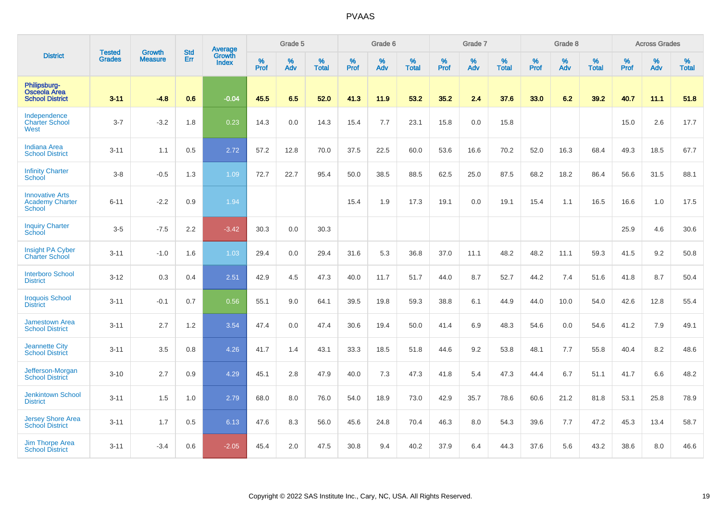|                                                                   | <b>Tested</b> | <b>Growth</b>  | <b>Std</b> | Average                |           | Grade 5  |                   |           | Grade 6  |                   |           | Grade 7  |                   |           | Grade 8  |                   |           | <b>Across Grades</b> |                   |
|-------------------------------------------------------------------|---------------|----------------|------------|------------------------|-----------|----------|-------------------|-----------|----------|-------------------|-----------|----------|-------------------|-----------|----------|-------------------|-----------|----------------------|-------------------|
| <b>District</b>                                                   | <b>Grades</b> | <b>Measure</b> | Err        | Growth<br><b>Index</b> | %<br>Prof | %<br>Adv | %<br><b>Total</b> | %<br>Prof | %<br>Adv | %<br><b>Total</b> | %<br>Prof | %<br>Adv | %<br><b>Total</b> | %<br>Prof | %<br>Adv | %<br><b>Total</b> | %<br>Prof | %<br>Adv             | %<br><b>Total</b> |
| Philipsburg-<br><b>Osceola Area</b><br><b>School District</b>     | $3 - 11$      | $-4.8$         | 0.6        | $-0.04$                | 45.5      | 6.5      | 52.0              | 41.3      | 11.9     | 53.2              | 35.2      | 2.4      | 37.6              | 33.0      | 6.2      | 39.2              | 40.7      | 11.1                 | 51.8              |
| Independence<br><b>Charter School</b><br>West                     | $3 - 7$       | $-3.2$         | 1.8        | 0.23                   | 14.3      | 0.0      | 14.3              | 15.4      | 7.7      | 23.1              | 15.8      | 0.0      | 15.8              |           |          |                   | 15.0      | 2.6                  | 17.7              |
| <b>Indiana Area</b><br><b>School District</b>                     | $3 - 11$      | 1.1            | 0.5        | 2.72                   | 57.2      | 12.8     | 70.0              | 37.5      | 22.5     | 60.0              | 53.6      | 16.6     | 70.2              | 52.0      | 16.3     | 68.4              | 49.3      | 18.5                 | 67.7              |
| <b>Infinity Charter</b><br>School                                 | $3-8$         | $-0.5$         | 1.3        | 1.09                   | 72.7      | 22.7     | 95.4              | 50.0      | 38.5     | 88.5              | 62.5      | 25.0     | 87.5              | 68.2      | 18.2     | 86.4              | 56.6      | 31.5                 | 88.1              |
| <b>Innovative Arts</b><br><b>Academy Charter</b><br><b>School</b> | $6 - 11$      | $-2.2$         | 0.9        | 1.94                   |           |          |                   | 15.4      | 1.9      | 17.3              | 19.1      | 0.0      | 19.1              | 15.4      | 1.1      | 16.5              | 16.6      | 1.0                  | 17.5              |
| <b>Inquiry Charter</b><br>School                                  | $3-5$         | $-7.5$         | 2.2        | $-3.42$                | 30.3      | 0.0      | 30.3              |           |          |                   |           |          |                   |           |          |                   | 25.9      | 4.6                  | 30.6              |
| Insight PA Cyber<br><b>Charter School</b>                         | $3 - 11$      | $-1.0$         | 1.6        | 1.03                   | 29.4      | 0.0      | 29.4              | 31.6      | 5.3      | 36.8              | 37.0      | 11.1     | 48.2              | 48.2      | 11.1     | 59.3              | 41.5      | 9.2                  | 50.8              |
| <b>Interboro School</b><br><b>District</b>                        | $3 - 12$      | 0.3            | 0.4        | 2.51                   | 42.9      | 4.5      | 47.3              | 40.0      | 11.7     | 51.7              | 44.0      | 8.7      | 52.7              | 44.2      | 7.4      | 51.6              | 41.8      | 8.7                  | 50.4              |
| <b>Iroquois School</b><br><b>District</b>                         | $3 - 11$      | $-0.1$         | 0.7        | 0.56                   | 55.1      | 9.0      | 64.1              | 39.5      | 19.8     | 59.3              | 38.8      | 6.1      | 44.9              | 44.0      | 10.0     | 54.0              | 42.6      | 12.8                 | 55.4              |
| <b>Jamestown Area</b><br><b>School District</b>                   | $3 - 11$      | 2.7            | 1.2        | 3.54                   | 47.4      | 0.0      | 47.4              | 30.6      | 19.4     | 50.0              | 41.4      | 6.9      | 48.3              | 54.6      | 0.0      | 54.6              | 41.2      | 7.9                  | 49.1              |
| <b>Jeannette City</b><br><b>School District</b>                   | $3 - 11$      | 3.5            | 0.8        | 4.26                   | 41.7      | 1.4      | 43.1              | 33.3      | 18.5     | 51.8              | 44.6      | 9.2      | 53.8              | 48.1      | 7.7      | 55.8              | 40.4      | 8.2                  | 48.6              |
| Jefferson-Morgan<br><b>School District</b>                        | $3 - 10$      | 2.7            | 0.9        | 4.29                   | 45.1      | 2.8      | 47.9              | 40.0      | 7.3      | 47.3              | 41.8      | 5.4      | 47.3              | 44.4      | 6.7      | 51.1              | 41.7      | 6.6                  | 48.2              |
| <b>Jenkintown School</b><br><b>District</b>                       | $3 - 11$      | 1.5            | 1.0        | 2.79                   | 68.0      | 8.0      | 76.0              | 54.0      | 18.9     | 73.0              | 42.9      | 35.7     | 78.6              | 60.6      | 21.2     | 81.8              | 53.1      | 25.8                 | 78.9              |
| Jersey Shore Area<br><b>School District</b>                       | $3 - 11$      | 1.7            | 0.5        | 6.13                   | 47.6      | 8.3      | 56.0              | 45.6      | 24.8     | 70.4              | 46.3      | 8.0      | 54.3              | 39.6      | 7.7      | 47.2              | 45.3      | 13.4                 | 58.7              |
| <b>Jim Thorpe Area</b><br><b>School District</b>                  | $3 - 11$      | $-3.4$         | 0.6        | $-2.05$                | 45.4      | 2.0      | 47.5              | 30.8      | 9.4      | 40.2              | 37.9      | 6.4      | 44.3              | 37.6      | 5.6      | 43.2              | 38.6      | 8.0                  | 46.6              |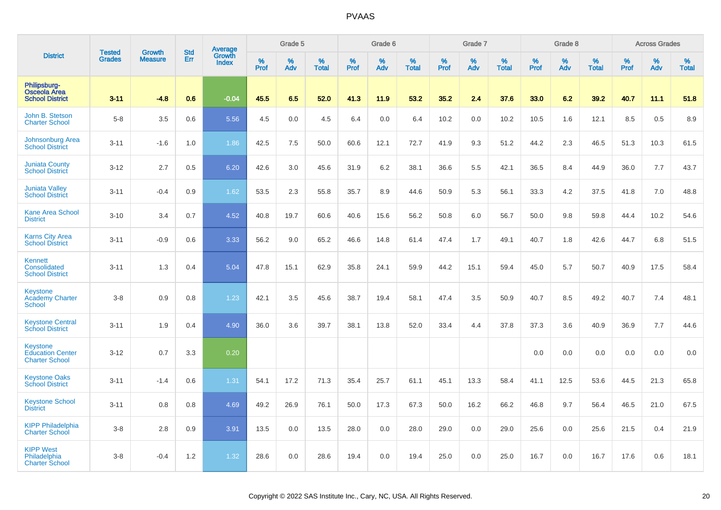|                                                               | <b>Tested</b> | Growth         | <b>Std</b> | Average                |           | Grade 5  |                   |           | Grade 6  |                   |           | Grade 7  |                   |           | Grade 8  |                   |           | <b>Across Grades</b> |                   |
|---------------------------------------------------------------|---------------|----------------|------------|------------------------|-----------|----------|-------------------|-----------|----------|-------------------|-----------|----------|-------------------|-----------|----------|-------------------|-----------|----------------------|-------------------|
| <b>District</b>                                               | <b>Grades</b> | <b>Measure</b> | Err        | Growth<br><b>Index</b> | %<br>Prof | %<br>Adv | %<br><b>Total</b> | %<br>Prof | %<br>Adv | %<br><b>Total</b> | %<br>Prof | %<br>Adv | %<br><b>Total</b> | %<br>Prof | %<br>Adv | %<br><b>Total</b> | %<br>Prof | %<br>Adv             | %<br><b>Total</b> |
| Philipsburg-<br><b>Osceola Area</b><br><b>School District</b> | $3 - 11$      | $-4.8$         | 0.6        | $-0.04$                | 45.5      | 6.5      | 52.0              | 41.3      | 11.9     | 53.2              | 35.2      | 2.4      | 37.6              | 33.0      | 6.2      | 39.2              | 40.7      | 11.1                 | 51.8              |
| John B. Stetson<br><b>Charter School</b>                      | $5 - 8$       | 3.5            | 0.6        | 5.56                   | 4.5       | 0.0      | 4.5               | 6.4       | 0.0      | 6.4               | 10.2      | 0.0      | 10.2              | 10.5      | 1.6      | 12.1              | 8.5       | 0.5                  | 8.9               |
| Johnsonburg Area<br><b>School District</b>                    | $3 - 11$      | $-1.6$         | 1.0        | 1.86                   | 42.5      | 7.5      | 50.0              | 60.6      | 12.1     | 72.7              | 41.9      | 9.3      | 51.2              | 44.2      | 2.3      | 46.5              | 51.3      | 10.3                 | 61.5              |
| <b>Juniata County</b><br><b>School District</b>               | $3 - 12$      | 2.7            | 0.5        | 6.20                   | 42.6      | 3.0      | 45.6              | 31.9      | 6.2      | 38.1              | 36.6      | 5.5      | 42.1              | 36.5      | 8.4      | 44.9              | 36.0      | 7.7                  | 43.7              |
| <b>Juniata Valley</b><br><b>School District</b>               | $3 - 11$      | $-0.4$         | 0.9        | 1.62                   | 53.5      | 2.3      | 55.8              | 35.7      | 8.9      | 44.6              | 50.9      | 5.3      | 56.1              | 33.3      | 4.2      | 37.5              | 41.8      | 7.0                  | 48.8              |
| <b>Kane Area School</b><br><b>District</b>                    | $3 - 10$      | 3.4            | 0.7        | 4.52                   | 40.8      | 19.7     | 60.6              | 40.6      | 15.6     | 56.2              | 50.8      | 6.0      | 56.7              | 50.0      | 9.8      | 59.8              | 44.4      | 10.2                 | 54.6              |
| <b>Karns City Area</b><br><b>School District</b>              | $3 - 11$      | $-0.9$         | 0.6        | 3.33                   | 56.2      | 9.0      | 65.2              | 46.6      | 14.8     | 61.4              | 47.4      | 1.7      | 49.1              | 40.7      | 1.8      | 42.6              | 44.7      | 6.8                  | 51.5              |
| Kennett<br>Consolidated<br><b>School District</b>             | $3 - 11$      | 1.3            | 0.4        | 5.04                   | 47.8      | 15.1     | 62.9              | 35.8      | 24.1     | 59.9              | 44.2      | 15.1     | 59.4              | 45.0      | 5.7      | 50.7              | 40.9      | 17.5                 | 58.4              |
| Keystone<br><b>Academy Charter</b><br><b>School</b>           | $3-8$         | 0.9            | 0.8        | 1.23                   | 42.1      | 3.5      | 45.6              | 38.7      | 19.4     | 58.1              | 47.4      | 3.5      | 50.9              | 40.7      | 8.5      | 49.2              | 40.7      | 7.4                  | 48.1              |
| <b>Keystone Central</b><br><b>School District</b>             | $3 - 11$      | 1.9            | 0.4        | 4.90                   | 36.0      | 3.6      | 39.7              | 38.1      | 13.8     | 52.0              | 33.4      | 4.4      | 37.8              | 37.3      | 3.6      | 40.9              | 36.9      | 7.7                  | 44.6              |
| Keystone<br><b>Education Center</b><br><b>Charter School</b>  | $3 - 12$      | 0.7            | 3.3        | 0.20                   |           |          |                   |           |          |                   |           |          |                   | 0.0       | 0.0      | 0.0               | 0.0       | 0.0                  | 0.0               |
| <b>Keystone Oaks</b><br><b>School District</b>                | $3 - 11$      | $-1.4$         | 0.6        | 1.31                   | 54.1      | 17.2     | 71.3              | 35.4      | 25.7     | 61.1              | 45.1      | 13.3     | 58.4              | 41.1      | 12.5     | 53.6              | 44.5      | 21.3                 | 65.8              |
| <b>Keystone School</b><br><b>District</b>                     | $3 - 11$      | 0.8            | 0.8        | 4.69                   | 49.2      | 26.9     | 76.1              | 50.0      | 17.3     | 67.3              | 50.0      | 16.2     | 66.2              | 46.8      | 9.7      | 56.4              | 46.5      | 21.0                 | 67.5              |
| <b>KIPP Philadelphia</b><br><b>Charter School</b>             | $3-8$         | 2.8            | 0.9        | 3.91                   | 13.5      | 0.0      | 13.5              | 28.0      | 0.0      | 28.0              | 29.0      | 0.0      | 29.0              | 25.6      | 0.0      | 25.6              | 21.5      | 0.4                  | 21.9              |
| <b>KIPP West</b><br>Philadelphia<br><b>Charter School</b>     | $3-8$         | $-0.4$         | 1.2        | 1.32                   | 28.6      | 0.0      | 28.6              | 19.4      | 0.0      | 19.4              | 25.0      | 0.0      | 25.0              | 16.7      | 0.0      | 16.7              | 17.6      | 0.6                  | 18.1              |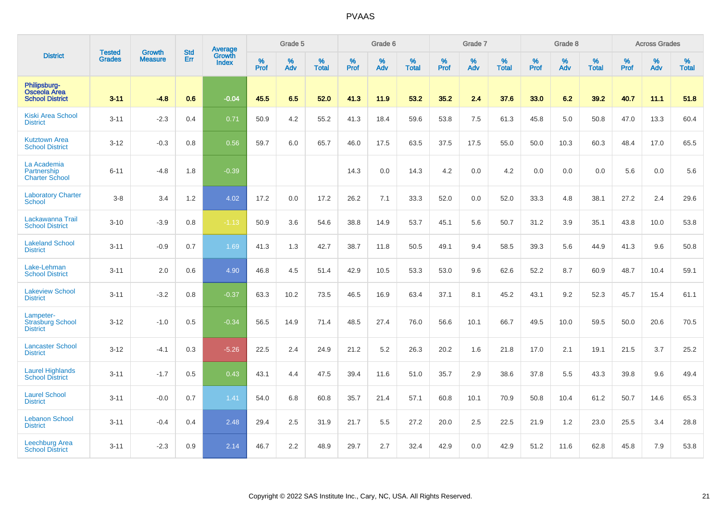|                                                               |                                |                                 | <b>Std</b> | Average                       |           | Grade 5  |                   |           | Grade 6  |                   |           | Grade 7  |                   |           | Grade 8  |                   |           | <b>Across Grades</b> |                   |
|---------------------------------------------------------------|--------------------------------|---------------------------------|------------|-------------------------------|-----------|----------|-------------------|-----------|----------|-------------------|-----------|----------|-------------------|-----------|----------|-------------------|-----------|----------------------|-------------------|
| <b>District</b>                                               | <b>Tested</b><br><b>Grades</b> | <b>Growth</b><br><b>Measure</b> | Err        | <b>Growth</b><br><b>Index</b> | %<br>Prof | %<br>Adv | %<br><b>Total</b> | %<br>Prof | %<br>Adv | %<br><b>Total</b> | %<br>Prof | %<br>Adv | %<br><b>Total</b> | %<br>Prof | %<br>Adv | %<br><b>Total</b> | %<br>Prof | %<br>Adv             | %<br><b>Total</b> |
| Philipsburg-<br><b>Osceola Area</b><br><b>School District</b> | $3 - 11$                       | $-4.8$                          | 0.6        | $-0.04$                       | 45.5      | 6.5      | 52.0              | 41.3      | 11.9     | 53.2              | 35.2      | 2.4      | 37.6              | 33.0      | 6.2      | 39.2              | 40.7      | 11.1                 | 51.8              |
| <b>Kiski Area School</b><br><b>District</b>                   | $3 - 11$                       | $-2.3$                          | 0.4        | 0.71                          | 50.9      | 4.2      | 55.2              | 41.3      | 18.4     | 59.6              | 53.8      | 7.5      | 61.3              | 45.8      | 5.0      | 50.8              | 47.0      | 13.3                 | 60.4              |
| <b>Kutztown Area</b><br><b>School District</b>                | $3 - 12$                       | $-0.3$                          | 0.8        | 0.56                          | 59.7      | 6.0      | 65.7              | 46.0      | 17.5     | 63.5              | 37.5      | 17.5     | 55.0              | 50.0      | 10.3     | 60.3              | 48.4      | 17.0                 | 65.5              |
| La Academia<br>Partnership<br><b>Charter School</b>           | $6 - 11$                       | $-4.8$                          | 1.8        | $-0.39$                       |           |          |                   | 14.3      | 0.0      | 14.3              | 4.2       | 0.0      | 4.2               | 0.0       | 0.0      | 0.0               | 5.6       | 0.0                  | 5.6               |
| <b>Laboratory Charter</b><br><b>School</b>                    | $3-8$                          | 3.4                             | 1.2        | 4.02                          | 17.2      | 0.0      | 17.2              | 26.2      | 7.1      | 33.3              | 52.0      | 0.0      | 52.0              | 33.3      | 4.8      | 38.1              | 27.2      | 2.4                  | 29.6              |
| Lackawanna Trail<br><b>School District</b>                    | $3 - 10$                       | $-3.9$                          | 0.8        | $-1.13$                       | 50.9      | 3.6      | 54.6              | 38.8      | 14.9     | 53.7              | 45.1      | 5.6      | 50.7              | 31.2      | 3.9      | 35.1              | 43.8      | 10.0                 | 53.8              |
| <b>Lakeland School</b><br><b>District</b>                     | $3 - 11$                       | $-0.9$                          | 0.7        | 1.69                          | 41.3      | 1.3      | 42.7              | 38.7      | 11.8     | 50.5              | 49.1      | 9.4      | 58.5              | 39.3      | 5.6      | 44.9              | 41.3      | 9.6                  | 50.8              |
| Lake-Lehman<br><b>School District</b>                         | $3 - 11$                       | 2.0                             | 0.6        | 4.90                          | 46.8      | 4.5      | 51.4              | 42.9      | 10.5     | 53.3              | 53.0      | 9.6      | 62.6              | 52.2      | 8.7      | 60.9              | 48.7      | 10.4                 | 59.1              |
| <b>Lakeview School</b><br><b>District</b>                     | $3 - 11$                       | $-3.2$                          | 0.8        | $-0.37$                       | 63.3      | 10.2     | 73.5              | 46.5      | 16.9     | 63.4              | 37.1      | 8.1      | 45.2              | 43.1      | 9.2      | 52.3              | 45.7      | 15.4                 | 61.1              |
| Lampeter-<br><b>Strasburg School</b><br><b>District</b>       | $3 - 12$                       | $-1.0$                          | 0.5        | $-0.34$                       | 56.5      | 14.9     | 71.4              | 48.5      | 27.4     | 76.0              | 56.6      | 10.1     | 66.7              | 49.5      | 10.0     | 59.5              | 50.0      | 20.6                 | 70.5              |
| <b>Lancaster School</b><br><b>District</b>                    | $3 - 12$                       | $-4.1$                          | 0.3        | $-5.26$                       | 22.5      | 2.4      | 24.9              | 21.2      | 5.2      | 26.3              | 20.2      | 1.6      | 21.8              | 17.0      | 2.1      | 19.1              | 21.5      | 3.7                  | 25.2              |
| <b>Laurel Highlands</b><br><b>School District</b>             | $3 - 11$                       | $-1.7$                          | 0.5        | 0.43                          | 43.1      | 4.4      | 47.5              | 39.4      | 11.6     | 51.0              | 35.7      | 2.9      | 38.6              | 37.8      | 5.5      | 43.3              | 39.8      | 9.6                  | 49.4              |
| <b>Laurel School</b><br><b>District</b>                       | $3 - 11$                       | $-0.0$                          | 0.7        | 1.41                          | 54.0      | 6.8      | 60.8              | 35.7      | 21.4     | 57.1              | 60.8      | 10.1     | 70.9              | 50.8      | 10.4     | 61.2              | 50.7      | 14.6                 | 65.3              |
| <b>Lebanon School</b><br><b>District</b>                      | $3 - 11$                       | $-0.4$                          | 0.4        | 2.48                          | 29.4      | 2.5      | 31.9              | 21.7      | 5.5      | 27.2              | 20.0      | 2.5      | 22.5              | 21.9      | 1.2      | 23.0              | 25.5      | 3.4                  | 28.8              |
| <b>Leechburg Area</b><br><b>School District</b>               | $3 - 11$                       | $-2.3$                          | 0.9        | 2.14                          | 46.7      | 2.2      | 48.9              | 29.7      | 2.7      | 32.4              | 42.9      | 0.0      | 42.9              | 51.2      | 11.6     | 62.8              | 45.8      | 7.9                  | 53.8              |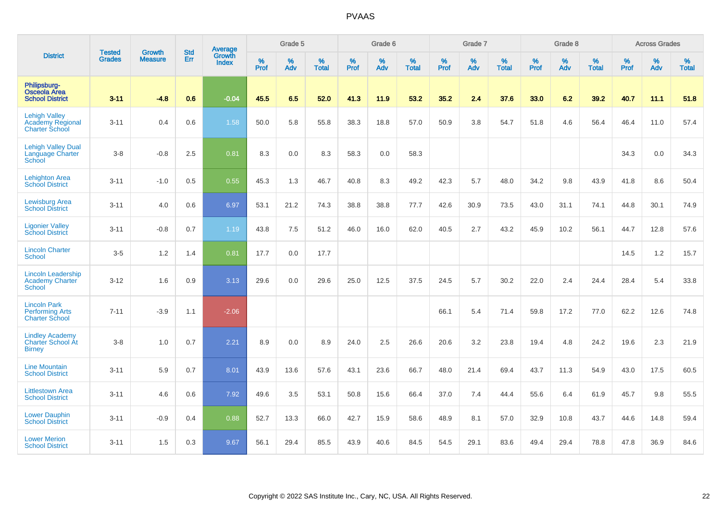|                                                                          | <b>Tested</b> | <b>Growth</b>  | <b>Std</b> | Average                |                     | Grade 5  |                   |              | Grade 6  |                   |              | Grade 7  |                   |              | Grade 8  |                   |           | <b>Across Grades</b> |                   |
|--------------------------------------------------------------------------|---------------|----------------|------------|------------------------|---------------------|----------|-------------------|--------------|----------|-------------------|--------------|----------|-------------------|--------------|----------|-------------------|-----------|----------------------|-------------------|
| <b>District</b>                                                          | <b>Grades</b> | <b>Measure</b> | Err        | Growth<br><b>Index</b> | $\%$<br><b>Prof</b> | %<br>Adv | %<br><b>Total</b> | $\%$<br>Prof | %<br>Adv | %<br><b>Total</b> | $\%$<br>Prof | %<br>Adv | %<br><b>Total</b> | $\%$<br>Prof | %<br>Adv | %<br><b>Total</b> | %<br>Prof | %<br>Adv             | %<br><b>Total</b> |
| Philipsburg-<br><b>Osceola Area</b><br><b>School District</b>            | $3 - 11$      | $-4.8$         | 0.6        | $-0.04$                | 45.5                | 6.5      | 52.0              | 41.3         | 11.9     | 53.2              | 35.2         | 2.4      | 37.6              | 33.0         | 6.2      | 39.2              | 40.7      | 11.1                 | 51.8              |
| <b>Lehigh Valley</b><br><b>Academy Regional</b><br><b>Charter School</b> | $3 - 11$      | 0.4            | 0.6        | 1.58                   | 50.0                | 5.8      | 55.8              | 38.3         | 18.8     | 57.0              | 50.9         | 3.8      | 54.7              | 51.8         | 4.6      | 56.4              | 46.4      | 11.0                 | 57.4              |
| <b>Lehigh Valley Dual</b><br><b>Language Charter</b><br>School           | $3-8$         | $-0.8$         | 2.5        | 0.81                   | 8.3                 | 0.0      | 8.3               | 58.3         | 0.0      | 58.3              |              |          |                   |              |          |                   | 34.3      | 0.0                  | 34.3              |
| <b>Lehighton Area</b><br><b>School District</b>                          | $3 - 11$      | $-1.0$         | 0.5        | 0.55                   | 45.3                | 1.3      | 46.7              | 40.8         | 8.3      | 49.2              | 42.3         | 5.7      | 48.0              | 34.2         | 9.8      | 43.9              | 41.8      | 8.6                  | 50.4              |
| <b>Lewisburg Area</b><br><b>School District</b>                          | $3 - 11$      | 4.0            | 0.6        | 6.97                   | 53.1                | 21.2     | 74.3              | 38.8         | 38.8     | 77.7              | 42.6         | 30.9     | 73.5              | 43.0         | 31.1     | 74.1              | 44.8      | 30.1                 | 74.9              |
| <b>Ligonier Valley</b><br><b>School District</b>                         | $3 - 11$      | $-0.8$         | 0.7        | 1.19                   | 43.8                | 7.5      | 51.2              | 46.0         | 16.0     | 62.0              | 40.5         | 2.7      | 43.2              | 45.9         | 10.2     | 56.1              | 44.7      | 12.8                 | 57.6              |
| <b>Lincoln Charter</b><br><b>School</b>                                  | $3-5$         | 1.2            | 1.4        | 0.81                   | 17.7                | 0.0      | 17.7              |              |          |                   |              |          |                   |              |          |                   | 14.5      | $1.2$                | 15.7              |
| <b>Lincoln Leadership</b><br><b>Academy Charter</b><br><b>School</b>     | $3 - 12$      | 1.6            | 0.9        | 3.13                   | 29.6                | 0.0      | 29.6              | 25.0         | 12.5     | 37.5              | 24.5         | 5.7      | 30.2              | 22.0         | 2.4      | 24.4              | 28.4      | 5.4                  | 33.8              |
| <b>Lincoln Park</b><br><b>Performing Arts</b><br><b>Charter School</b>   | $7 - 11$      | $-3.9$         | 1.1        | $-2.06$                |                     |          |                   |              |          |                   | 66.1         | 5.4      | 71.4              | 59.8         | 17.2     | 77.0              | 62.2      | 12.6                 | 74.8              |
| <b>Lindley Academy</b><br>Charter School At<br><b>Birney</b>             | $3-8$         | 1.0            | 0.7        | 2.21                   | 8.9                 | 0.0      | 8.9               | 24.0         | 2.5      | 26.6              | 20.6         | 3.2      | 23.8              | 19.4         | 4.8      | 24.2              | 19.6      | 2.3                  | 21.9              |
| <b>Line Mountain</b><br><b>School District</b>                           | $3 - 11$      | 5.9            | 0.7        | 8.01                   | 43.9                | 13.6     | 57.6              | 43.1         | 23.6     | 66.7              | 48.0         | 21.4     | 69.4              | 43.7         | 11.3     | 54.9              | 43.0      | 17.5                 | 60.5              |
| <b>Littlestown Area</b><br><b>School District</b>                        | $3 - 11$      | 4.6            | 0.6        | 7.92                   | 49.6                | 3.5      | 53.1              | 50.8         | 15.6     | 66.4              | 37.0         | 7.4      | 44.4              | 55.6         | 6.4      | 61.9              | 45.7      | 9.8                  | 55.5              |
| <b>Lower Dauphin</b><br><b>School District</b>                           | $3 - 11$      | $-0.9$         | 0.4        | 0.88                   | 52.7                | 13.3     | 66.0              | 42.7         | 15.9     | 58.6              | 48.9         | 8.1      | 57.0              | 32.9         | 10.8     | 43.7              | 44.6      | 14.8                 | 59.4              |
| <b>Lower Merion</b><br><b>School District</b>                            | $3 - 11$      | 1.5            | 0.3        | 9.67                   | 56.1                | 29.4     | 85.5              | 43.9         | 40.6     | 84.5              | 54.5         | 29.1     | 83.6              | 49.4         | 29.4     | 78.8              | 47.8      | 36.9                 | 84.6              |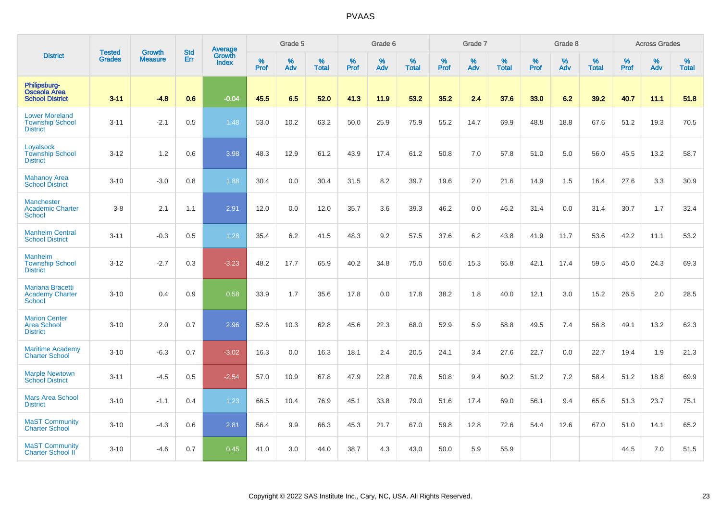|                                                                    |                                |                                 | <b>Std</b> | Average                |           | Grade 5  |                   |           | Grade 6  |                   |                  | Grade 7  |                   |                  | Grade 8  |                   |                  | <b>Across Grades</b> |                   |
|--------------------------------------------------------------------|--------------------------------|---------------------------------|------------|------------------------|-----------|----------|-------------------|-----------|----------|-------------------|------------------|----------|-------------------|------------------|----------|-------------------|------------------|----------------------|-------------------|
| <b>District</b>                                                    | <b>Tested</b><br><b>Grades</b> | <b>Growth</b><br><b>Measure</b> | Err        | Growth<br><b>Index</b> | %<br>Prof | %<br>Adv | %<br><b>Total</b> | %<br>Prof | %<br>Adv | %<br><b>Total</b> | %<br><b>Prof</b> | %<br>Adv | %<br><b>Total</b> | %<br><b>Prof</b> | %<br>Adv | %<br><b>Total</b> | %<br><b>Prof</b> | $\%$<br>Adv          | %<br><b>Total</b> |
| Philipsburg-<br><b>Osceola Area</b><br><b>School District</b>      | $3 - 11$                       | $-4.8$                          | 0.6        | $-0.04$                | 45.5      | 6.5      | 52.0              | 41.3      | 11.9     | 53.2              | 35.2             | 2.4      | 37.6              | 33.0             | 6.2      | 39.2              | 40.7             | 11.1                 | 51.8              |
| <b>Lower Moreland</b><br><b>Township School</b><br><b>District</b> | $3 - 11$                       | $-2.1$                          | 0.5        | 1.48                   | 53.0      | 10.2     | 63.2              | 50.0      | 25.9     | 75.9              | 55.2             | 14.7     | 69.9              | 48.8             | 18.8     | 67.6              | 51.2             | 19.3                 | 70.5              |
| Loyalsock<br><b>Township School</b><br><b>District</b>             | $3 - 12$                       | 1.2                             | 0.6        | 3.98                   | 48.3      | 12.9     | 61.2              | 43.9      | 17.4     | 61.2              | 50.8             | 7.0      | 57.8              | 51.0             | 5.0      | 56.0              | 45.5             | 13.2                 | 58.7              |
| <b>Mahanoy Area</b><br><b>School District</b>                      | $3 - 10$                       | $-3.0$                          | 0.8        | 1.88                   | 30.4      | 0.0      | 30.4              | 31.5      | 8.2      | 39.7              | 19.6             | 2.0      | 21.6              | 14.9             | 1.5      | 16.4              | 27.6             | 3.3                  | 30.9              |
| Manchester<br><b>Academic Charter</b><br><b>School</b>             | $3-8$                          | 2.1                             | 1.1        | 2.91                   | 12.0      | 0.0      | 12.0              | 35.7      | 3.6      | 39.3              | 46.2             | 0.0      | 46.2              | 31.4             | 0.0      | 31.4              | 30.7             | 1.7                  | 32.4              |
| <b>Manheim Central</b><br><b>School District</b>                   | $3 - 11$                       | $-0.3$                          | 0.5        | 1.28                   | 35.4      | 6.2      | 41.5              | 48.3      | 9.2      | 57.5              | 37.6             | 6.2      | 43.8              | 41.9             | 11.7     | 53.6              | 42.2             | 11.1                 | 53.2              |
| <b>Manheim</b><br><b>Township School</b><br><b>District</b>        | $3 - 12$                       | $-2.7$                          | 0.3        | $-3.23$                | 48.2      | 17.7     | 65.9              | 40.2      | 34.8     | 75.0              | 50.6             | 15.3     | 65.8              | 42.1             | 17.4     | 59.5              | 45.0             | 24.3                 | 69.3              |
| <b>Mariana Bracetti</b><br><b>Academy Charter</b><br><b>School</b> | $3 - 10$                       | 0.4                             | 0.9        | 0.58                   | 33.9      | 1.7      | 35.6              | 17.8      | 0.0      | 17.8              | 38.2             | 1.8      | 40.0              | 12.1             | 3.0      | 15.2              | 26.5             | 2.0                  | 28.5              |
| <b>Marion Center</b><br><b>Area School</b><br><b>District</b>      | $3 - 10$                       | 2.0                             | 0.7        | 2.96                   | 52.6      | 10.3     | 62.8              | 45.6      | 22.3     | 68.0              | 52.9             | 5.9      | 58.8              | 49.5             | 7.4      | 56.8              | 49.1             | 13.2                 | 62.3              |
| <b>Maritime Academy</b><br><b>Charter School</b>                   | $3 - 10$                       | $-6.3$                          | 0.7        | $-3.02$                | 16.3      | 0.0      | 16.3              | 18.1      | 2.4      | 20.5              | 24.1             | 3.4      | 27.6              | 22.7             | 0.0      | 22.7              | 19.4             | 1.9                  | 21.3              |
| <b>Marple Newtown</b><br><b>School District</b>                    | $3 - 11$                       | $-4.5$                          | 0.5        | $-2.54$                | 57.0      | 10.9     | 67.8              | 47.9      | 22.8     | 70.6              | 50.8             | 9.4      | 60.2              | 51.2             | 7.2      | 58.4              | 51.2             | 18.8                 | 69.9              |
| <b>Mars Area School</b><br><b>District</b>                         | $3 - 10$                       | $-1.1$                          | 0.4        | 1.23                   | 66.5      | 10.4     | 76.9              | 45.1      | 33.8     | 79.0              | 51.6             | 17.4     | 69.0              | 56.1             | 9.4      | 65.6              | 51.3             | 23.7                 | 75.1              |
| <b>MaST Community</b><br><b>Charter School</b>                     | $3 - 10$                       | $-4.3$                          | 0.6        | 2.81                   | 56.4      | 9.9      | 66.3              | 45.3      | 21.7     | 67.0              | 59.8             | 12.8     | 72.6              | 54.4             | 12.6     | 67.0              | 51.0             | 14.1                 | 65.2              |
| <b>MaST Community</b><br><b>Charter School II</b>                  | $3 - 10$                       | $-4.6$                          | 0.7        | 0.45                   | 41.0      | 3.0      | 44.0              | 38.7      | 4.3      | 43.0              | 50.0             | 5.9      | 55.9              |                  |          |                   | 44.5             | 7.0                  | 51.5              |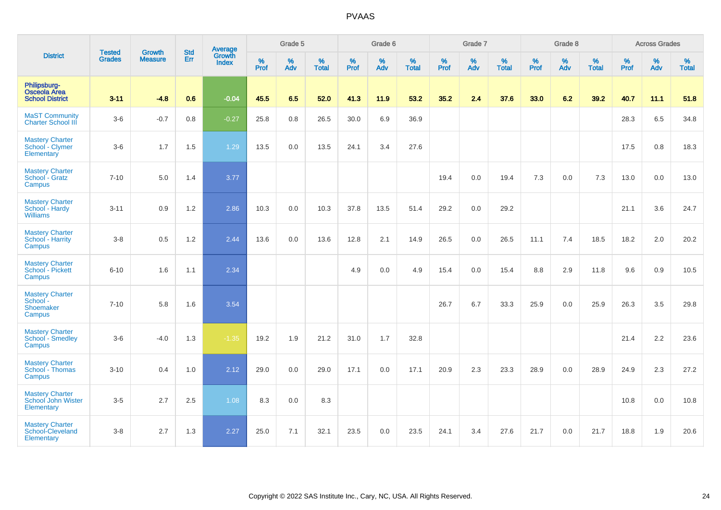|                                                               |                                |                          | <b>Std</b> | Average                |                     | Grade 5     |                      |                     | Grade 6  |                      |              | Grade 7  |                   |              | Grade 8  |                   |              | <b>Across Grades</b> |                   |
|---------------------------------------------------------------|--------------------------------|--------------------------|------------|------------------------|---------------------|-------------|----------------------|---------------------|----------|----------------------|--------------|----------|-------------------|--------------|----------|-------------------|--------------|----------------------|-------------------|
| <b>District</b>                                               | <b>Tested</b><br><b>Grades</b> | Growth<br><b>Measure</b> | Err        | Growth<br><b>Index</b> | $\%$<br><b>Prof</b> | $\%$<br>Adv | $\%$<br><b>Total</b> | $\%$<br><b>Prof</b> | %<br>Adv | $\%$<br><b>Total</b> | $\%$<br>Prof | %<br>Adv | %<br><b>Total</b> | $\%$<br>Prof | %<br>Adv | %<br><b>Total</b> | $\%$<br>Prof | $\%$<br>Adv          | %<br><b>Total</b> |
| Philipsburg-<br><b>Osceola Area</b><br><b>School District</b> | $3 - 11$                       | $-4.8$                   | 0.6        | $-0.04$                | 45.5                | 6.5         | 52.0                 | 41.3                | 11.9     | 53.2                 | 35.2         | 2.4      | 37.6              | 33.0         | 6.2      | 39.2              | 40.7         | 11.1                 | 51.8              |
| <b>MaST Community</b><br><b>Charter School III</b>            | $3-6$                          | $-0.7$                   | 0.8        | $-0.27$                | 25.8                | 0.8         | 26.5                 | 30.0                | 6.9      | 36.9                 |              |          |                   |              |          |                   | 28.3         | 6.5                  | 34.8              |
| <b>Mastery Charter</b><br>School - Clymer<br>Elementary       | $3-6$                          | 1.7                      | 1.5        | 1.29                   | 13.5                | 0.0         | 13.5                 | 24.1                | 3.4      | 27.6                 |              |          |                   |              |          |                   | 17.5         | $0.8\,$              | 18.3              |
| <b>Mastery Charter</b><br>School - Gratz<br>Campus            | $7 - 10$                       | 5.0                      | 1.4        | 3.77                   |                     |             |                      |                     |          |                      | 19.4         | 0.0      | 19.4              | 7.3          | 0.0      | 7.3               | 13.0         | 0.0                  | 13.0              |
| <b>Mastery Charter</b><br>School - Hardy<br><b>Williams</b>   | $3 - 11$                       | 0.9                      | 1.2        | 2.86                   | 10.3                | 0.0         | 10.3                 | 37.8                | 13.5     | 51.4                 | 29.2         | 0.0      | 29.2              |              |          |                   | 21.1         | 3.6                  | 24.7              |
| <b>Mastery Charter</b><br>School - Harrity<br>Campus          | $3-8$                          | 0.5                      | 1.2        | 2.44                   | 13.6                | 0.0         | 13.6                 | 12.8                | 2.1      | 14.9                 | 26.5         | 0.0      | 26.5              | 11.1         | 7.4      | 18.5              | 18.2         | 2.0                  | 20.2              |
| <b>Mastery Charter</b><br>School - Pickett<br>Campus          | $6 - 10$                       | 1.6                      | 1.1        | 2.34                   |                     |             |                      | 4.9                 | 0.0      | 4.9                  | 15.4         | 0.0      | 15.4              | 8.8          | 2.9      | 11.8              | 9.6          | 0.9                  | 10.5              |
| <b>Mastery Charter</b><br>School -<br>Shoemaker<br>Campus     | $7 - 10$                       | 5.8                      | 1.6        | 3.54                   |                     |             |                      |                     |          |                      | 26.7         | 6.7      | 33.3              | 25.9         | 0.0      | 25.9              | 26.3         | 3.5                  | 29.8              |
| <b>Mastery Charter</b><br><b>School - Smedley</b><br>Campus   | $3-6$                          | $-4.0$                   | 1.3        | $-1.35$                | 19.2                | 1.9         | 21.2                 | 31.0                | 1.7      | 32.8                 |              |          |                   |              |          |                   | 21.4         | 2.2                  | 23.6              |
| <b>Mastery Charter</b><br>School - Thomas<br>Campus           | $3 - 10$                       | 0.4                      | 1.0        | 2.12                   | 29.0                | 0.0         | 29.0                 | 17.1                | 0.0      | 17.1                 | 20.9         | 2.3      | 23.3              | 28.9         | 0.0      | 28.9              | 24.9         | 2.3                  | 27.2              |
| <b>Mastery Charter</b><br>School John Wister<br>Elementary    | $3-5$                          | 2.7                      | 2.5        | 1.08                   | 8.3                 | 0.0         | 8.3                  |                     |          |                      |              |          |                   |              |          |                   | 10.8         | 0.0                  | 10.8              |
| <b>Mastery Charter</b><br>School-Cleveland<br>Elementary      | $3-8$                          | 2.7                      | 1.3        | 2.27                   | 25.0                | 7.1         | 32.1                 | 23.5                | 0.0      | 23.5                 | 24.1         | 3.4      | 27.6              | 21.7         | 0.0      | 21.7              | 18.8         | 1.9                  | 20.6              |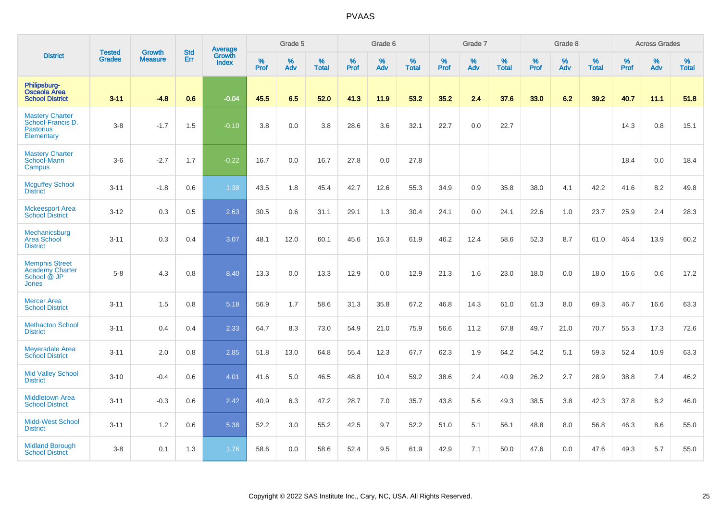|                                                                               |                                |                                 | <b>Std</b> | Average                |              | Grade 5  |                      |           | Grade 6  |                   |              | Grade 7  |                   |           | Grade 8  |                   |           | <b>Across Grades</b> |                   |
|-------------------------------------------------------------------------------|--------------------------------|---------------------------------|------------|------------------------|--------------|----------|----------------------|-----------|----------|-------------------|--------------|----------|-------------------|-----------|----------|-------------------|-----------|----------------------|-------------------|
| <b>District</b>                                                               | <b>Tested</b><br><b>Grades</b> | <b>Growth</b><br><b>Measure</b> | Err        | Growth<br><b>Index</b> | $\%$<br>Prof | %<br>Adv | $\%$<br><b>Total</b> | %<br>Prof | %<br>Adv | %<br><b>Total</b> | $\%$<br>Prof | %<br>Adv | %<br><b>Total</b> | %<br>Prof | %<br>Adv | %<br><b>Total</b> | %<br>Prof | %<br>Adv             | %<br><b>Total</b> |
| Philipsburg-<br><b>Osceola Area</b><br><b>School District</b>                 | $3 - 11$                       | $-4.8$                          | 0.6        | $-0.04$                | 45.5         | 6.5      | 52.0                 | 41.3      | 11.9     | 53.2              | 35.2         | 2.4      | 37.6              | 33.0      | 6.2      | 39.2              | 40.7      | 11.1                 | 51.8              |
| <b>Mastery Charter</b><br>School-Francis D.<br><b>Pastorius</b><br>Elementary | $3-8$                          | $-1.7$                          | 1.5        | $-0.10$                | 3.8          | 0.0      | 3.8                  | 28.6      | 3.6      | 32.1              | 22.7         | 0.0      | 22.7              |           |          |                   | 14.3      | 0.8                  | 15.1              |
| <b>Mastery Charter</b><br>School-Mann<br>Campus                               | $3-6$                          | $-2.7$                          | 1.7        | $-0.22$                | 16.7         | 0.0      | 16.7                 | 27.8      | 0.0      | 27.8              |              |          |                   |           |          |                   | 18.4      | 0.0                  | 18.4              |
| <b>Mcguffey School</b><br><b>District</b>                                     | $3 - 11$                       | $-1.8$                          | 0.6        | 1.38                   | 43.5         | 1.8      | 45.4                 | 42.7      | 12.6     | 55.3              | 34.9         | 0.9      | 35.8              | 38.0      | 4.1      | 42.2              | 41.6      | 8.2                  | 49.8              |
| <b>Mckeesport Area</b><br><b>School District</b>                              | $3 - 12$                       | 0.3                             | 0.5        | 2.63                   | 30.5         | 0.6      | 31.1                 | 29.1      | 1.3      | 30.4              | 24.1         | 0.0      | 24.1              | 22.6      | 1.0      | 23.7              | 25.9      | 2.4                  | 28.3              |
| Mechanicsburg<br><b>Area School</b><br><b>District</b>                        | $3 - 11$                       | 0.3                             | 0.4        | 3.07                   | 48.1         | 12.0     | 60.1                 | 45.6      | 16.3     | 61.9              | 46.2         | 12.4     | 58.6              | 52.3      | 8.7      | 61.0              | 46.4      | 13.9                 | 60.2              |
| <b>Memphis Street</b><br><b>Academy Charter</b><br>School @ JP<br>Jones       | $5-8$                          | 4.3                             | 0.8        | 8.40                   | 13.3         | 0.0      | 13.3                 | 12.9      | 0.0      | 12.9              | 21.3         | 1.6      | 23.0              | 18.0      | 0.0      | 18.0              | 16.6      | 0.6                  | 17.2              |
| <b>Mercer Area</b><br><b>School District</b>                                  | $3 - 11$                       | 1.5                             | 0.8        | 5.18                   | 56.9         | 1.7      | 58.6                 | 31.3      | 35.8     | 67.2              | 46.8         | 14.3     | 61.0              | 61.3      | 8.0      | 69.3              | 46.7      | 16.6                 | 63.3              |
| <b>Methacton School</b><br><b>District</b>                                    | $3 - 11$                       | 0.4                             | 0.4        | 2.33                   | 64.7         | 8.3      | 73.0                 | 54.9      | 21.0     | 75.9              | 56.6         | 11.2     | 67.8              | 49.7      | 21.0     | 70.7              | 55.3      | 17.3                 | 72.6              |
| <b>Meyersdale Area</b><br><b>School District</b>                              | $3 - 11$                       | 2.0                             | 0.8        | 2.85                   | 51.8         | 13.0     | 64.8                 | 55.4      | 12.3     | 67.7              | 62.3         | 1.9      | 64.2              | 54.2      | 5.1      | 59.3              | 52.4      | 10.9                 | 63.3              |
| <b>Mid Valley School</b><br><b>District</b>                                   | $3 - 10$                       | $-0.4$                          | 0.6        | 4.01                   | 41.6         | 5.0      | 46.5                 | 48.8      | 10.4     | 59.2              | 38.6         | 2.4      | 40.9              | 26.2      | 2.7      | 28.9              | 38.8      | 7.4                  | 46.2              |
| Middletown Area<br><b>School District</b>                                     | $3 - 11$                       | $-0.3$                          | 0.6        | 2.42                   | 40.9         | 6.3      | 47.2                 | 28.7      | 7.0      | 35.7              | 43.8         | 5.6      | 49.3              | 38.5      | 3.8      | 42.3              | 37.8      | 8.2                  | 46.0              |
| <b>Midd-West School</b><br><b>District</b>                                    | $3 - 11$                       | 1.2                             | 0.6        | 5.38                   | 52.2         | 3.0      | 55.2                 | 42.5      | 9.7      | 52.2              | 51.0         | 5.1      | 56.1              | 48.8      | 8.0      | 56.8              | 46.3      | 8.6                  | 55.0              |
| <b>Midland Borough</b><br><b>School District</b>                              | $3-8$                          | 0.1                             | 1.3        | 1.76                   | 58.6         | 0.0      | 58.6                 | 52.4      | 9.5      | 61.9              | 42.9         | 7.1      | 50.0              | 47.6      | 0.0      | 47.6              | 49.3      | 5.7                  | 55.0              |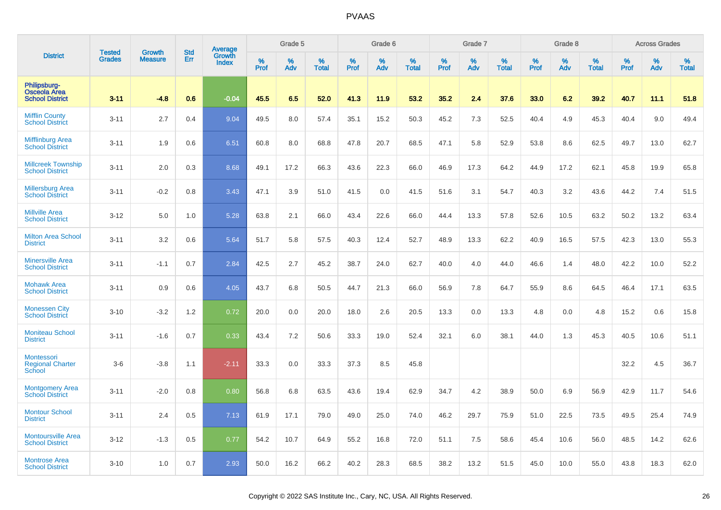|                                                               | <b>Tested</b> | <b>Growth</b>  | <b>Std</b> | Average                |           | Grade 5  |                   |           | Grade 6  |                   |           | Grade 7  |                   |           | Grade 8  |                   |           | <b>Across Grades</b> |                   |
|---------------------------------------------------------------|---------------|----------------|------------|------------------------|-----------|----------|-------------------|-----------|----------|-------------------|-----------|----------|-------------------|-----------|----------|-------------------|-----------|----------------------|-------------------|
| <b>District</b>                                               | <b>Grades</b> | <b>Measure</b> | Err        | Growth<br><b>Index</b> | %<br>Prof | %<br>Adv | %<br><b>Total</b> | %<br>Prof | %<br>Adv | %<br><b>Total</b> | %<br>Prof | %<br>Adv | %<br><b>Total</b> | %<br>Prof | %<br>Adv | %<br><b>Total</b> | %<br>Prof | %<br>Adv             | %<br><b>Total</b> |
| Philipsburg-<br><b>Osceola Area</b><br><b>School District</b> | $3 - 11$      | -4.8           | 0.6        | $-0.04$                | 45.5      | 6.5      | 52.0              | 41.3      | 11.9     | 53.2              | 35.2      | 2.4      | 37.6              | 33.0      | 6.2      | 39.2              | 40.7      | 11.1                 | 51.8              |
| <b>Mifflin County</b><br><b>School District</b>               | $3 - 11$      | 2.7            | 0.4        | 9.04                   | 49.5      | 8.0      | 57.4              | 35.1      | 15.2     | 50.3              | 45.2      | 7.3      | 52.5              | 40.4      | 4.9      | 45.3              | 40.4      | 9.0                  | 49.4              |
| <b>Mifflinburg Area</b><br><b>School District</b>             | $3 - 11$      | 1.9            | 0.6        | 6.51                   | 60.8      | 8.0      | 68.8              | 47.8      | 20.7     | 68.5              | 47.1      | 5.8      | 52.9              | 53.8      | 8.6      | 62.5              | 49.7      | 13.0                 | 62.7              |
| <b>Millcreek Township</b><br><b>School District</b>           | $3 - 11$      | 2.0            | 0.3        | 8.68                   | 49.1      | 17.2     | 66.3              | 43.6      | 22.3     | 66.0              | 46.9      | 17.3     | 64.2              | 44.9      | 17.2     | 62.1              | 45.8      | 19.9                 | 65.8              |
| <b>Millersburg Area</b><br><b>School District</b>             | $3 - 11$      | $-0.2$         | 0.8        | 3.43                   | 47.1      | 3.9      | 51.0              | 41.5      | 0.0      | 41.5              | 51.6      | 3.1      | 54.7              | 40.3      | 3.2      | 43.6              | 44.2      | 7.4                  | 51.5              |
| <b>Millville Area</b><br><b>School District</b>               | $3 - 12$      | 5.0            | 1.0        | 5.28                   | 63.8      | 2.1      | 66.0              | 43.4      | 22.6     | 66.0              | 44.4      | 13.3     | 57.8              | 52.6      | 10.5     | 63.2              | 50.2      | 13.2                 | 63.4              |
| <b>Milton Area School</b><br><b>District</b>                  | $3 - 11$      | 3.2            | 0.6        | 5.64                   | 51.7      | 5.8      | 57.5              | 40.3      | 12.4     | 52.7              | 48.9      | 13.3     | 62.2              | 40.9      | 16.5     | 57.5              | 42.3      | 13.0                 | 55.3              |
| <b>Minersville Area</b><br><b>School District</b>             | $3 - 11$      | $-1.1$         | 0.7        | 2.84                   | 42.5      | 2.7      | 45.2              | 38.7      | 24.0     | 62.7              | 40.0      | 4.0      | 44.0              | 46.6      | 1.4      | 48.0              | 42.2      | 10.0                 | 52.2              |
| <b>Mohawk Area</b><br><b>School District</b>                  | $3 - 11$      | 0.9            | 0.6        | 4.05                   | 43.7      | 6.8      | 50.5              | 44.7      | 21.3     | 66.0              | 56.9      | 7.8      | 64.7              | 55.9      | 8.6      | 64.5              | 46.4      | 17.1                 | 63.5              |
| <b>Monessen City</b><br><b>School District</b>                | $3 - 10$      | $-3.2$         | 1.2        | 0.72                   | 20.0      | 0.0      | 20.0              | 18.0      | 2.6      | 20.5              | 13.3      | 0.0      | 13.3              | 4.8       | 0.0      | 4.8               | 15.2      | 0.6                  | 15.8              |
| <b>Moniteau School</b><br><b>District</b>                     | $3 - 11$      | $-1.6$         | 0.7        | 0.33                   | 43.4      | 7.2      | 50.6              | 33.3      | 19.0     | 52.4              | 32.1      | 6.0      | 38.1              | 44.0      | 1.3      | 45.3              | 40.5      | 10.6                 | 51.1              |
| <b>Montessori</b><br><b>Regional Charter</b><br><b>School</b> | $3-6$         | $-3.8$         | 1.1        | $-2.11$                | 33.3      | 0.0      | 33.3              | 37.3      | 8.5      | 45.8              |           |          |                   |           |          |                   | 32.2      | 4.5                  | 36.7              |
| <b>Montgomery Area</b><br><b>School District</b>              | $3 - 11$      | $-2.0$         | 0.8        | 0.80                   | 56.8      | 6.8      | 63.5              | 43.6      | 19.4     | 62.9              | 34.7      | 4.2      | 38.9              | 50.0      | 6.9      | 56.9              | 42.9      | 11.7                 | 54.6              |
| <b>Montour School</b><br><b>District</b>                      | $3 - 11$      | 2.4            | 0.5        | 7.13                   | 61.9      | 17.1     | 79.0              | 49.0      | 25.0     | 74.0              | 46.2      | 29.7     | 75.9              | 51.0      | 22.5     | 73.5              | 49.5      | 25.4                 | 74.9              |
| <b>Montoursville Area</b><br><b>School District</b>           | $3 - 12$      | $-1.3$         | 0.5        | 0.77                   | 54.2      | 10.7     | 64.9              | 55.2      | 16.8     | 72.0              | 51.1      | 7.5      | 58.6              | 45.4      | 10.6     | 56.0              | 48.5      | 14.2                 | 62.6              |
| <b>Montrose Area</b><br><b>School District</b>                | $3 - 10$      | 1.0            | 0.7        | 2.93                   | 50.0      | 16.2     | 66.2              | 40.2      | 28.3     | 68.5              | 38.2      | 13.2     | 51.5              | 45.0      | 10.0     | 55.0              | 43.8      | 18.3                 | 62.0              |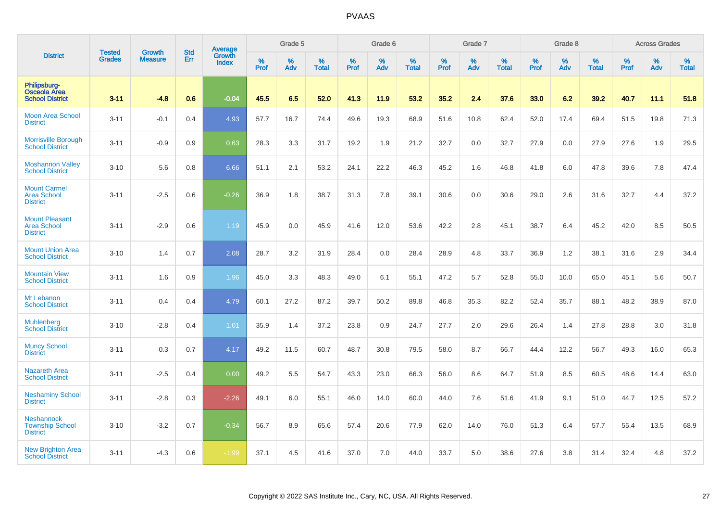|                                                                |                                | <b>Growth</b>  | <b>Std</b> | <b>Average</b>         |              | Grade 5  |                   |           | Grade 6  |                   |           | Grade 7  |                   |           | Grade 8  |                   |           | <b>Across Grades</b> |                   |
|----------------------------------------------------------------|--------------------------------|----------------|------------|------------------------|--------------|----------|-------------------|-----------|----------|-------------------|-----------|----------|-------------------|-----------|----------|-------------------|-----------|----------------------|-------------------|
| <b>District</b>                                                | <b>Tested</b><br><b>Grades</b> | <b>Measure</b> | Err        | Growth<br><b>Index</b> | $\%$<br>Prof | %<br>Adv | %<br><b>Total</b> | %<br>Prof | %<br>Adv | %<br><b>Total</b> | %<br>Prof | %<br>Adv | %<br><b>Total</b> | %<br>Prof | %<br>Adv | %<br><b>Total</b> | %<br>Prof | %<br>Adv             | %<br><b>Total</b> |
| Philipsburg-<br><b>Osceola Area</b><br><b>School District</b>  | $3 - 11$                       | $-4.8$         | 0.6        | $-0.04$                | 45.5         | 6.5      | 52.0              | 41.3      | 11.9     | 53.2              | 35.2      | 2.4      | 37.6              | 33.0      | 6.2      | 39.2              | 40.7      | 11.1                 | 51.8              |
| <b>Moon Area School</b><br><b>District</b>                     | $3 - 11$                       | $-0.1$         | 0.4        | 4.93                   | 57.7         | 16.7     | 74.4              | 49.6      | 19.3     | 68.9              | 51.6      | 10.8     | 62.4              | 52.0      | 17.4     | 69.4              | 51.5      | 19.8                 | 71.3              |
| <b>Morrisville Borough</b><br><b>School District</b>           | $3 - 11$                       | $-0.9$         | 0.9        | 0.63                   | 28.3         | 3.3      | 31.7              | 19.2      | 1.9      | 21.2              | 32.7      | 0.0      | 32.7              | 27.9      | 0.0      | 27.9              | 27.6      | 1.9                  | 29.5              |
| <b>Moshannon Valley</b><br><b>School District</b>              | $3 - 10$                       | 5.6            | 0.8        | 6.66                   | 51.1         | 2.1      | 53.2              | 24.1      | 22.2     | 46.3              | 45.2      | 1.6      | 46.8              | 41.8      | 6.0      | 47.8              | 39.6      | 7.8                  | 47.4              |
| <b>Mount Carmel</b><br><b>Area School</b><br><b>District</b>   | $3 - 11$                       | $-2.5$         | 0.6        | $-0.26$                | 36.9         | 1.8      | 38.7              | 31.3      | 7.8      | 39.1              | 30.6      | 0.0      | 30.6              | 29.0      | 2.6      | 31.6              | 32.7      | 4.4                  | 37.2              |
| <b>Mount Pleasant</b><br><b>Area School</b><br><b>District</b> | $3 - 11$                       | $-2.9$         | 0.6        | 1.19                   | 45.9         | 0.0      | 45.9              | 41.6      | 12.0     | 53.6              | 42.2      | 2.8      | 45.1              | 38.7      | 6.4      | 45.2              | 42.0      | 8.5                  | 50.5              |
| <b>Mount Union Area</b><br><b>School District</b>              | $3 - 10$                       | 1.4            | 0.7        | 2.08                   | 28.7         | 3.2      | 31.9              | 28.4      | 0.0      | 28.4              | 28.9      | 4.8      | 33.7              | 36.9      | 1.2      | 38.1              | 31.6      | 2.9                  | 34.4              |
| <b>Mountain View</b><br><b>School District</b>                 | $3 - 11$                       | 1.6            | 0.9        | 1.96                   | 45.0         | 3.3      | 48.3              | 49.0      | 6.1      | 55.1              | 47.2      | 5.7      | 52.8              | 55.0      | 10.0     | 65.0              | 45.1      | 5.6                  | 50.7              |
| Mt Lebanon<br><b>School District</b>                           | $3 - 11$                       | 0.4            | 0.4        | 4.79                   | 60.1         | 27.2     | 87.2              | 39.7      | 50.2     | 89.8              | 46.8      | 35.3     | 82.2              | 52.4      | 35.7     | 88.1              | 48.2      | 38.9                 | 87.0              |
| <b>Muhlenberg</b><br><b>School District</b>                    | $3 - 10$                       | $-2.8$         | 0.4        | 1.01                   | 35.9         | 1.4      | 37.2              | 23.8      | 0.9      | 24.7              | 27.7      | 2.0      | 29.6              | 26.4      | 1.4      | 27.8              | 28.8      | 3.0                  | 31.8              |
| <b>Muncy School</b><br><b>District</b>                         | $3 - 11$                       | 0.3            | 0.7        | 4.17                   | 49.2         | 11.5     | 60.7              | 48.7      | 30.8     | 79.5              | 58.0      | 8.7      | 66.7              | 44.4      | 12.2     | 56.7              | 49.3      | 16.0                 | 65.3              |
| <b>Nazareth Area</b><br><b>School District</b>                 | $3 - 11$                       | $-2.5$         | 0.4        | 0.00                   | 49.2         | 5.5      | 54.7              | 43.3      | 23.0     | 66.3              | 56.0      | 8.6      | 64.7              | 51.9      | 8.5      | 60.5              | 48.6      | 14.4                 | 63.0              |
| <b>Neshaminy School</b><br><b>District</b>                     | $3 - 11$                       | $-2.8$         | 0.3        | $-2.26$                | 49.1         | 6.0      | 55.1              | 46.0      | 14.0     | 60.0              | 44.0      | 7.6      | 51.6              | 41.9      | 9.1      | 51.0              | 44.7      | 12.5                 | 57.2              |
| <b>Neshannock</b><br><b>Township School</b><br><b>District</b> | $3 - 10$                       | $-3.2$         | 0.7        | $-0.34$                | 56.7         | 8.9      | 65.6              | 57.4      | 20.6     | 77.9              | 62.0      | 14.0     | 76.0              | 51.3      | 6.4      | 57.7              | 55.4      | 13.5                 | 68.9              |
| <b>New Brighton Area</b><br><b>School District</b>             | $3 - 11$                       | $-4.3$         | 0.6        | $-1.99$                | 37.1         | 4.5      | 41.6              | 37.0      | 7.0      | 44.0              | 33.7      | 5.0      | 38.6              | 27.6      | 3.8      | 31.4              | 32.4      | 4.8                  | 37.2              |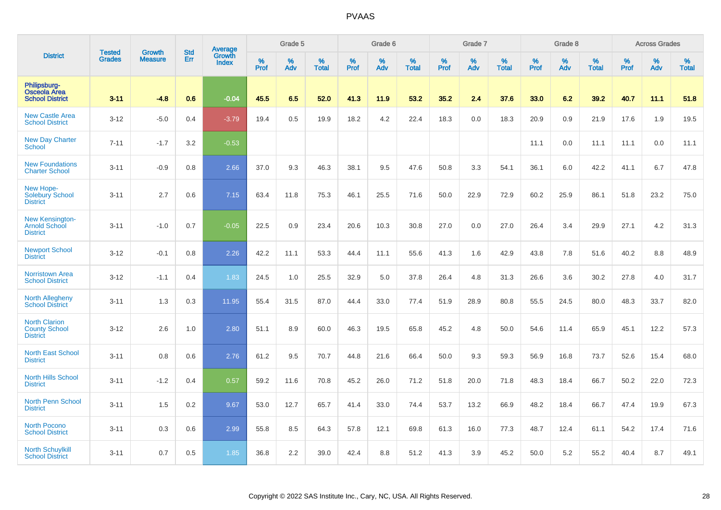|                                                                   |                                | <b>Growth</b>  | <b>Std</b> | Average         |              | Grade 5  |                   |           | Grade 6  |                   |              | Grade 7  |                   |           | Grade 8  |                   |              | <b>Across Grades</b> |                   |
|-------------------------------------------------------------------|--------------------------------|----------------|------------|-----------------|--------------|----------|-------------------|-----------|----------|-------------------|--------------|----------|-------------------|-----------|----------|-------------------|--------------|----------------------|-------------------|
| <b>District</b>                                                   | <b>Tested</b><br><b>Grades</b> | <b>Measure</b> | Err        | Growth<br>Index | $\%$<br>Prof | %<br>Adv | %<br><b>Total</b> | %<br>Prof | %<br>Adv | %<br><b>Total</b> | $\%$<br>Prof | %<br>Adv | %<br><b>Total</b> | %<br>Prof | %<br>Adv | %<br><b>Total</b> | $\%$<br>Prof | %<br>Adv             | %<br><b>Total</b> |
| Philipsburg-<br><b>Osceola Area</b><br><b>School District</b>     | $3 - 11$                       | $-4.8$         | 0.6        | $-0.04$         | 45.5         | 6.5      | 52.0              | 41.3      | 11.9     | 53.2              | 35.2         | 2.4      | 37.6              | 33.0      | 6.2      | 39.2              | 40.7         | 11.1                 | 51.8              |
| <b>New Castle Area</b><br><b>School District</b>                  | $3 - 12$                       | $-5.0$         | 0.4        | $-3.79$         | 19.4         | 0.5      | 19.9              | 18.2      | 4.2      | 22.4              | 18.3         | 0.0      | 18.3              | 20.9      | 0.9      | 21.9              | 17.6         | 1.9                  | 19.5              |
| <b>New Day Charter</b><br><b>School</b>                           | $7 - 11$                       | $-1.7$         | 3.2        | $-0.53$         |              |          |                   |           |          |                   |              |          |                   | 11.1      | 0.0      | 11.1              | 11.1         | 0.0                  | 11.1              |
| <b>New Foundations</b><br><b>Charter School</b>                   | $3 - 11$                       | $-0.9$         | 0.8        | 2.66            | 37.0         | 9.3      | 46.3              | 38.1      | 9.5      | 47.6              | 50.8         | 3.3      | 54.1              | 36.1      | 6.0      | 42.2              | 41.1         | 6.7                  | 47.8              |
| New Hope-<br><b>Solebury School</b><br><b>District</b>            | $3 - 11$                       | 2.7            | 0.6        | 7.15            | 63.4         | 11.8     | 75.3              | 46.1      | 25.5     | 71.6              | 50.0         | 22.9     | 72.9              | 60.2      | 25.9     | 86.1              | 51.8         | 23.2                 | 75.0              |
| <b>New Kensington-</b><br><b>Arnold School</b><br><b>District</b> | $3 - 11$                       | $-1.0$         | 0.7        | $-0.05$         | 22.5         | 0.9      | 23.4              | 20.6      | 10.3     | 30.8              | 27.0         | 0.0      | 27.0              | 26.4      | 3.4      | 29.9              | 27.1         | 4.2                  | 31.3              |
| <b>Newport School</b><br><b>District</b>                          | $3 - 12$                       | $-0.1$         | 0.8        | 2.26            | 42.2         | 11.1     | 53.3              | 44.4      | 11.1     | 55.6              | 41.3         | 1.6      | 42.9              | 43.8      | 7.8      | 51.6              | 40.2         | 8.8                  | 48.9              |
| <b>Norristown Area</b><br><b>School District</b>                  | $3 - 12$                       | $-1.1$         | 0.4        | 1.83            | 24.5         | 1.0      | 25.5              | 32.9      | 5.0      | 37.8              | 26.4         | 4.8      | 31.3              | 26.6      | 3.6      | 30.2              | 27.8         | 4.0                  | 31.7              |
| <b>North Allegheny</b><br><b>School District</b>                  | $3 - 11$                       | 1.3            | 0.3        | 11.95           | 55.4         | 31.5     | 87.0              | 44.4      | 33.0     | 77.4              | 51.9         | 28.9     | 80.8              | 55.5      | 24.5     | 80.0              | 48.3         | 33.7                 | 82.0              |
| <b>North Clarion</b><br><b>County School</b><br><b>District</b>   | $3 - 12$                       | 2.6            | 1.0        | 2.80            | 51.1         | 8.9      | 60.0              | 46.3      | 19.5     | 65.8              | 45.2         | 4.8      | 50.0              | 54.6      | 11.4     | 65.9              | 45.1         | 12.2                 | 57.3              |
| <b>North East School</b><br><b>District</b>                       | $3 - 11$                       | 0.8            | 0.6        | 2.76            | 61.2         | 9.5      | 70.7              | 44.8      | 21.6     | 66.4              | 50.0         | 9.3      | 59.3              | 56.9      | 16.8     | 73.7              | 52.6         | 15.4                 | 68.0              |
| North Hills School<br><b>District</b>                             | $3 - 11$                       | $-1.2$         | 0.4        | 0.57            | 59.2         | 11.6     | 70.8              | 45.2      | 26.0     | 71.2              | 51.8         | 20.0     | 71.8              | 48.3      | 18.4     | 66.7              | 50.2         | 22.0                 | 72.3              |
| <b>North Penn School</b><br><b>District</b>                       | $3 - 11$                       | 1.5            | 0.2        | 9.67            | 53.0         | 12.7     | 65.7              | 41.4      | 33.0     | 74.4              | 53.7         | 13.2     | 66.9              | 48.2      | 18.4     | 66.7              | 47.4         | 19.9                 | 67.3              |
| <b>North Pocono</b><br><b>School District</b>                     | $3 - 11$                       | 0.3            | 0.6        | 2.99            | 55.8         | 8.5      | 64.3              | 57.8      | 12.1     | 69.8              | 61.3         | 16.0     | 77.3              | 48.7      | 12.4     | 61.1              | 54.2         | 17.4                 | 71.6              |
| <b>North Schuylkill</b><br><b>School District</b>                 | $3 - 11$                       | 0.7            | 0.5        | 1.85            | 36.8         | 2.2      | 39.0              | 42.4      | 8.8      | 51.2              | 41.3         | 3.9      | 45.2              | 50.0      | 5.2      | 55.2              | 40.4         | 8.7                  | 49.1              |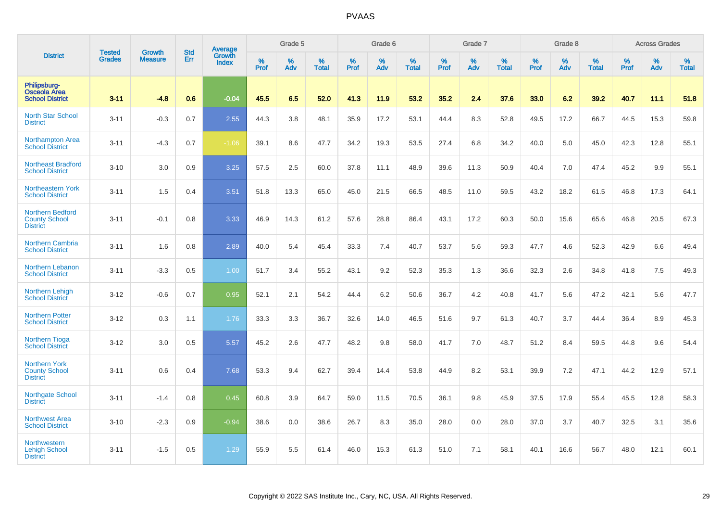|                                                                    | <b>Tested</b> | <b>Growth</b>  | <b>Std</b> | Average                |                     | Grade 5  |                   |                  | Grade 6  |                   |                  | Grade 7  |                   |                  | Grade 8     |                   |           | <b>Across Grades</b> |                   |
|--------------------------------------------------------------------|---------------|----------------|------------|------------------------|---------------------|----------|-------------------|------------------|----------|-------------------|------------------|----------|-------------------|------------------|-------------|-------------------|-----------|----------------------|-------------------|
| <b>District</b>                                                    | Grades        | <b>Measure</b> | Err        | Growth<br><b>Index</b> | $\%$<br><b>Prof</b> | %<br>Adv | %<br><b>Total</b> | %<br><b>Prof</b> | %<br>Adv | %<br><b>Total</b> | %<br><b>Prof</b> | %<br>Adv | %<br><b>Total</b> | %<br><b>Prof</b> | $\%$<br>Adv | %<br><b>Total</b> | %<br>Prof | %<br>Adv             | %<br><b>Total</b> |
| Philipsburg-<br><b>Osceola Area</b><br><b>School District</b>      | $3 - 11$      | $-4.8$         | 0.6        | $-0.04$                | 45.5                | 6.5      | 52.0              | 41.3             | 11.9     | 53.2              | 35.2             | 2.4      | 37.6              | 33.0             | 6.2         | 39.2              | 40.7      | 11.1                 | 51.8              |
| <b>North Star School</b><br><b>District</b>                        | $3 - 11$      | $-0.3$         | 0.7        | 2.55                   | 44.3                | 3.8      | 48.1              | 35.9             | 17.2     | 53.1              | 44.4             | 8.3      | 52.8              | 49.5             | 17.2        | 66.7              | 44.5      | 15.3                 | 59.8              |
| <b>Northampton Area</b><br><b>School District</b>                  | $3 - 11$      | $-4.3$         | 0.7        | $-1.06$                | 39.1                | 8.6      | 47.7              | 34.2             | 19.3     | 53.5              | 27.4             | 6.8      | 34.2              | 40.0             | 5.0         | 45.0              | 42.3      | 12.8                 | 55.1              |
| <b>Northeast Bradford</b><br><b>School District</b>                | $3 - 10$      | 3.0            | 0.9        | 3.25                   | 57.5                | 2.5      | 60.0              | 37.8             | 11.1     | 48.9              | 39.6             | 11.3     | 50.9              | 40.4             | 7.0         | 47.4              | 45.2      | 9.9                  | 55.1              |
| Northeastern York<br><b>School District</b>                        | $3 - 11$      | 1.5            | 0.4        | 3.51                   | 51.8                | 13.3     | 65.0              | 45.0             | 21.5     | 66.5              | 48.5             | 11.0     | 59.5              | 43.2             | 18.2        | 61.5              | 46.8      | 17.3                 | 64.1              |
| <b>Northern Bedford</b><br><b>County School</b><br><b>District</b> | $3 - 11$      | $-0.1$         | 0.8        | 3.33                   | 46.9                | 14.3     | 61.2              | 57.6             | 28.8     | 86.4              | 43.1             | 17.2     | 60.3              | 50.0             | 15.6        | 65.6              | 46.8      | 20.5                 | 67.3              |
| Northern Cambria<br><b>School District</b>                         | $3 - 11$      | 1.6            | 0.8        | 2.89                   | 40.0                | 5.4      | 45.4              | 33.3             | 7.4      | 40.7              | 53.7             | 5.6      | 59.3              | 47.7             | 4.6         | 52.3              | 42.9      | 6.6                  | 49.4              |
| <b>Northern Lebanon</b><br><b>School District</b>                  | $3 - 11$      | $-3.3$         | 0.5        | 1.00                   | 51.7                | 3.4      | 55.2              | 43.1             | 9.2      | 52.3              | 35.3             | 1.3      | 36.6              | 32.3             | 2.6         | 34.8              | 41.8      | 7.5                  | 49.3              |
| <b>Northern Lehigh</b><br><b>School District</b>                   | $3 - 12$      | $-0.6$         | 0.7        | 0.95                   | 52.1                | 2.1      | 54.2              | 44.4             | 6.2      | 50.6              | 36.7             | 4.2      | 40.8              | 41.7             | 5.6         | 47.2              | 42.1      | 5.6                  | 47.7              |
| <b>Northern Potter</b><br><b>School District</b>                   | $3 - 12$      | 0.3            | 1.1        | 1.76                   | 33.3                | 3.3      | 36.7              | 32.6             | 14.0     | 46.5              | 51.6             | 9.7      | 61.3              | 40.7             | 3.7         | 44.4              | 36.4      | 8.9                  | 45.3              |
| <b>Northern Tioga</b><br><b>School District</b>                    | $3 - 12$      | 3.0            | 0.5        | 5.57                   | 45.2                | 2.6      | 47.7              | 48.2             | 9.8      | 58.0              | 41.7             | 7.0      | 48.7              | 51.2             | 8.4         | 59.5              | 44.8      | 9.6                  | 54.4              |
| <b>Northern York</b><br><b>County School</b><br><b>District</b>    | $3 - 11$      | 0.6            | 0.4        | 7.68                   | 53.3                | 9.4      | 62.7              | 39.4             | 14.4     | 53.8              | 44.9             | 8.2      | 53.1              | 39.9             | 7.2         | 47.1              | 44.2      | 12.9                 | 57.1              |
| <b>Northgate School</b><br><b>District</b>                         | $3 - 11$      | $-1.4$         | 0.8        | 0.45                   | 60.8                | 3.9      | 64.7              | 59.0             | 11.5     | 70.5              | 36.1             | 9.8      | 45.9              | 37.5             | 17.9        | 55.4              | 45.5      | 12.8                 | 58.3              |
| <b>Northwest Area</b><br><b>School District</b>                    | $3 - 10$      | $-2.3$         | 0.9        | $-0.94$                | 38.6                | 0.0      | 38.6              | 26.7             | 8.3      | 35.0              | 28.0             | 0.0      | 28.0              | 37.0             | 3.7         | 40.7              | 32.5      | 3.1                  | 35.6              |
| <b>Northwestern</b><br><b>Lehigh School</b><br><b>District</b>     | $3 - 11$      | $-1.5$         | 0.5        | 1.29                   | 55.9                | 5.5      | 61.4              | 46.0             | 15.3     | 61.3              | 51.0             | 7.1      | 58.1              | 40.1             | 16.6        | 56.7              | 48.0      | 12.1                 | 60.1              |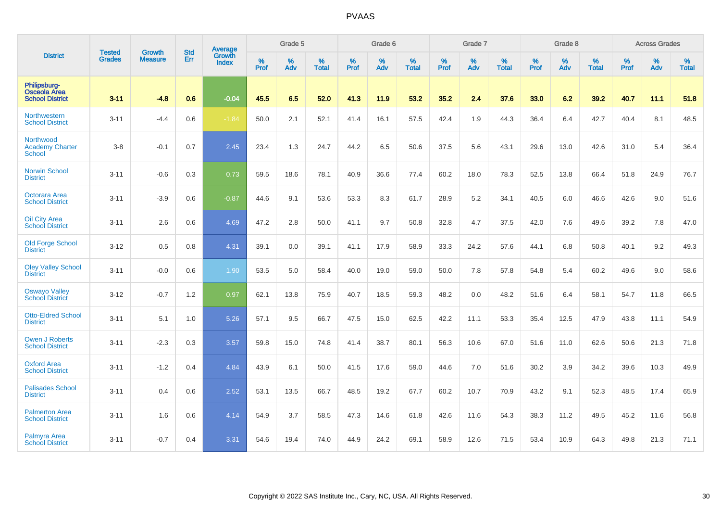|                                                        | <b>Tested</b> | <b>Growth</b>  | <b>Std</b> | <b>Average</b>         |           | Grade 5  |                   |           | Grade 6  |                   |           | Grade 7  |                   |           | Grade 8  |                   |           | <b>Across Grades</b> |                   |
|--------------------------------------------------------|---------------|----------------|------------|------------------------|-----------|----------|-------------------|-----------|----------|-------------------|-----------|----------|-------------------|-----------|----------|-------------------|-----------|----------------------|-------------------|
| <b>District</b>                                        | <b>Grades</b> | <b>Measure</b> | Err        | Growth<br><b>Index</b> | %<br>Prof | %<br>Adv | %<br><b>Total</b> | %<br>Prof | %<br>Adv | %<br><b>Total</b> | %<br>Prof | %<br>Adv | %<br><b>Total</b> | %<br>Prof | %<br>Adv | %<br><b>Total</b> | %<br>Prof | %<br>Adv             | %<br><b>Total</b> |
| Philipsburg-<br>Osceola Area<br><b>School District</b> | $3 - 11$      | $-4.8$         | 0.6        | $-0.04$                | 45.5      | 6.5      | 52.0              | 41.3      | 11.9     | 53.2              | 35.2      | 2.4      | 37.6              | 33.0      | 6.2      | 39.2              | 40.7      | 11.1                 | 51.8              |
| Northwestern<br><b>School District</b>                 | $3 - 11$      | $-4.4$         | 0.6        | $-1.84$                | 50.0      | 2.1      | 52.1              | 41.4      | 16.1     | 57.5              | 42.4      | 1.9      | 44.3              | 36.4      | 6.4      | 42.7              | 40.4      | 8.1                  | 48.5              |
| Northwood<br><b>Academy Charter</b><br><b>School</b>   | $3 - 8$       | $-0.1$         | 0.7        | 2.45                   | 23.4      | 1.3      | 24.7              | 44.2      | 6.5      | 50.6              | 37.5      | 5.6      | 43.1              | 29.6      | 13.0     | 42.6              | 31.0      | 5.4                  | 36.4              |
| <b>Norwin School</b><br><b>District</b>                | $3 - 11$      | $-0.6$         | 0.3        | 0.73                   | 59.5      | 18.6     | 78.1              | 40.9      | 36.6     | 77.4              | 60.2      | 18.0     | 78.3              | 52.5      | 13.8     | 66.4              | 51.8      | 24.9                 | 76.7              |
| <b>Octorara Area</b><br><b>School District</b>         | $3 - 11$      | $-3.9$         | 0.6        | $-0.87$                | 44.6      | 9.1      | 53.6              | 53.3      | 8.3      | 61.7              | 28.9      | 5.2      | 34.1              | 40.5      | 6.0      | 46.6              | 42.6      | 9.0                  | 51.6              |
| <b>Oil City Area</b><br><b>School District</b>         | $3 - 11$      | 2.6            | 0.6        | 4.69                   | 47.2      | 2.8      | 50.0              | 41.1      | 9.7      | 50.8              | 32.8      | 4.7      | 37.5              | 42.0      | 7.6      | 49.6              | 39.2      | 7.8                  | 47.0              |
| Old Forge School<br><b>District</b>                    | $3 - 12$      | 0.5            | 0.8        | 4.31                   | 39.1      | 0.0      | 39.1              | 41.1      | 17.9     | 58.9              | 33.3      | 24.2     | 57.6              | 44.1      | 6.8      | 50.8              | 40.1      | 9.2                  | 49.3              |
| <b>Oley Valley School</b><br><b>District</b>           | $3 - 11$      | $-0.0$         | 0.6        | 1.90                   | 53.5      | 5.0      | 58.4              | 40.0      | 19.0     | 59.0              | 50.0      | 7.8      | 57.8              | 54.8      | 5.4      | 60.2              | 49.6      | 9.0                  | 58.6              |
| <b>Oswayo Valley</b><br><b>School District</b>         | $3 - 12$      | $-0.7$         | 1.2        | 0.97                   | 62.1      | 13.8     | 75.9              | 40.7      | 18.5     | 59.3              | 48.2      | 0.0      | 48.2              | 51.6      | 6.4      | 58.1              | 54.7      | 11.8                 | 66.5              |
| <b>Otto-Eldred School</b><br><b>District</b>           | $3 - 11$      | 5.1            | 1.0        | 5.26                   | 57.1      | 9.5      | 66.7              | 47.5      | 15.0     | 62.5              | 42.2      | 11.1     | 53.3              | 35.4      | 12.5     | 47.9              | 43.8      | 11.1                 | 54.9              |
| Owen J Roberts<br><b>School District</b>               | $3 - 11$      | $-2.3$         | 0.3        | 3.57                   | 59.8      | 15.0     | 74.8              | 41.4      | 38.7     | 80.1              | 56.3      | 10.6     | 67.0              | 51.6      | 11.0     | 62.6              | 50.6      | 21.3                 | 71.8              |
| <b>Oxford Area</b><br><b>School District</b>           | $3 - 11$      | $-1.2$         | 0.4        | 4.84                   | 43.9      | 6.1      | 50.0              | 41.5      | 17.6     | 59.0              | 44.6      | 7.0      | 51.6              | 30.2      | 3.9      | 34.2              | 39.6      | 10.3                 | 49.9              |
| <b>Palisades School</b><br><b>District</b>             | $3 - 11$      | 0.4            | 0.6        | 2.52                   | 53.1      | 13.5     | 66.7              | 48.5      | 19.2     | 67.7              | 60.2      | 10.7     | 70.9              | 43.2      | 9.1      | 52.3              | 48.5      | 17.4                 | 65.9              |
| <b>Palmerton Area</b><br><b>School District</b>        | $3 - 11$      | 1.6            | 0.6        | 4.14                   | 54.9      | 3.7      | 58.5              | 47.3      | 14.6     | 61.8              | 42.6      | 11.6     | 54.3              | 38.3      | 11.2     | 49.5              | 45.2      | 11.6                 | 56.8              |
| <b>Palmyra Area</b><br><b>School District</b>          | $3 - 11$      | $-0.7$         | 0.4        | 3.31                   | 54.6      | 19.4     | 74.0              | 44.9      | 24.2     | 69.1              | 58.9      | 12.6     | 71.5              | 53.4      | 10.9     | 64.3              | 49.8      | 21.3                 | 71.1              |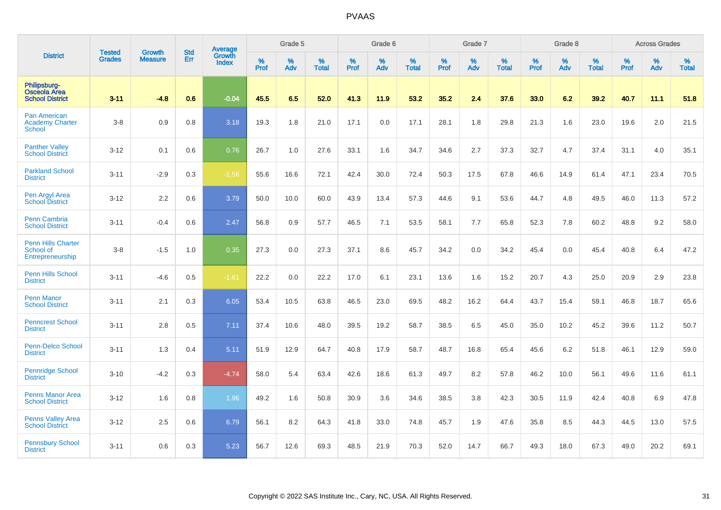|                                                               |                                |                                 | <b>Std</b> | Average                       |              | Grade 5  |                   |           | Grade 6  |                   |           | Grade 7  |                   |           | Grade 8  |                   |           | <b>Across Grades</b> |                   |
|---------------------------------------------------------------|--------------------------------|---------------------------------|------------|-------------------------------|--------------|----------|-------------------|-----------|----------|-------------------|-----------|----------|-------------------|-----------|----------|-------------------|-----------|----------------------|-------------------|
| <b>District</b>                                               | <b>Tested</b><br><b>Grades</b> | <b>Growth</b><br><b>Measure</b> | Err        | <b>Growth</b><br><b>Index</b> | $\%$<br>Prof | %<br>Adv | %<br><b>Total</b> | %<br>Prof | %<br>Adv | %<br><b>Total</b> | %<br>Prof | %<br>Adv | %<br><b>Total</b> | %<br>Prof | %<br>Adv | %<br><b>Total</b> | %<br>Prof | %<br>Adv             | %<br><b>Total</b> |
| Philipsburg-<br><b>Osceola Area</b><br><b>School District</b> | $3 - 11$                       | $-4.8$                          | 0.6        | $-0.04$                       | 45.5         | 6.5      | 52.0              | 41.3      | 11.9     | 53.2              | 35.2      | 2.4      | 37.6              | 33.0      | 6.2      | 39.2              | 40.7      | 11.1                 | 51.8              |
| Pan American<br><b>Academy Charter</b><br><b>School</b>       | $3-8$                          | 0.9                             | 0.8        | 3.18                          | 19.3         | 1.8      | 21.0              | 17.1      | 0.0      | 17.1              | 28.1      | 1.8      | 29.8              | 21.3      | 1.6      | 23.0              | 19.6      | 2.0                  | 21.5              |
| <b>Panther Valley</b><br><b>School District</b>               | $3 - 12$                       | 0.1                             | 0.6        | 0.76                          | 26.7         | 1.0      | 27.6              | 33.1      | 1.6      | 34.7              | 34.6      | 2.7      | 37.3              | 32.7      | 4.7      | 37.4              | 31.1      | 4.0                  | 35.1              |
| <b>Parkland School</b><br><b>District</b>                     | $3 - 11$                       | $-2.9$                          | 0.3        | $-1.56$                       | 55.6         | 16.6     | 72.1              | 42.4      | 30.0     | 72.4              | 50.3      | 17.5     | 67.8              | 46.6      | 14.9     | 61.4              | 47.1      | 23.4                 | 70.5              |
| Pen Argyl Area<br><b>School District</b>                      | $3 - 12$                       | 2.2                             | 0.6        | 3.79                          | 50.0         | 10.0     | 60.0              | 43.9      | 13.4     | 57.3              | 44.6      | 9.1      | 53.6              | 44.7      | 4.8      | 49.5              | 46.0      | 11.3                 | 57.2              |
| <b>Penn Cambria</b><br><b>School District</b>                 | $3 - 11$                       | $-0.4$                          | 0.6        | 2.47                          | 56.8         | 0.9      | 57.7              | 46.5      | 7.1      | 53.5              | 58.1      | 7.7      | 65.8              | 52.3      | 7.8      | 60.2              | 48.8      | 9.2                  | 58.0              |
| <b>Penn Hills Charter</b><br>School of<br>Entrepreneurship    | $3 - 8$                        | $-1.5$                          | 1.0        | 0.35                          | 27.3         | 0.0      | 27.3              | 37.1      | 8.6      | 45.7              | 34.2      | 0.0      | 34.2              | 45.4      | 0.0      | 45.4              | 40.8      | 6.4                  | 47.2              |
| <b>Penn Hills School</b><br><b>District</b>                   | $3 - 11$                       | $-4.6$                          | 0.5        | $-1.61$                       | 22.2         | 0.0      | 22.2              | 17.0      | 6.1      | 23.1              | 13.6      | 1.6      | 15.2              | 20.7      | 4.3      | 25.0              | 20.9      | 2.9                  | 23.8              |
| <b>Penn Manor</b><br><b>School District</b>                   | $3 - 11$                       | 2.1                             | 0.3        | 6.05                          | 53.4         | 10.5     | 63.8              | 46.5      | 23.0     | 69.5              | 48.2      | 16.2     | 64.4              | 43.7      | 15.4     | 59.1              | 46.8      | 18.7                 | 65.6              |
| <b>Penncrest School</b><br><b>District</b>                    | $3 - 11$                       | 2.8                             | 0.5        | 7.11                          | 37.4         | 10.6     | 48.0              | 39.5      | 19.2     | 58.7              | 38.5      | 6.5      | 45.0              | 35.0      | 10.2     | 45.2              | 39.6      | 11.2                 | 50.7              |
| <b>Penn-Delco School</b><br><b>District</b>                   | $3 - 11$                       | 1.3                             | 0.4        | 5.11                          | 51.9         | 12.9     | 64.7              | 40.8      | 17.9     | 58.7              | 48.7      | 16.8     | 65.4              | 45.6      | 6.2      | 51.8              | 46.1      | 12.9                 | 59.0              |
| Pennridge School<br><b>District</b>                           | $3 - 10$                       | $-4.2$                          | 0.3        | $-4.74$                       | 58.0         | 5.4      | 63.4              | 42.6      | 18.6     | 61.3              | 49.7      | 8.2      | 57.8              | 46.2      | 10.0     | 56.1              | 49.6      | 11.6                 | 61.1              |
| <b>Penns Manor Area</b><br><b>School District</b>             | $3 - 12$                       | 1.6                             | 0.8        | 1.96                          | 49.2         | 1.6      | 50.8              | 30.9      | 3.6      | 34.6              | 38.5      | 3.8      | 42.3              | 30.5      | 11.9     | 42.4              | 40.8      | 6.9                  | 47.8              |
| <b>Penns Valley Area</b><br><b>School District</b>            | $3 - 12$                       | 2.5                             | 0.6        | 6.79                          | 56.1         | 8.2      | 64.3              | 41.8      | 33.0     | 74.8              | 45.7      | 1.9      | 47.6              | 35.8      | 8.5      | 44.3              | 44.5      | 13.0                 | 57.5              |
| <b>Pennsbury School</b><br><b>District</b>                    | $3 - 11$                       | 0.6                             | 0.3        | 5.23                          | 56.7         | 12.6     | 69.3              | 48.5      | 21.9     | 70.3              | 52.0      | 14.7     | 66.7              | 49.3      | 18.0     | 67.3              | 49.0      | 20.2                 | 69.1              |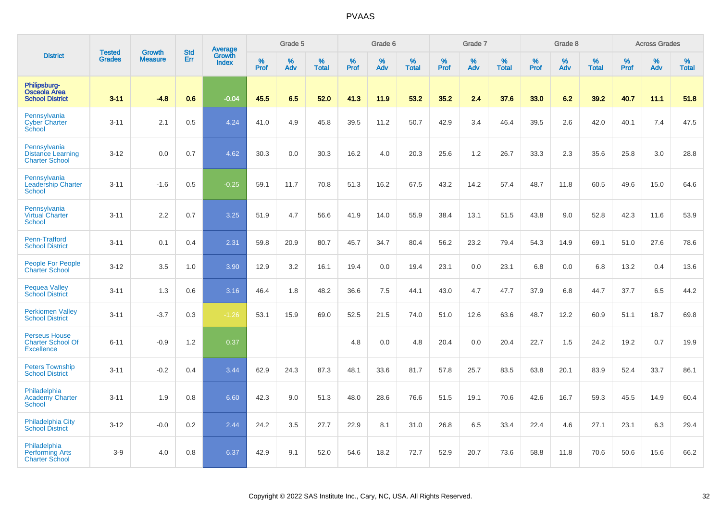|                                                                       |                         | <b>Growth</b>  |                   | Average                |                     | Grade 5  |                      |           | Grade 6  |                   |                  | Grade 7  |                   |                     | Grade 8     |                      |           | <b>Across Grades</b> |                   |
|-----------------------------------------------------------------------|-------------------------|----------------|-------------------|------------------------|---------------------|----------|----------------------|-----------|----------|-------------------|------------------|----------|-------------------|---------------------|-------------|----------------------|-----------|----------------------|-------------------|
| <b>District</b>                                                       | <b>Tested</b><br>Grades | <b>Measure</b> | <b>Std</b><br>Err | Growth<br><b>Index</b> | $\%$<br><b>Prof</b> | %<br>Adv | $\%$<br><b>Total</b> | %<br>Prof | %<br>Adv | %<br><b>Total</b> | %<br><b>Prof</b> | %<br>Adv | %<br><b>Total</b> | $\%$<br><b>Prof</b> | $\%$<br>Adv | $\%$<br><b>Total</b> | %<br>Prof | %<br>Adv             | %<br><b>Total</b> |
| Philipsburg-<br><b>Osceola Area</b><br><b>School District</b>         | $3 - 11$                | $-4.8$         | 0.6               | $-0.04$                | 45.5                | 6.5      | 52.0                 | 41.3      | 11.9     | 53.2              | 35.2             | 2.4      | 37.6              | 33.0                | 6.2         | 39.2                 | 40.7      | 11.1                 | 51.8              |
| Pennsylvania<br><b>Cyber Charter</b><br>School                        | $3 - 11$                | 2.1            | 0.5               | 4.24                   | 41.0                | 4.9      | 45.8                 | 39.5      | 11.2     | 50.7              | 42.9             | 3.4      | 46.4              | 39.5                | 2.6         | 42.0                 | 40.1      | 7.4                  | 47.5              |
| Pennsylvania<br><b>Distance Learning</b><br><b>Charter School</b>     | $3 - 12$                | 0.0            | 0.7               | 4.62                   | 30.3                | 0.0      | 30.3                 | 16.2      | 4.0      | 20.3              | 25.6             | 1.2      | 26.7              | 33.3                | 2.3         | 35.6                 | 25.8      | 3.0                  | 28.8              |
| Pennsylvania<br><b>Leadership Charter</b><br><b>School</b>            | $3 - 11$                | $-1.6$         | 0.5               | $-0.25$                | 59.1                | 11.7     | 70.8                 | 51.3      | 16.2     | 67.5              | 43.2             | 14.2     | 57.4              | 48.7                | 11.8        | 60.5                 | 49.6      | 15.0                 | 64.6              |
| Pennsylvania<br><b>Virtual Charter</b><br><b>School</b>               | $3 - 11$                | 2.2            | 0.7               | 3.25                   | 51.9                | 4.7      | 56.6                 | 41.9      | 14.0     | 55.9              | 38.4             | 13.1     | 51.5              | 43.8                | 9.0         | 52.8                 | 42.3      | 11.6                 | 53.9              |
| Penn-Trafford<br><b>School District</b>                               | $3 - 11$                | 0.1            | 0.4               | 2.31                   | 59.8                | 20.9     | 80.7                 | 45.7      | 34.7     | 80.4              | 56.2             | 23.2     | 79.4              | 54.3                | 14.9        | 69.1                 | 51.0      | 27.6                 | 78.6              |
| <b>People For People</b><br><b>Charter School</b>                     | $3 - 12$                | 3.5            | 1.0               | 3.90                   | 12.9                | 3.2      | 16.1                 | 19.4      | 0.0      | 19.4              | 23.1             | 0.0      | 23.1              | 6.8                 | 0.0         | 6.8                  | 13.2      | 0.4                  | 13.6              |
| <b>Pequea Valley</b><br><b>School District</b>                        | $3 - 11$                | 1.3            | 0.6               | 3.16                   | 46.4                | 1.8      | 48.2                 | 36.6      | 7.5      | 44.1              | 43.0             | 4.7      | 47.7              | 37.9                | 6.8         | 44.7                 | 37.7      | 6.5                  | 44.2              |
| <b>Perkiomen Valley</b><br><b>School District</b>                     | $3 - 11$                | $-3.7$         | 0.3               | $-1.26$                | 53.1                | 15.9     | 69.0                 | 52.5      | 21.5     | 74.0              | 51.0             | 12.6     | 63.6              | 48.7                | 12.2        | 60.9                 | 51.1      | 18.7                 | 69.8              |
| <b>Perseus House</b><br><b>Charter School Of</b><br><b>Excellence</b> | $6 - 11$                | $-0.9$         | 1.2               | 0.37                   |                     |          |                      | 4.8       | 0.0      | 4.8               | 20.4             | 0.0      | 20.4              | 22.7                | 1.5         | 24.2                 | 19.2      | 0.7                  | 19.9              |
| <b>Peters Township</b><br><b>School District</b>                      | $3 - 11$                | $-0.2$         | 0.4               | 3.44                   | 62.9                | 24.3     | 87.3                 | 48.1      | 33.6     | 81.7              | 57.8             | 25.7     | 83.5              | 63.8                | 20.1        | 83.9                 | 52.4      | 33.7                 | 86.1              |
| Philadelphia<br><b>Academy Charter</b><br><b>School</b>               | $3 - 11$                | 1.9            | 0.8               | 6.60                   | 42.3                | 9.0      | 51.3                 | 48.0      | 28.6     | 76.6              | 51.5             | 19.1     | 70.6              | 42.6                | 16.7        | 59.3                 | 45.5      | 14.9                 | 60.4              |
| <b>Philadelphia City</b><br><b>School District</b>                    | $3 - 12$                | $-0.0$         | 0.2               | 2.44                   | 24.2                | 3.5      | 27.7                 | 22.9      | 8.1      | 31.0              | 26.8             | 6.5      | 33.4              | 22.4                | 4.6         | 27.1                 | 23.1      | 6.3                  | 29.4              |
| Philadelphia<br><b>Performing Arts</b><br><b>Charter School</b>       | $3-9$                   | 4.0            | 0.8               | 6.37                   | 42.9                | 9.1      | 52.0                 | 54.6      | 18.2     | 72.7              | 52.9             | 20.7     | 73.6              | 58.8                | 11.8        | 70.6                 | 50.6      | 15.6                 | 66.2              |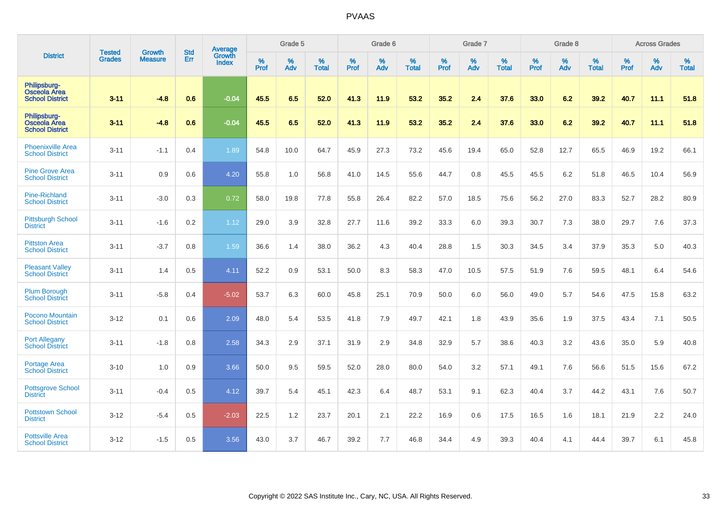|                                                               | <b>Tested</b> | <b>Growth</b>  | <b>Std</b> | Average                |           | Grade 5  |                   |           | Grade 6  |                   |           | Grade 7  |                   |           | Grade 8  |                   |           | <b>Across Grades</b> |                   |
|---------------------------------------------------------------|---------------|----------------|------------|------------------------|-----------|----------|-------------------|-----------|----------|-------------------|-----------|----------|-------------------|-----------|----------|-------------------|-----------|----------------------|-------------------|
| <b>District</b>                                               | <b>Grades</b> | <b>Measure</b> | Err        | Growth<br><b>Index</b> | %<br>Prof | %<br>Adv | %<br><b>Total</b> | %<br>Prof | %<br>Adv | %<br><b>Total</b> | %<br>Prof | %<br>Adv | %<br><b>Total</b> | %<br>Prof | %<br>Adv | %<br><b>Total</b> | %<br>Prof | %<br>Adv             | %<br><b>Total</b> |
| Philipsburg-<br>Osceola Area<br><b>School District</b>        | $3 - 11$      | $-4.8$         | 0.6        | $-0.04$                | 45.5      | 6.5      | 52.0              | 41.3      | 11.9     | 53.2              | 35.2      | 2.4      | 37.6              | 33.0      | 6.2      | 39.2              | 40.7      | 11.1                 | 51.8              |
| Philipsburg-<br><b>Osceola Area</b><br><b>School District</b> | $3 - 11$      | $-4.8$         | 0.6        | $-0.04$                | 45.5      | 6.5      | 52.0              | 41.3      | 11.9     | 53.2              | 35.2      | 2.4      | 37.6              | 33.0      | 6.2      | 39.2              | 40.7      | 11.1                 | 51.8              |
| <b>Phoenixville Area</b><br><b>School District</b>            | $3 - 11$      | $-1.1$         | 0.4        | 1.89                   | 54.8      | 10.0     | 64.7              | 45.9      | 27.3     | 73.2              | 45.6      | 19.4     | 65.0              | 52.8      | 12.7     | 65.5              | 46.9      | 19.2                 | 66.1              |
| <b>Pine Grove Area</b><br><b>School District</b>              | $3 - 11$      | 0.9            | 0.6        | 4.20                   | 55.8      | 1.0      | 56.8              | 41.0      | 14.5     | 55.6              | 44.7      | 0.8      | 45.5              | 45.5      | 6.2      | 51.8              | 46.5      | 10.4                 | 56.9              |
| <b>Pine-Richland</b><br><b>School District</b>                | $3 - 11$      | $-3.0$         | 0.3        | 0.72                   | 58.0      | 19.8     | 77.8              | 55.8      | 26.4     | 82.2              | 57.0      | 18.5     | 75.6              | 56.2      | 27.0     | 83.3              | 52.7      | 28.2                 | 80.9              |
| <b>Pittsburgh School</b><br><b>District</b>                   | $3 - 11$      | $-1.6$         | 0.2        | 1.12                   | 29.0      | 3.9      | 32.8              | 27.7      | 11.6     | 39.2              | 33.3      | 6.0      | 39.3              | 30.7      | 7.3      | 38.0              | 29.7      | 7.6                  | 37.3              |
| <b>Pittston Area</b><br><b>School District</b>                | $3 - 11$      | $-3.7$         | 0.8        | 1.59                   | 36.6      | 1.4      | 38.0              | 36.2      | 4.3      | 40.4              | 28.8      | 1.5      | 30.3              | 34.5      | 3.4      | 37.9              | 35.3      | 5.0                  | 40.3              |
| <b>Pleasant Valley</b><br><b>School District</b>              | $3 - 11$      | 1.4            | 0.5        | 4.11                   | 52.2      | 0.9      | 53.1              | 50.0      | 8.3      | 58.3              | 47.0      | 10.5     | 57.5              | 51.9      | 7.6      | 59.5              | 48.1      | 6.4                  | 54.6              |
| <b>Plum Borough</b><br><b>School District</b>                 | $3 - 11$      | $-5.8$         | 0.4        | $-5.02$                | 53.7      | 6.3      | 60.0              | 45.8      | 25.1     | 70.9              | 50.0      | 6.0      | 56.0              | 49.0      | 5.7      | 54.6              | 47.5      | 15.8                 | 63.2              |
| <b>Pocono Mountain</b><br><b>School District</b>              | $3 - 12$      | 0.1            | 0.6        | 2.09                   | 48.0      | 5.4      | 53.5              | 41.8      | 7.9      | 49.7              | 42.1      | 1.8      | 43.9              | 35.6      | 1.9      | 37.5              | 43.4      | 7.1                  | 50.5              |
| <b>Port Allegany</b><br><b>School District</b>                | $3 - 11$      | $-1.8$         | 0.8        | 2.58                   | 34.3      | 2.9      | 37.1              | 31.9      | 2.9      | 34.8              | 32.9      | 5.7      | 38.6              | 40.3      | 3.2      | 43.6              | 35.0      | 5.9                  | 40.8              |
| Portage Area<br><b>School District</b>                        | $3 - 10$      | 1.0            | 0.9        | 3.66                   | 50.0      | 9.5      | 59.5              | 52.0      | 28.0     | 80.0              | 54.0      | 3.2      | 57.1              | 49.1      | 7.6      | 56.6              | 51.5      | 15.6                 | 67.2              |
| <b>Pottsgrove School</b><br><b>District</b>                   | $3 - 11$      | $-0.4$         | 0.5        | 4.12                   | 39.7      | 5.4      | 45.1              | 42.3      | 6.4      | 48.7              | 53.1      | 9.1      | 62.3              | 40.4      | 3.7      | 44.2              | 43.1      | 7.6                  | 50.7              |
| <b>Pottstown School</b><br><b>District</b>                    | $3 - 12$      | $-5.4$         | 0.5        | $-2.03$                | 22.5      | 1.2      | 23.7              | 20.1      | 2.1      | 22.2              | 16.9      | 0.6      | 17.5              | 16.5      | 1.6      | 18.1              | 21.9      | 2.2                  | 24.0              |
| <b>Pottsville Area</b><br><b>School District</b>              | $3 - 12$      | $-1.5$         | 0.5        | 3.56                   | 43.0      | 3.7      | 46.7              | 39.2      | 7.7      | 46.8              | 34.4      | 4.9      | 39.3              | 40.4      | 4.1      | 44.4              | 39.7      | 6.1                  | 45.8              |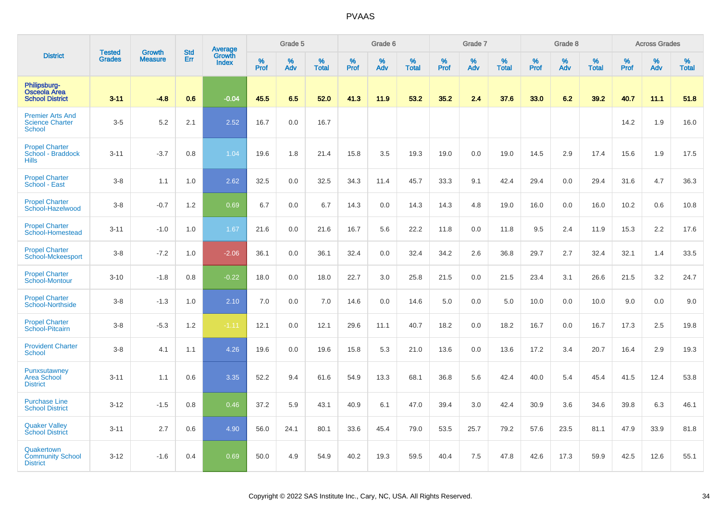|                                                                    |                                |                                 | <b>Std</b> | Average                |              | Grade 5  |                   |           | Grade 6  |                   |           | Grade 7  |                   |           | Grade 8  |                   |           | <b>Across Grades</b> |                   |
|--------------------------------------------------------------------|--------------------------------|---------------------------------|------------|------------------------|--------------|----------|-------------------|-----------|----------|-------------------|-----------|----------|-------------------|-----------|----------|-------------------|-----------|----------------------|-------------------|
| <b>District</b>                                                    | <b>Tested</b><br><b>Grades</b> | <b>Growth</b><br><b>Measure</b> | Err        | Growth<br><b>Index</b> | $\%$<br>Prof | %<br>Adv | %<br><b>Total</b> | %<br>Prof | %<br>Adv | %<br><b>Total</b> | %<br>Prof | %<br>Adv | %<br><b>Total</b> | %<br>Prof | %<br>Adv | %<br><b>Total</b> | %<br>Prof | %<br>Adv             | %<br><b>Total</b> |
| Philipsburg-<br><b>Osceola Area</b><br><b>School District</b>      | $3 - 11$                       | $-4.8$                          | 0.6        | $-0.04$                | 45.5         | 6.5      | 52.0              | 41.3      | 11.9     | 53.2              | 35.2      | 2.4      | 37.6              | 33.0      | 6.2      | 39.2              | 40.7      | 11.1                 | 51.8              |
| <b>Premier Arts And</b><br><b>Science Charter</b><br><b>School</b> | $3-5$                          | 5.2                             | 2.1        | 2.52                   | 16.7         | 0.0      | 16.7              |           |          |                   |           |          |                   |           |          |                   | 14.2      | 1.9                  | 16.0              |
| <b>Propel Charter</b><br>School - Braddock<br><b>Hills</b>         | $3 - 11$                       | $-3.7$                          | 0.8        | 1.04                   | 19.6         | 1.8      | 21.4              | 15.8      | 3.5      | 19.3              | 19.0      | 0.0      | 19.0              | 14.5      | 2.9      | 17.4              | 15.6      | 1.9                  | 17.5              |
| <b>Propel Charter</b><br>School - East                             | $3-8$                          | 1.1                             | 1.0        | 2.62                   | 32.5         | 0.0      | 32.5              | 34.3      | 11.4     | 45.7              | 33.3      | 9.1      | 42.4              | 29.4      | 0.0      | 29.4              | 31.6      | 4.7                  | 36.3              |
| <b>Propel Charter</b><br>School-Hazelwood                          | $3-8$                          | $-0.7$                          | 1.2        | 0.69                   | 6.7          | 0.0      | 6.7               | 14.3      | 0.0      | 14.3              | 14.3      | 4.8      | 19.0              | 16.0      | 0.0      | 16.0              | 10.2      | 0.6                  | 10.8              |
| <b>Propel Charter</b><br>School-Homestead                          | $3 - 11$                       | $-1.0$                          | 1.0        | 1.67                   | 21.6         | 0.0      | 21.6              | 16.7      | 5.6      | 22.2              | 11.8      | 0.0      | 11.8              | 9.5       | 2.4      | 11.9              | 15.3      | 2.2                  | 17.6              |
| <b>Propel Charter</b><br>School-Mckeesport                         | $3-8$                          | $-7.2$                          | 1.0        | $-2.06$                | 36.1         | 0.0      | 36.1              | 32.4      | 0.0      | 32.4              | 34.2      | 2.6      | 36.8              | 29.7      | 2.7      | 32.4              | 32.1      | 1.4                  | 33.5              |
| <b>Propel Charter</b><br>School-Montour                            | $3 - 10$                       | $-1.8$                          | 0.8        | $-0.22$                | 18.0         | 0.0      | 18.0              | 22.7      | 3.0      | 25.8              | 21.5      | 0.0      | 21.5              | 23.4      | 3.1      | 26.6              | 21.5      | 3.2                  | 24.7              |
| <b>Propel Charter</b><br>School-Northside                          | $3-8$                          | $-1.3$                          | 1.0        | 2.10                   | 7.0          | 0.0      | 7.0               | 14.6      | 0.0      | 14.6              | 5.0       | 0.0      | 5.0               | 10.0      | 0.0      | 10.0              | 9.0       | 0.0                  | 9.0               |
| <b>Propel Charter</b><br>School-Pitcairn                           | $3-8$                          | $-5.3$                          | 1.2        | $-1.11$                | 12.1         | 0.0      | 12.1              | 29.6      | 11.1     | 40.7              | 18.2      | 0.0      | 18.2              | 16.7      | 0.0      | 16.7              | 17.3      | 2.5                  | 19.8              |
| <b>Provident Charter</b><br><b>School</b>                          | $3-8$                          | 4.1                             | 1.1        | 4.26                   | 19.6         | 0.0      | 19.6              | 15.8      | 5.3      | 21.0              | 13.6      | 0.0      | 13.6              | 17.2      | 3.4      | 20.7              | 16.4      | 2.9                  | 19.3              |
| Punxsutawney<br><b>Area School</b><br><b>District</b>              | $3 - 11$                       | 1.1                             | 0.6        | 3.35                   | 52.2         | 9.4      | 61.6              | 54.9      | 13.3     | 68.1              | 36.8      | 5.6      | 42.4              | 40.0      | 5.4      | 45.4              | 41.5      | 12.4                 | 53.8              |
| <b>Purchase Line</b><br><b>School District</b>                     | $3 - 12$                       | $-1.5$                          | 0.8        | 0.46                   | 37.2         | 5.9      | 43.1              | 40.9      | 6.1      | 47.0              | 39.4      | 3.0      | 42.4              | 30.9      | 3.6      | 34.6              | 39.8      | 6.3                  | 46.1              |
| <b>Quaker Valley</b><br><b>School District</b>                     | $3 - 11$                       | 2.7                             | 0.6        | 4.90                   | 56.0         | 24.1     | 80.1              | 33.6      | 45.4     | 79.0              | 53.5      | 25.7     | 79.2              | 57.6      | 23.5     | 81.1              | 47.9      | 33.9                 | 81.8              |
| Quakertown<br><b>Community School</b><br><b>District</b>           | $3 - 12$                       | $-1.6$                          | 0.4        | 0.69                   | 50.0         | 4.9      | 54.9              | 40.2      | 19.3     | 59.5              | 40.4      | 7.5      | 47.8              | 42.6      | 17.3     | 59.9              | 42.5      | 12.6                 | 55.1              |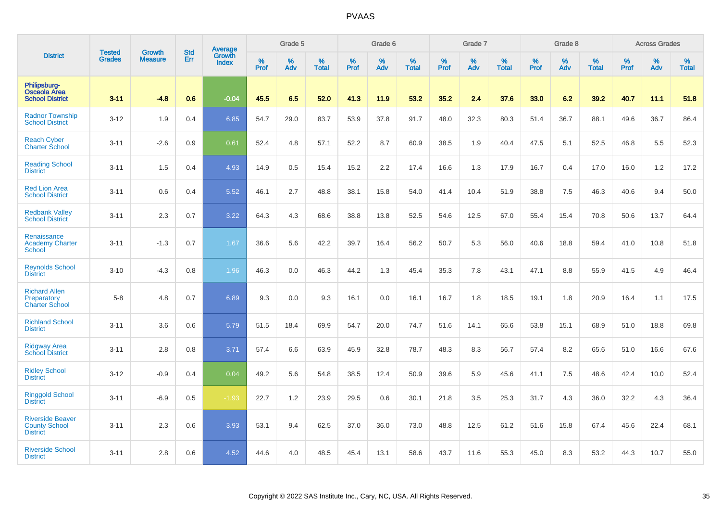|                                                                    |                                | <b>Growth</b>  | <b>Std</b> | Average                |              | Grade 5  |                   |              | Grade 6  |                   |              | Grade 7  |                   |           | Grade 8  |                   |           | <b>Across Grades</b> |                   |
|--------------------------------------------------------------------|--------------------------------|----------------|------------|------------------------|--------------|----------|-------------------|--------------|----------|-------------------|--------------|----------|-------------------|-----------|----------|-------------------|-----------|----------------------|-------------------|
| <b>District</b>                                                    | <b>Tested</b><br><b>Grades</b> | <b>Measure</b> | Err        | Growth<br><b>Index</b> | $\%$<br>Prof | %<br>Adv | %<br><b>Total</b> | $\%$<br>Prof | %<br>Adv | %<br><b>Total</b> | $\%$<br>Prof | %<br>Adv | %<br><b>Total</b> | %<br>Prof | %<br>Adv | %<br><b>Total</b> | %<br>Prof | %<br>Adv             | %<br><b>Total</b> |
| Philipsburg-<br><b>Osceola Area</b><br><b>School District</b>      | $3 - 11$                       | $-4.8$         | 0.6        | $-0.04$                | 45.5         | 6.5      | 52.0              | 41.3         | 11.9     | 53.2              | 35.2         | 2.4      | 37.6              | 33.0      | 6.2      | 39.2              | 40.7      | 11.1                 | 51.8              |
| <b>Radnor Township</b><br><b>School District</b>                   | $3 - 12$                       | 1.9            | 0.4        | 6.85                   | 54.7         | 29.0     | 83.7              | 53.9         | 37.8     | 91.7              | 48.0         | 32.3     | 80.3              | 51.4      | 36.7     | 88.1              | 49.6      | 36.7                 | 86.4              |
| <b>Reach Cyber</b><br><b>Charter School</b>                        | $3 - 11$                       | $-2.6$         | 0.9        | 0.61                   | 52.4         | 4.8      | 57.1              | 52.2         | 8.7      | 60.9              | 38.5         | 1.9      | 40.4              | 47.5      | 5.1      | 52.5              | 46.8      | 5.5                  | 52.3              |
| <b>Reading School</b><br><b>District</b>                           | $3 - 11$                       | 1.5            | 0.4        | 4.93                   | 14.9         | 0.5      | 15.4              | 15.2         | 2.2      | 17.4              | 16.6         | 1.3      | 17.9              | 16.7      | 0.4      | 17.0              | 16.0      | 1.2                  | 17.2              |
| <b>Red Lion Area</b><br><b>School District</b>                     | $3 - 11$                       | 0.6            | 0.4        | 5.52                   | 46.1         | 2.7      | 48.8              | 38.1         | 15.8     | 54.0              | 41.4         | 10.4     | 51.9              | 38.8      | 7.5      | 46.3              | 40.6      | 9.4                  | 50.0              |
| <b>Redbank Valley</b><br><b>School District</b>                    | $3 - 11$                       | 2.3            | 0.7        | 3.22                   | 64.3         | 4.3      | 68.6              | 38.8         | 13.8     | 52.5              | 54.6         | 12.5     | 67.0              | 55.4      | 15.4     | 70.8              | 50.6      | 13.7                 | 64.4              |
| Renaissance<br><b>Academy Charter</b><br><b>School</b>             | $3 - 11$                       | $-1.3$         | 0.7        | 1.67                   | 36.6         | 5.6      | 42.2              | 39.7         | 16.4     | 56.2              | 50.7         | 5.3      | 56.0              | 40.6      | 18.8     | 59.4              | 41.0      | 10.8                 | 51.8              |
| <b>Reynolds School</b><br><b>District</b>                          | $3 - 10$                       | $-4.3$         | 0.8        | 1.96                   | 46.3         | 0.0      | 46.3              | 44.2         | 1.3      | 45.4              | 35.3         | 7.8      | 43.1              | 47.1      | 8.8      | 55.9              | 41.5      | 4.9                  | 46.4              |
| <b>Richard Allen</b><br>Preparatory<br><b>Charter School</b>       | $5-8$                          | 4.8            | 0.7        | 6.89                   | 9.3          | 0.0      | 9.3               | 16.1         | 0.0      | 16.1              | 16.7         | 1.8      | 18.5              | 19.1      | 1.8      | 20.9              | 16.4      | 1.1                  | 17.5              |
| <b>Richland School</b><br><b>District</b>                          | $3 - 11$                       | 3.6            | 0.6        | 5.79                   | 51.5         | 18.4     | 69.9              | 54.7         | 20.0     | 74.7              | 51.6         | 14.1     | 65.6              | 53.8      | 15.1     | 68.9              | 51.0      | 18.8                 | 69.8              |
| <b>Ridgway Area</b><br><b>School District</b>                      | $3 - 11$                       | 2.8            | 0.8        | 3.71                   | 57.4         | 6.6      | 63.9              | 45.9         | 32.8     | 78.7              | 48.3         | 8.3      | 56.7              | 57.4      | 8.2      | 65.6              | 51.0      | 16.6                 | 67.6              |
| <b>Ridley School</b><br><b>District</b>                            | $3 - 12$                       | $-0.9$         | 0.4        | 0.04                   | 49.2         | 5.6      | 54.8              | 38.5         | 12.4     | 50.9              | 39.6         | 5.9      | 45.6              | 41.1      | 7.5      | 48.6              | 42.4      | 10.0                 | 52.4              |
| <b>Ringgold School</b><br><b>District</b>                          | $3 - 11$                       | $-6.9$         | 0.5        | $-1.93$                | 22.7         | $1.2$    | 23.9              | 29.5         | 0.6      | 30.1              | 21.8         | 3.5      | 25.3              | 31.7      | 4.3      | 36.0              | 32.2      | 4.3                  | 36.4              |
| <b>Riverside Beaver</b><br><b>County School</b><br><b>District</b> | $3 - 11$                       | 2.3            | 0.6        | 3.93                   | 53.1         | 9.4      | 62.5              | 37.0         | 36.0     | 73.0              | 48.8         | 12.5     | 61.2              | 51.6      | 15.8     | 67.4              | 45.6      | 22.4                 | 68.1              |
| <b>Riverside School</b><br><b>District</b>                         | $3 - 11$                       | 2.8            | 0.6        | 4.52                   | 44.6         | 4.0      | 48.5              | 45.4         | 13.1     | 58.6              | 43.7         | 11.6     | 55.3              | 45.0      | 8.3      | 53.2              | 44.3      | 10.7                 | 55.0              |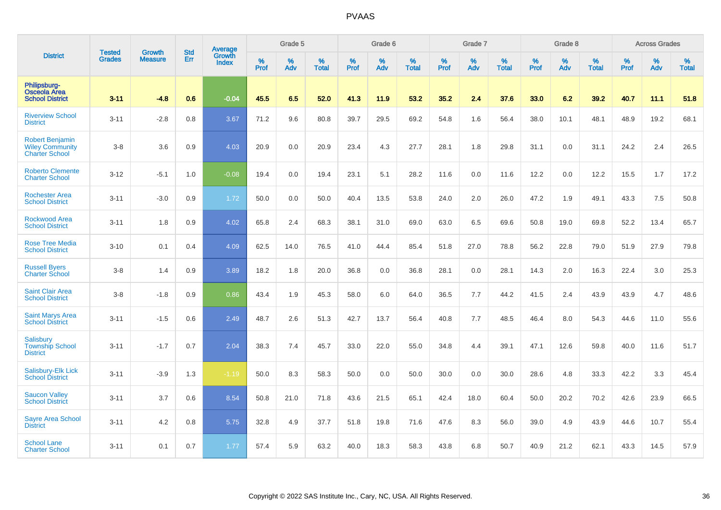|                                                                           |                                | <b>Growth</b>  | <b>Std</b> | Average                       |              | Grade 5  |                   |           | Grade 6  |                   |           | Grade 7  |                   |           | Grade 8  |                   |           | <b>Across Grades</b> |                   |
|---------------------------------------------------------------------------|--------------------------------|----------------|------------|-------------------------------|--------------|----------|-------------------|-----------|----------|-------------------|-----------|----------|-------------------|-----------|----------|-------------------|-----------|----------------------|-------------------|
| <b>District</b>                                                           | <b>Tested</b><br><b>Grades</b> | <b>Measure</b> | Err        | <b>Growth</b><br><b>Index</b> | $\%$<br>Prof | %<br>Adv | %<br><b>Total</b> | %<br>Prof | %<br>Adv | %<br><b>Total</b> | %<br>Prof | %<br>Adv | %<br><b>Total</b> | %<br>Prof | %<br>Adv | %<br><b>Total</b> | %<br>Prof | %<br>Adv             | %<br><b>Total</b> |
| Philipsburg-<br><b>Osceola Area</b><br><b>School District</b>             | $3 - 11$                       | $-4.8$         | 0.6        | $-0.04$                       | 45.5         | 6.5      | 52.0              | 41.3      | 11.9     | 53.2              | 35.2      | 2.4      | 37.6              | 33.0      | 6.2      | 39.2              | 40.7      | 11.1                 | 51.8              |
| <b>Riverview School</b><br><b>District</b>                                | $3 - 11$                       | $-2.8$         | 0.8        | 3.67                          | 71.2         | 9.6      | 80.8              | 39.7      | 29.5     | 69.2              | 54.8      | 1.6      | 56.4              | 38.0      | 10.1     | 48.1              | 48.9      | 19.2                 | 68.1              |
| <b>Robert Benjamin</b><br><b>Wiley Community</b><br><b>Charter School</b> | $3-8$                          | 3.6            | 0.9        | 4.03                          | 20.9         | 0.0      | 20.9              | 23.4      | 4.3      | 27.7              | 28.1      | 1.8      | 29.8              | 31.1      | 0.0      | 31.1              | 24.2      | 2.4                  | 26.5              |
| <b>Roberto Clemente</b><br><b>Charter School</b>                          | $3 - 12$                       | $-5.1$         | 1.0        | $-0.08$                       | 19.4         | 0.0      | 19.4              | 23.1      | 5.1      | 28.2              | 11.6      | 0.0      | 11.6              | 12.2      | 0.0      | 12.2              | 15.5      | 1.7                  | 17.2              |
| <b>Rochester Area</b><br><b>School District</b>                           | $3 - 11$                       | $-3.0$         | 0.9        | 1.72                          | 50.0         | 0.0      | 50.0              | 40.4      | 13.5     | 53.8              | 24.0      | 2.0      | 26.0              | 47.2      | 1.9      | 49.1              | 43.3      | 7.5                  | 50.8              |
| <b>Rockwood Area</b><br><b>School District</b>                            | $3 - 11$                       | 1.8            | 0.9        | 4.02                          | 65.8         | 2.4      | 68.3              | 38.1      | 31.0     | 69.0              | 63.0      | 6.5      | 69.6              | 50.8      | 19.0     | 69.8              | 52.2      | 13.4                 | 65.7              |
| <b>Rose Tree Media</b><br><b>School District</b>                          | $3 - 10$                       | 0.1            | 0.4        | 4.09                          | 62.5         | 14.0     | 76.5              | 41.0      | 44.4     | 85.4              | 51.8      | 27.0     | 78.8              | 56.2      | 22.8     | 79.0              | 51.9      | 27.9                 | 79.8              |
| <b>Russell Byers</b><br><b>Charter School</b>                             | $3 - 8$                        | 1.4            | 0.9        | 3.89                          | 18.2         | 1.8      | 20.0              | 36.8      | 0.0      | 36.8              | 28.1      | 0.0      | 28.1              | 14.3      | 2.0      | 16.3              | 22.4      | 3.0                  | 25.3              |
| <b>Saint Clair Area</b><br><b>School District</b>                         | $3-8$                          | $-1.8$         | 0.9        | 0.86                          | 43.4         | 1.9      | 45.3              | 58.0      | 6.0      | 64.0              | 36.5      | 7.7      | 44.2              | 41.5      | 2.4      | 43.9              | 43.9      | 4.7                  | 48.6              |
| <b>Saint Marys Area</b><br><b>School District</b>                         | $3 - 11$                       | $-1.5$         | 0.6        | 2.49                          | 48.7         | 2.6      | 51.3              | 42.7      | 13.7     | 56.4              | 40.8      | 7.7      | 48.5              | 46.4      | 8.0      | 54.3              | 44.6      | 11.0                 | 55.6              |
| Salisbury<br><b>Township School</b><br><b>District</b>                    | $3 - 11$                       | $-1.7$         | 0.7        | 2.04                          | 38.3         | 7.4      | 45.7              | 33.0      | 22.0     | 55.0              | 34.8      | 4.4      | 39.1              | 47.1      | 12.6     | 59.8              | 40.0      | 11.6                 | 51.7              |
| Salisbury-Elk Lick<br><b>School District</b>                              | $3 - 11$                       | $-3.9$         | 1.3        | $-1.19$                       | 50.0         | 8.3      | 58.3              | 50.0      | 0.0      | 50.0              | 30.0      | 0.0      | 30.0              | 28.6      | 4.8      | 33.3              | 42.2      | 3.3                  | 45.4              |
| <b>Saucon Valley</b><br><b>School District</b>                            | $3 - 11$                       | 3.7            | 0.6        | 8.54                          | 50.8         | 21.0     | 71.8              | 43.6      | 21.5     | 65.1              | 42.4      | 18.0     | 60.4              | 50.0      | 20.2     | 70.2              | 42.6      | 23.9                 | 66.5              |
| <b>Sayre Area School</b><br><b>District</b>                               | $3 - 11$                       | 4.2            | 0.8        | 5.75                          | 32.8         | 4.9      | 37.7              | 51.8      | 19.8     | 71.6              | 47.6      | 8.3      | 56.0              | 39.0      | 4.9      | 43.9              | 44.6      | 10.7                 | 55.4              |
| <b>School Lane</b><br><b>Charter School</b>                               | $3 - 11$                       | 0.1            | 0.7        | 1.77                          | 57.4         | 5.9      | 63.2              | 40.0      | 18.3     | 58.3              | 43.8      | 6.8      | 50.7              | 40.9      | 21.2     | 62.1              | 43.3      | 14.5                 | 57.9              |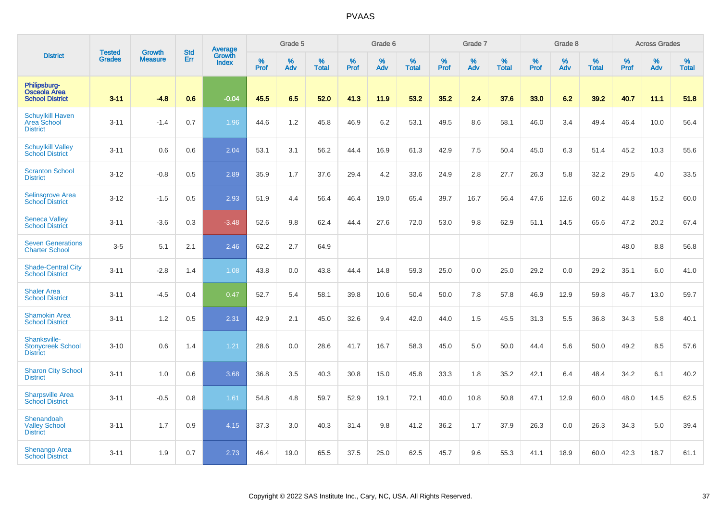|                                                               |                                | <b>Growth</b>  | <b>Std</b> | Average                |              | Grade 5  |                   |           | Grade 6  |                   |           | Grade 7  |                   |           | Grade 8  |                   |           | <b>Across Grades</b> |                   |
|---------------------------------------------------------------|--------------------------------|----------------|------------|------------------------|--------------|----------|-------------------|-----------|----------|-------------------|-----------|----------|-------------------|-----------|----------|-------------------|-----------|----------------------|-------------------|
| <b>District</b>                                               | <b>Tested</b><br><b>Grades</b> | <b>Measure</b> | Err        | Growth<br><b>Index</b> | $\%$<br>Prof | %<br>Adv | %<br><b>Total</b> | %<br>Prof | %<br>Adv | %<br><b>Total</b> | %<br>Prof | %<br>Adv | %<br><b>Total</b> | %<br>Prof | %<br>Adv | %<br><b>Total</b> | %<br>Prof | %<br>Adv             | %<br><b>Total</b> |
| Philipsburg-<br><b>Osceola Area</b><br><b>School District</b> | $3 - 11$                       | $-4.8$         | 0.6        | $-0.04$                | 45.5         | 6.5      | 52.0              | 41.3      | 11.9     | 53.2              | 35.2      | 2.4      | 37.6              | 33.0      | 6.2      | 39.2              | 40.7      | 11.1                 | 51.8              |
| <b>Schuylkill Haven</b><br>Area School<br><b>District</b>     | $3 - 11$                       | $-1.4$         | 0.7        | 1.96                   | 44.6         | 1.2      | 45.8              | 46.9      | $6.2\,$  | 53.1              | 49.5      | 8.6      | 58.1              | 46.0      | 3.4      | 49.4              | 46.4      | 10.0                 | 56.4              |
| <b>Schuylkill Valley</b><br><b>School District</b>            | $3 - 11$                       | 0.6            | 0.6        | 2.04                   | 53.1         | 3.1      | 56.2              | 44.4      | 16.9     | 61.3              | 42.9      | 7.5      | 50.4              | 45.0      | 6.3      | 51.4              | 45.2      | 10.3                 | 55.6              |
| <b>Scranton School</b><br><b>District</b>                     | $3 - 12$                       | $-0.8$         | 0.5        | 2.89                   | 35.9         | 1.7      | 37.6              | 29.4      | 4.2      | 33.6              | 24.9      | 2.8      | 27.7              | 26.3      | 5.8      | 32.2              | 29.5      | 4.0                  | 33.5              |
| <b>Selinsgrove Area</b><br><b>School District</b>             | $3 - 12$                       | $-1.5$         | 0.5        | 2.93                   | 51.9         | 4.4      | 56.4              | 46.4      | 19.0     | 65.4              | 39.7      | 16.7     | 56.4              | 47.6      | 12.6     | 60.2              | 44.8      | 15.2                 | 60.0              |
| <b>Seneca Valley</b><br><b>School District</b>                | $3 - 11$                       | $-3.6$         | 0.3        | $-3.48$                | 52.6         | 9.8      | 62.4              | 44.4      | 27.6     | 72.0              | 53.0      | 9.8      | 62.9              | 51.1      | 14.5     | 65.6              | 47.2      | 20.2                 | 67.4              |
| <b>Seven Generations</b><br><b>Charter School</b>             | $3-5$                          | 5.1            | 2.1        | 2.46                   | 62.2         | 2.7      | 64.9              |           |          |                   |           |          |                   |           |          |                   | 48.0      | 8.8                  | 56.8              |
| <b>Shade-Central City</b><br><b>School District</b>           | $3 - 11$                       | $-2.8$         | 1.4        | 1.08                   | 43.8         | 0.0      | 43.8              | 44.4      | 14.8     | 59.3              | 25.0      | 0.0      | 25.0              | 29.2      | 0.0      | 29.2              | 35.1      | 6.0                  | 41.0              |
| <b>Shaler Area</b><br><b>School District</b>                  | $3 - 11$                       | $-4.5$         | 0.4        | 0.47                   | 52.7         | 5.4      | 58.1              | 39.8      | 10.6     | 50.4              | 50.0      | 7.8      | 57.8              | 46.9      | 12.9     | 59.8              | 46.7      | 13.0                 | 59.7              |
| <b>Shamokin Area</b><br><b>School District</b>                | $3 - 11$                       | 1.2            | 0.5        | 2.31                   | 42.9         | 2.1      | 45.0              | 32.6      | 9.4      | 42.0              | 44.0      | 1.5      | 45.5              | 31.3      | 5.5      | 36.8              | 34.3      | 5.8                  | 40.1              |
| Shanksville-<br><b>Stonycreek School</b><br><b>District</b>   | $3 - 10$                       | 0.6            | 1.4        | 1.21                   | 28.6         | 0.0      | 28.6              | 41.7      | 16.7     | 58.3              | 45.0      | 5.0      | 50.0              | 44.4      | 5.6      | 50.0              | 49.2      | 8.5                  | 57.6              |
| <b>Sharon City School</b><br><b>District</b>                  | $3 - 11$                       | 1.0            | 0.6        | 3.68                   | 36.8         | 3.5      | 40.3              | 30.8      | 15.0     | 45.8              | 33.3      | 1.8      | 35.2              | 42.1      | 6.4      | 48.4              | 34.2      | 6.1                  | 40.2              |
| <b>Sharpsville Area</b><br><b>School District</b>             | $3 - 11$                       | $-0.5$         | 0.8        | 1.61                   | 54.8         | 4.8      | 59.7              | 52.9      | 19.1     | 72.1              | 40.0      | 10.8     | 50.8              | 47.1      | 12.9     | 60.0              | 48.0      | 14.5                 | 62.5              |
| Shenandoah<br><b>Valley School</b><br><b>District</b>         | $3 - 11$                       | 1.7            | 0.9        | 4.15                   | 37.3         | 3.0      | 40.3              | 31.4      | 9.8      | 41.2              | 36.2      | 1.7      | 37.9              | 26.3      | 0.0      | 26.3              | 34.3      | 5.0                  | 39.4              |
| Shenango Area<br><b>School District</b>                       | $3 - 11$                       | 1.9            | 0.7        | 2.73                   | 46.4         | 19.0     | 65.5              | 37.5      | 25.0     | 62.5              | 45.7      | 9.6      | 55.3              | 41.1      | 18.9     | 60.0              | 42.3      | 18.7                 | 61.1              |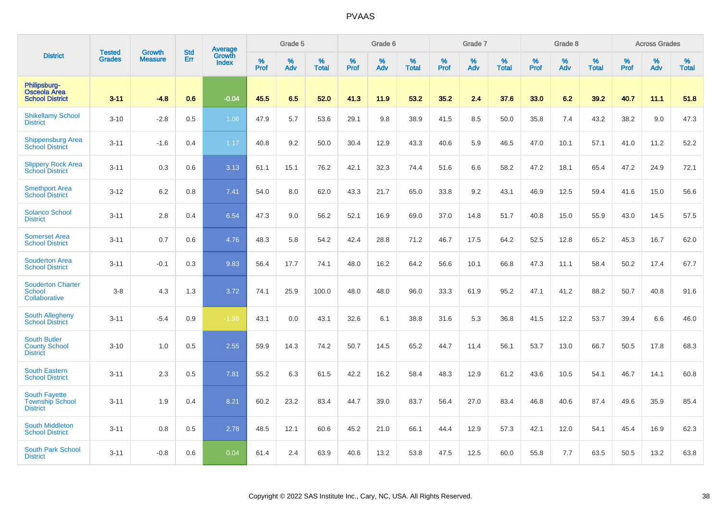|                                                                   |                                |                                 | <b>Std</b> | Average                |              | Grade 5  |                   |           | Grade 6  |                   |           | Grade 7  |                   |           | Grade 8  |                   |           | <b>Across Grades</b> |                   |
|-------------------------------------------------------------------|--------------------------------|---------------------------------|------------|------------------------|--------------|----------|-------------------|-----------|----------|-------------------|-----------|----------|-------------------|-----------|----------|-------------------|-----------|----------------------|-------------------|
| <b>District</b>                                                   | <b>Tested</b><br><b>Grades</b> | <b>Growth</b><br><b>Measure</b> | Err        | Growth<br><b>Index</b> | $\%$<br>Prof | %<br>Adv | %<br><b>Total</b> | %<br>Prof | %<br>Adv | %<br><b>Total</b> | %<br>Prof | %<br>Adv | %<br><b>Total</b> | %<br>Prof | %<br>Adv | %<br><b>Total</b> | %<br>Prof | %<br>Adv             | %<br><b>Total</b> |
| Philipsburg-<br><b>Osceola Area</b><br><b>School District</b>     | $3 - 11$                       | $-4.8$                          | 0.6        | $-0.04$                | 45.5         | 6.5      | 52.0              | 41.3      | 11.9     | 53.2              | 35.2      | 2.4      | 37.6              | 33.0      | 6.2      | 39.2              | 40.7      | 11.1                 | 51.8              |
| <b>Shikellamy School</b><br><b>District</b>                       | $3 - 10$                       | $-2.8$                          | 0.5        | 1.06                   | 47.9         | 5.7      | 53.6              | 29.1      | 9.8      | 38.9              | 41.5      | 8.5      | 50.0              | 35.8      | 7.4      | 43.2              | 38.2      | 9.0                  | 47.3              |
| <b>Shippensburg Area</b><br><b>School District</b>                | $3 - 11$                       | $-1.6$                          | 0.4        | 1.17                   | 40.8         | 9.2      | 50.0              | 30.4      | 12.9     | 43.3              | 40.6      | 5.9      | 46.5              | 47.0      | 10.1     | 57.1              | 41.0      | 11.2                 | 52.2              |
| <b>Slippery Rock Area</b><br><b>School District</b>               | $3 - 11$                       | 0.3                             | 0.6        | 3.13                   | 61.1         | 15.1     | 76.2              | 42.1      | 32.3     | 74.4              | 51.6      | 6.6      | 58.2              | 47.2      | 18.1     | 65.4              | 47.2      | 24.9                 | 72.1              |
| <b>Smethport Area</b><br><b>School District</b>                   | $3 - 12$                       | 6.2                             | 0.8        | 7.41                   | 54.0         | 8.0      | 62.0              | 43.3      | 21.7     | 65.0              | 33.8      | 9.2      | 43.1              | 46.9      | 12.5     | 59.4              | 41.6      | 15.0                 | 56.6              |
| <b>Solanco School</b><br><b>District</b>                          | $3 - 11$                       | 2.8                             | 0.4        | 6.54                   | 47.3         | 9.0      | 56.2              | 52.1      | 16.9     | 69.0              | 37.0      | 14.8     | 51.7              | 40.8      | 15.0     | 55.9              | 43.0      | 14.5                 | 57.5              |
| <b>Somerset Area</b><br><b>School District</b>                    | $3 - 11$                       | 0.7                             | 0.6        | 4.76                   | 48.3         | 5.8      | 54.2              | 42.4      | 28.8     | 71.2              | 46.7      | 17.5     | 64.2              | 52.5      | 12.8     | 65.2              | 45.3      | 16.7                 | 62.0              |
| <b>Souderton Area</b><br><b>School District</b>                   | $3 - 11$                       | $-0.1$                          | 0.3        | 9.83                   | 56.4         | 17.7     | 74.1              | 48.0      | 16.2     | 64.2              | 56.6      | 10.1     | 66.8              | 47.3      | 11.1     | 58.4              | 50.2      | 17.4                 | 67.7              |
| <b>Souderton Charter</b><br><b>School</b><br>Collaborative        | $3-8$                          | 4.3                             | 1.3        | 3.72                   | 74.1         | 25.9     | 100.0             | 48.0      | 48.0     | 96.0              | 33.3      | 61.9     | 95.2              | 47.1      | 41.2     | 88.2              | 50.7      | 40.8                 | 91.6              |
| South Allegheny<br><b>School District</b>                         | $3 - 11$                       | $-5.4$                          | 0.9        | $-1.98$                | 43.1         | 0.0      | 43.1              | 32.6      | 6.1      | 38.8              | 31.6      | 5.3      | 36.8              | 41.5      | 12.2     | 53.7              | 39.4      | 6.6                  | 46.0              |
| <b>South Butler</b><br><b>County School</b><br><b>District</b>    | $3 - 10$                       | 1.0                             | 0.5        | 2.55                   | 59.9         | 14.3     | 74.2              | 50.7      | 14.5     | 65.2              | 44.7      | 11.4     | 56.1              | 53.7      | 13.0     | 66.7              | 50.5      | 17.8                 | 68.3              |
| <b>South Eastern</b><br><b>School District</b>                    | $3 - 11$                       | 2.3                             | 0.5        | 7.81                   | 55.2         | 6.3      | 61.5              | 42.2      | 16.2     | 58.4              | 48.3      | 12.9     | 61.2              | 43.6      | 10.5     | 54.1              | 46.7      | 14.1                 | 60.8              |
| <b>South Fayette</b><br><b>Township School</b><br><b>District</b> | $3 - 11$                       | 1.9                             | 0.4        | 8.21                   | 60.2         | 23.2     | 83.4              | 44.7      | 39.0     | 83.7              | 56.4      | 27.0     | 83.4              | 46.8      | 40.6     | 87.4              | 49.6      | 35.9                 | 85.4              |
| <b>South Middleton</b><br><b>School District</b>                  | $3 - 11$                       | 0.8                             | 0.5        | 2.78                   | 48.5         | 12.1     | 60.6              | 45.2      | 21.0     | 66.1              | 44.4      | 12.9     | 57.3              | 42.1      | 12.0     | 54.1              | 45.4      | 16.9                 | 62.3              |
| South Park School<br><b>District</b>                              | $3 - 11$                       | $-0.8$                          | 0.6        | 0.04                   | 61.4         | 2.4      | 63.9              | 40.6      | 13.2     | 53.8              | 47.5      | 12.5     | 60.0              | 55.8      | 7.7      | 63.5              | 50.5      | 13.2                 | 63.8              |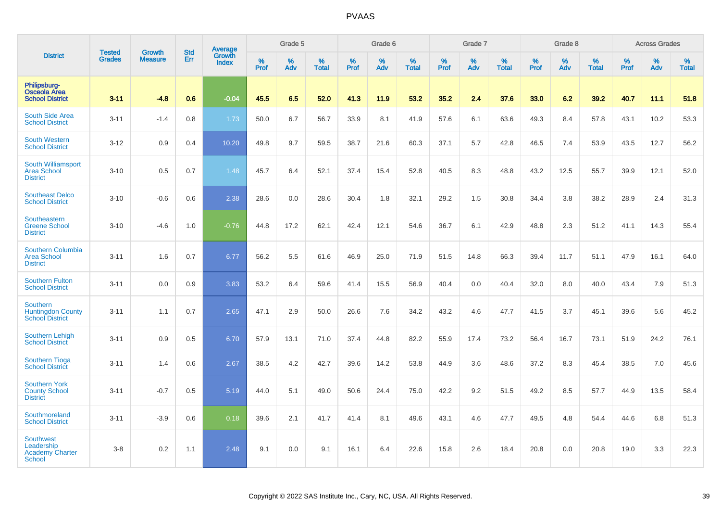|                                                                           |                                | <b>Growth</b>  | <b>Std</b> | Average                |                     | Grade 5     |                      |           | Grade 6  |                   |           | Grade 7  |                   |              | Grade 8  |                   |              | <b>Across Grades</b> |                      |
|---------------------------------------------------------------------------|--------------------------------|----------------|------------|------------------------|---------------------|-------------|----------------------|-----------|----------|-------------------|-----------|----------|-------------------|--------------|----------|-------------------|--------------|----------------------|----------------------|
| <b>District</b>                                                           | <b>Tested</b><br><b>Grades</b> | <b>Measure</b> | Err        | Growth<br><b>Index</b> | $\%$<br><b>Prof</b> | $\%$<br>Adv | $\%$<br><b>Total</b> | %<br>Prof | %<br>Adv | %<br><b>Total</b> | %<br>Prof | %<br>Adv | %<br><b>Total</b> | $\%$<br>Prof | %<br>Adv | %<br><b>Total</b> | $\%$<br>Prof | $\%$<br>Adv          | $\%$<br><b>Total</b> |
| Philipsburg-<br><b>Osceola Area</b><br><b>School District</b>             | $3 - 11$                       | $-4.8$         | 0.6        | $-0.04$                | 45.5                | 6.5         | 52.0                 | 41.3      | 11.9     | 53.2              | 35.2      | 2.4      | 37.6              | 33.0         | 6.2      | 39.2              | 40.7         | 11.1                 | 51.8                 |
| South Side Area<br><b>School District</b>                                 | $3 - 11$                       | $-1.4$         | 0.8        | 1.73                   | 50.0                | 6.7         | 56.7                 | 33.9      | 8.1      | 41.9              | 57.6      | 6.1      | 63.6              | 49.3         | 8.4      | 57.8              | 43.1         | 10.2                 | 53.3                 |
| <b>South Western</b><br><b>School District</b>                            | $3 - 12$                       | 0.9            | 0.4        | 10.20                  | 49.8                | 9.7         | 59.5                 | 38.7      | 21.6     | 60.3              | 37.1      | 5.7      | 42.8              | 46.5         | 7.4      | 53.9              | 43.5         | 12.7                 | 56.2                 |
| <b>South Williamsport</b><br><b>Area School</b><br><b>District</b>        | $3 - 10$                       | 0.5            | 0.7        | 1.48                   | 45.7                | 6.4         | 52.1                 | 37.4      | 15.4     | 52.8              | 40.5      | 8.3      | 48.8              | 43.2         | 12.5     | 55.7              | 39.9         | 12.1                 | 52.0                 |
| <b>Southeast Delco</b><br><b>School District</b>                          | $3 - 10$                       | $-0.6$         | 0.6        | 2.38                   | 28.6                | 0.0         | 28.6                 | 30.4      | 1.8      | 32.1              | 29.2      | 1.5      | 30.8              | 34.4         | 3.8      | 38.2              | 28.9         | 2.4                  | 31.3                 |
| Southeastern<br><b>Greene School</b><br><b>District</b>                   | $3 - 10$                       | $-4.6$         | 1.0        | $-0.76$                | 44.8                | 17.2        | 62.1                 | 42.4      | 12.1     | 54.6              | 36.7      | 6.1      | 42.9              | 48.8         | 2.3      | 51.2              | 41.1         | 14.3                 | 55.4                 |
| Southern Columbia<br><b>Area School</b><br><b>District</b>                | $3 - 11$                       | 1.6            | 0.7        | 6.77                   | 56.2                | 5.5         | 61.6                 | 46.9      | 25.0     | 71.9              | 51.5      | 14.8     | 66.3              | 39.4         | 11.7     | 51.1              | 47.9         | 16.1                 | 64.0                 |
| <b>Southern Fulton</b><br><b>School District</b>                          | $3 - 11$                       | 0.0            | 0.9        | 3.83                   | 53.2                | 6.4         | 59.6                 | 41.4      | 15.5     | 56.9              | 40.4      | 0.0      | 40.4              | 32.0         | 8.0      | 40.0              | 43.4         | 7.9                  | 51.3                 |
| <b>Southern</b><br><b>Huntingdon County</b><br><b>School District</b>     | $3 - 11$                       | 1.1            | 0.7        | 2.65                   | 47.1                | 2.9         | 50.0                 | 26.6      | 7.6      | 34.2              | 43.2      | 4.6      | 47.7              | 41.5         | 3.7      | 45.1              | 39.6         | 5.6                  | 45.2                 |
| <b>Southern Lehigh</b><br><b>School District</b>                          | $3 - 11$                       | 0.9            | 0.5        | 6.70                   | 57.9                | 13.1        | 71.0                 | 37.4      | 44.8     | 82.2              | 55.9      | 17.4     | 73.2              | 56.4         | 16.7     | 73.1              | 51.9         | 24.2                 | 76.1                 |
| <b>Southern Tioga</b><br><b>School District</b>                           | $3 - 11$                       | 1.4            | 0.6        | 2.67                   | 38.5                | 4.2         | 42.7                 | 39.6      | 14.2     | 53.8              | 44.9      | 3.6      | 48.6              | 37.2         | 8.3      | 45.4              | 38.5         | 7.0                  | 45.6                 |
| <b>Southern York</b><br><b>County School</b><br><b>District</b>           | $3 - 11$                       | $-0.7$         | 0.5        | 5.19                   | 44.0                | 5.1         | 49.0                 | 50.6      | 24.4     | 75.0              | 42.2      | 9.2      | 51.5              | 49.2         | 8.5      | 57.7              | 44.9         | 13.5                 | 58.4                 |
| Southmoreland<br><b>School District</b>                                   | $3 - 11$                       | $-3.9$         | 0.6        | 0.18                   | 39.6                | 2.1         | 41.7                 | 41.4      | 8.1      | 49.6              | 43.1      | 4.6      | 47.7              | 49.5         | 4.8      | 54.4              | 44.6         | 6.8                  | 51.3                 |
| <b>Southwest</b><br>Leadership<br><b>Academy Charter</b><br><b>School</b> | $3 - 8$                        | 0.2            | 1.1        | 2.48                   | 9.1                 | 0.0         | 9.1                  | 16.1      | 6.4      | 22.6              | 15.8      | 2.6      | 18.4              | 20.8         | 0.0      | 20.8              | 19.0         | 3.3                  | 22.3                 |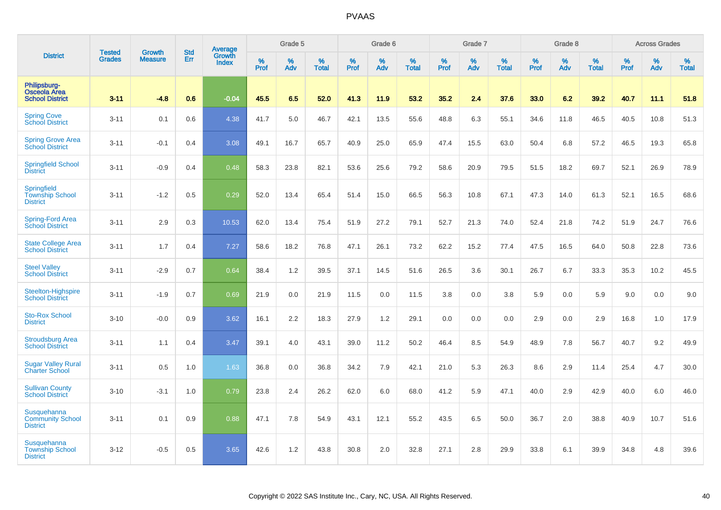|                                                           |                                |                                 | <b>Std</b> | Average                |                     | Grade 5  |                   |                  | Grade 6  |                   |                  | Grade 7  |                   |           | Grade 8  |                   |           | <b>Across Grades</b> |                   |
|-----------------------------------------------------------|--------------------------------|---------------------------------|------------|------------------------|---------------------|----------|-------------------|------------------|----------|-------------------|------------------|----------|-------------------|-----------|----------|-------------------|-----------|----------------------|-------------------|
| <b>District</b>                                           | <b>Tested</b><br><b>Grades</b> | <b>Growth</b><br><b>Measure</b> | Err        | Growth<br><b>Index</b> | $\%$<br><b>Prof</b> | %<br>Adv | %<br><b>Total</b> | %<br><b>Prof</b> | %<br>Adv | %<br><b>Total</b> | %<br><b>Prof</b> | %<br>Adv | %<br><b>Total</b> | %<br>Prof | %<br>Adv | %<br><b>Total</b> | %<br>Prof | %<br>Adv             | %<br><b>Total</b> |
| Philipsburg-<br>Osceola Area<br><b>School District</b>    | $3 - 11$                       | $-4.8$                          | 0.6        | $-0.04$                | 45.5                | 6.5      | 52.0              | 41.3             | 11.9     | 53.2              | 35.2             | 2.4      | 37.6              | 33.0      | 6.2      | 39.2              | 40.7      | 11.1                 | 51.8              |
| <b>Spring Cove</b><br>School District                     | $3 - 11$                       | 0.1                             | 0.6        | 4.38                   | 41.7                | 5.0      | 46.7              | 42.1             | 13.5     | 55.6              | 48.8             | 6.3      | 55.1              | 34.6      | 11.8     | 46.5              | 40.5      | 10.8                 | 51.3              |
| <b>Spring Grove Area</b><br><b>School District</b>        | $3 - 11$                       | $-0.1$                          | 0.4        | 3.08                   | 49.1                | 16.7     | 65.7              | 40.9             | 25.0     | 65.9              | 47.4             | 15.5     | 63.0              | 50.4      | 6.8      | 57.2              | 46.5      | 19.3                 | 65.8              |
| <b>Springfield School</b><br><b>District</b>              | $3 - 11$                       | $-0.9$                          | 0.4        | 0.48                   | 58.3                | 23.8     | 82.1              | 53.6             | 25.6     | 79.2              | 58.6             | 20.9     | 79.5              | 51.5      | 18.2     | 69.7              | 52.1      | 26.9                 | 78.9              |
| Springfield<br><b>Township School</b><br><b>District</b>  | $3 - 11$                       | $-1.2$                          | 0.5        | 0.29                   | 52.0                | 13.4     | 65.4              | 51.4             | 15.0     | 66.5              | 56.3             | 10.8     | 67.1              | 47.3      | 14.0     | 61.3              | 52.1      | 16.5                 | 68.6              |
| Spring-Ford Area<br><b>School District</b>                | $3 - 11$                       | 2.9                             | 0.3        | 10.53                  | 62.0                | 13.4     | 75.4              | 51.9             | 27.2     | 79.1              | 52.7             | 21.3     | 74.0              | 52.4      | 21.8     | 74.2              | 51.9      | 24.7                 | 76.6              |
| <b>State College Area</b><br><b>School District</b>       | $3 - 11$                       | 1.7                             | 0.4        | 7.27                   | 58.6                | 18.2     | 76.8              | 47.1             | 26.1     | 73.2              | 62.2             | 15.2     | 77.4              | 47.5      | 16.5     | 64.0              | 50.8      | 22.8                 | 73.6              |
| <b>Steel Valley</b><br><b>School District</b>             | $3 - 11$                       | $-2.9$                          | 0.7        | 0.64                   | 38.4                | 1.2      | 39.5              | 37.1             | 14.5     | 51.6              | 26.5             | 3.6      | 30.1              | 26.7      | 6.7      | 33.3              | 35.3      | 10.2                 | 45.5              |
| Steelton-Highspire<br><b>School District</b>              | $3 - 11$                       | $-1.9$                          | 0.7        | 0.69                   | 21.9                | 0.0      | 21.9              | 11.5             | 0.0      | 11.5              | 3.8              | 0.0      | 3.8               | 5.9       | 0.0      | 5.9               | 9.0       | 0.0                  | 9.0               |
| <b>Sto-Rox School</b><br><b>District</b>                  | $3 - 10$                       | $-0.0$                          | 0.9        | 3.62                   | 16.1                | 2.2      | 18.3              | 27.9             | 1.2      | 29.1              | 0.0              | 0.0      | 0.0               | 2.9       | 0.0      | 2.9               | 16.8      | 1.0                  | 17.9              |
| <b>Stroudsburg Area</b><br><b>School District</b>         | $3 - 11$                       | 1.1                             | 0.4        | 3.47                   | 39.1                | 4.0      | 43.1              | 39.0             | 11.2     | 50.2              | 46.4             | 8.5      | 54.9              | 48.9      | 7.8      | 56.7              | 40.7      | 9.2                  | 49.9              |
| <b>Sugar Valley Rural</b><br><b>Charter School</b>        | $3 - 11$                       | 0.5                             | 1.0        | 1.63                   | 36.8                | 0.0      | 36.8              | 34.2             | 7.9      | 42.1              | 21.0             | 5.3      | 26.3              | 8.6       | 2.9      | 11.4              | 25.4      | 4.7                  | 30.0              |
| <b>Sullivan County</b><br><b>School District</b>          | $3 - 10$                       | $-3.1$                          | 1.0        | 0.79                   | 23.8                | 2.4      | 26.2              | 62.0             | 6.0      | 68.0              | 41.2             | 5.9      | 47.1              | 40.0      | 2.9      | 42.9              | 40.0      | 6.0                  | 46.0              |
| Susquehanna<br><b>Community School</b><br><b>District</b> | $3 - 11$                       | 0.1                             | 0.9        | 0.88                   | 47.1                | 7.8      | 54.9              | 43.1             | 12.1     | 55.2              | 43.5             | 6.5      | 50.0              | 36.7      | 2.0      | 38.8              | 40.9      | 10.7                 | 51.6              |
| Susquehanna<br><b>Township School</b><br><b>District</b>  | $3 - 12$                       | $-0.5$                          | 0.5        | 3.65                   | 42.6                | 1.2      | 43.8              | 30.8             | 2.0      | 32.8              | 27.1             | 2.8      | 29.9              | 33.8      | 6.1      | 39.9              | 34.8      | 4.8                  | 39.6              |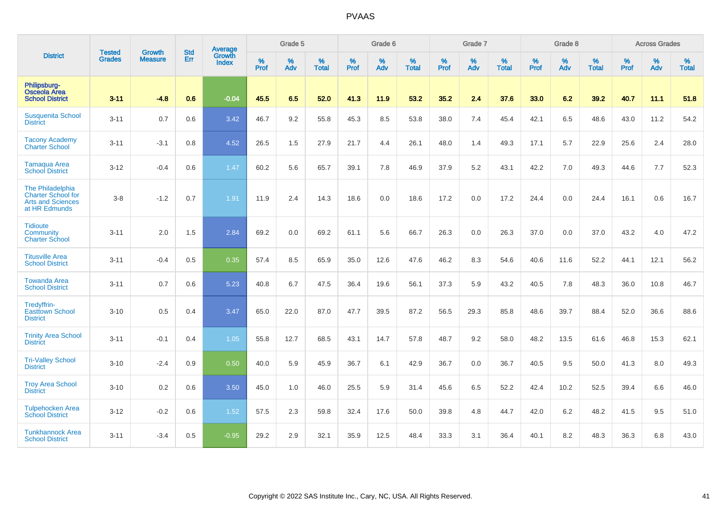|                                                                                            | <b>Tested</b> | <b>Growth</b>  | <b>Std</b> | Average                |                     | Grade 5  |                   |                     | Grade 6  |                   |                     | Grade 7     |                   |                     | Grade 8  |                   |                     | <b>Across Grades</b> |                   |
|--------------------------------------------------------------------------------------------|---------------|----------------|------------|------------------------|---------------------|----------|-------------------|---------------------|----------|-------------------|---------------------|-------------|-------------------|---------------------|----------|-------------------|---------------------|----------------------|-------------------|
| <b>District</b>                                                                            | <b>Grades</b> | <b>Measure</b> | Err        | Growth<br><b>Index</b> | $\%$<br><b>Prof</b> | %<br>Adv | %<br><b>Total</b> | $\%$<br><b>Prof</b> | %<br>Adv | %<br><b>Total</b> | $\%$<br><b>Prof</b> | $\%$<br>Adv | %<br><b>Total</b> | $\%$<br><b>Prof</b> | %<br>Adv | %<br><b>Total</b> | $\%$<br><b>Prof</b> | %<br>Adv             | %<br><b>Total</b> |
| Philipsburg-<br><b>Osceola Area</b><br><b>School District</b>                              | $3 - 11$      | $-4.8$         | 0.6        | $-0.04$                | 45.5                | 6.5      | 52.0              | 41.3                | 11.9     | 53.2              | 35.2                | 2.4         | 37.6              | 33.0                | 6.2      | 39.2              | 40.7                | 11.1                 | 51.8              |
| <b>Susquenita School</b><br><b>District</b>                                                | $3 - 11$      | 0.7            | 0.6        | 3.42                   | 46.7                | 9.2      | 55.8              | 45.3                | 8.5      | 53.8              | 38.0                | 7.4         | 45.4              | 42.1                | 6.5      | 48.6              | 43.0                | 11.2                 | 54.2              |
| <b>Tacony Academy</b><br><b>Charter School</b>                                             | $3 - 11$      | $-3.1$         | 0.8        | 4.52                   | 26.5                | 1.5      | 27.9              | 21.7                | 4.4      | 26.1              | 48.0                | 1.4         | 49.3              | 17.1                | 5.7      | 22.9              | 25.6                | 2.4                  | 28.0              |
| <b>Tamaqua Area</b><br><b>School District</b>                                              | $3 - 12$      | $-0.4$         | 0.6        | 1.47                   | 60.2                | 5.6      | 65.7              | 39.1                | 7.8      | 46.9              | 37.9                | 5.2         | 43.1              | 42.2                | 7.0      | 49.3              | 44.6                | 7.7                  | 52.3              |
| The Philadelphia<br><b>Charter School for</b><br><b>Arts and Sciences</b><br>at HR Edmunds | $3 - 8$       | $-1.2$         | 0.7        | 1.91                   | 11.9                | 2.4      | 14.3              | 18.6                | 0.0      | 18.6              | 17.2                | 0.0         | 17.2              | 24.4                | 0.0      | 24.4              | 16.1                | 0.6                  | 16.7              |
| <b>Tidioute</b><br>Community<br><b>Charter School</b>                                      | $3 - 11$      | 2.0            | 1.5        | 2.84                   | 69.2                | 0.0      | 69.2              | 61.1                | 5.6      | 66.7              | 26.3                | 0.0         | 26.3              | 37.0                | 0.0      | 37.0              | 43.2                | 4.0                  | 47.2              |
| <b>Titusville Area</b><br><b>School District</b>                                           | $3 - 11$      | $-0.4$         | 0.5        | 0.35                   | 57.4                | 8.5      | 65.9              | 35.0                | 12.6     | 47.6              | 46.2                | 8.3         | 54.6              | 40.6                | 11.6     | 52.2              | 44.1                | 12.1                 | 56.2              |
| <b>Towanda Area</b><br><b>School District</b>                                              | $3 - 11$      | 0.7            | 0.6        | 5.23                   | 40.8                | 6.7      | 47.5              | 36.4                | 19.6     | 56.1              | 37.3                | 5.9         | 43.2              | 40.5                | 7.8      | 48.3              | 36.0                | 10.8                 | 46.7              |
| Tredyffrin-<br><b>Easttown School</b><br><b>District</b>                                   | $3 - 10$      | 0.5            | 0.4        | 3.47                   | 65.0                | 22.0     | 87.0              | 47.7                | 39.5     | 87.2              | 56.5                | 29.3        | 85.8              | 48.6                | 39.7     | 88.4              | 52.0                | 36.6                 | 88.6              |
| <b>Trinity Area School</b><br><b>District</b>                                              | $3 - 11$      | $-0.1$         | 0.4        | 1.05                   | 55.8                | 12.7     | 68.5              | 43.1                | 14.7     | 57.8              | 48.7                | 9.2         | 58.0              | 48.2                | 13.5     | 61.6              | 46.8                | 15.3                 | 62.1              |
| <b>Tri-Valley School</b><br><b>District</b>                                                | $3 - 10$      | $-2.4$         | 0.9        | 0.50                   | 40.0                | 5.9      | 45.9              | 36.7                | 6.1      | 42.9              | 36.7                | 0.0         | 36.7              | 40.5                | 9.5      | 50.0              | 41.3                | 8.0                  | 49.3              |
| <b>Troy Area School</b><br><b>District</b>                                                 | $3 - 10$      | 0.2            | 0.6        | 3.50                   | 45.0                | 1.0      | 46.0              | 25.5                | 5.9      | 31.4              | 45.6                | 6.5         | 52.2              | 42.4                | 10.2     | 52.5              | 39.4                | 6.6                  | 46.0              |
| <b>Tulpehocken Area</b><br><b>School District</b>                                          | $3 - 12$      | $-0.2$         | 0.6        | 1.52                   | 57.5                | 2.3      | 59.8              | 32.4                | 17.6     | 50.0              | 39.8                | 4.8         | 44.7              | 42.0                | 6.2      | 48.2              | 41.5                | 9.5                  | 51.0              |
| <b>Tunkhannock Area</b><br><b>School District</b>                                          | $3 - 11$      | $-3.4$         | 0.5        | $-0.95$                | 29.2                | 2.9      | 32.1              | 35.9                | 12.5     | 48.4              | 33.3                | 3.1         | 36.4              | 40.1                | 8.2      | 48.3              | 36.3                | 6.8                  | 43.0              |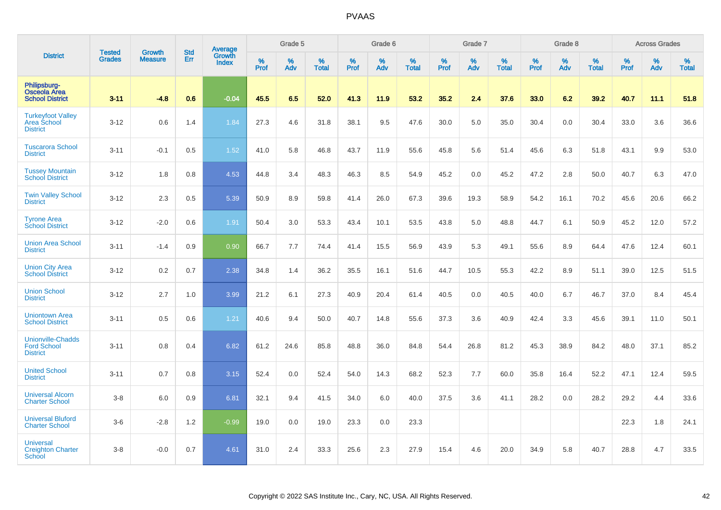|                                                                   |                                | <b>Growth</b>  | <b>Std</b> |                                   |                     | Grade 5  |                   |           | Grade 6  |                   |                  | Grade 7  |                   |                  | Grade 8     |                   |           | <b>Across Grades</b> |                   |
|-------------------------------------------------------------------|--------------------------------|----------------|------------|-----------------------------------|---------------------|----------|-------------------|-----------|----------|-------------------|------------------|----------|-------------------|------------------|-------------|-------------------|-----------|----------------------|-------------------|
| <b>District</b>                                                   | <b>Tested</b><br><b>Grades</b> | <b>Measure</b> | Err        | Average<br>Growth<br><b>Index</b> | $\%$<br><b>Prof</b> | %<br>Adv | %<br><b>Total</b> | %<br>Prof | %<br>Adv | %<br><b>Total</b> | %<br><b>Prof</b> | %<br>Adv | %<br><b>Total</b> | %<br><b>Prof</b> | $\%$<br>Adv | %<br><b>Total</b> | %<br>Prof | %<br>Adv             | %<br><b>Total</b> |
| Philipsburg-<br><b>Osceola Area</b><br><b>School District</b>     | $3 - 11$                       | $-4.8$         | 0.6        | $-0.04$                           | 45.5                | 6.5      | 52.0              | 41.3      | 11.9     | 53.2              | 35.2             | 2.4      | 37.6              | 33.0             | 6.2         | 39.2              | 40.7      | 11.1                 | 51.8              |
| <b>Turkeyfoot Valley</b><br>Area School<br><b>District</b>        | $3 - 12$                       | 0.6            | 1.4        | 1.84                              | 27.3                | 4.6      | 31.8              | 38.1      | 9.5      | 47.6              | 30.0             | 5.0      | 35.0              | 30.4             | 0.0         | 30.4              | 33.0      | 3.6                  | 36.6              |
| <b>Tuscarora School</b><br><b>District</b>                        | $3 - 11$                       | $-0.1$         | 0.5        | 1.52                              | 41.0                | 5.8      | 46.8              | 43.7      | 11.9     | 55.6              | 45.8             | 5.6      | 51.4              | 45.6             | 6.3         | 51.8              | 43.1      | 9.9                  | 53.0              |
| <b>Tussey Mountain</b><br><b>School District</b>                  | $3 - 12$                       | 1.8            | 0.8        | 4.53                              | 44.8                | 3.4      | 48.3              | 46.3      | 8.5      | 54.9              | 45.2             | 0.0      | 45.2              | 47.2             | 2.8         | 50.0              | 40.7      | 6.3                  | 47.0              |
| <b>Twin Valley School</b><br><b>District</b>                      | $3 - 12$                       | 2.3            | 0.5        | 5.39                              | 50.9                | 8.9      | 59.8              | 41.4      | 26.0     | 67.3              | 39.6             | 19.3     | 58.9              | 54.2             | 16.1        | 70.2              | 45.6      | 20.6                 | 66.2              |
| <b>Tyrone Area</b><br><b>School District</b>                      | $3 - 12$                       | $-2.0$         | 0.6        | 1.91                              | 50.4                | 3.0      | 53.3              | 43.4      | 10.1     | 53.5              | 43.8             | 5.0      | 48.8              | 44.7             | 6.1         | 50.9              | 45.2      | 12.0                 | 57.2              |
| <b>Union Area School</b><br><b>District</b>                       | $3 - 11$                       | $-1.4$         | 0.9        | 0.90                              | 66.7                | 7.7      | 74.4              | 41.4      | 15.5     | 56.9              | 43.9             | 5.3      | 49.1              | 55.6             | 8.9         | 64.4              | 47.6      | 12.4                 | 60.1              |
| <b>Union City Area</b><br><b>School District</b>                  | $3 - 12$                       | 0.2            | 0.7        | 2.38                              | 34.8                | 1.4      | 36.2              | 35.5      | 16.1     | 51.6              | 44.7             | 10.5     | 55.3              | 42.2             | 8.9         | 51.1              | 39.0      | 12.5                 | 51.5              |
| <b>Union School</b><br><b>District</b>                            | $3 - 12$                       | 2.7            | 1.0        | 3.99                              | 21.2                | 6.1      | 27.3              | 40.9      | 20.4     | 61.4              | 40.5             | 0.0      | 40.5              | 40.0             | 6.7         | 46.7              | 37.0      | 8.4                  | 45.4              |
| <b>Uniontown Area</b><br><b>School District</b>                   | $3 - 11$                       | 0.5            | 0.6        | 1.21                              | 40.6                | 9.4      | 50.0              | 40.7      | 14.8     | 55.6              | 37.3             | 3.6      | 40.9              | 42.4             | 3.3         | 45.6              | 39.1      | 11.0                 | 50.1              |
| <b>Unionville-Chadds</b><br><b>Ford School</b><br><b>District</b> | $3 - 11$                       | 0.8            | 0.4        | 6.82                              | 61.2                | 24.6     | 85.8              | 48.8      | 36.0     | 84.8              | 54.4             | 26.8     | 81.2              | 45.3             | 38.9        | 84.2              | 48.0      | 37.1                 | 85.2              |
| <b>United School</b><br><b>District</b>                           | $3 - 11$                       | 0.7            | 0.8        | 3.15                              | 52.4                | 0.0      | 52.4              | 54.0      | 14.3     | 68.2              | 52.3             | 7.7      | 60.0              | 35.8             | 16.4        | 52.2              | 47.1      | 12.4                 | 59.5              |
| <b>Universal Alcorn</b><br><b>Charter School</b>                  | $3-8$                          | 6.0            | 0.9        | 6.81                              | 32.1                | 9.4      | 41.5              | 34.0      | 6.0      | 40.0              | 37.5             | 3.6      | 41.1              | 28.2             | 0.0         | 28.2              | 29.2      | 4.4                  | 33.6              |
| <b>Universal Bluford</b><br><b>Charter School</b>                 | $3-6$                          | $-2.8$         | 1.2        | $-0.99$                           | 19.0                | 0.0      | 19.0              | 23.3      | 0.0      | 23.3              |                  |          |                   |                  |             |                   | 22.3      | 1.8                  | 24.1              |
| <b>Universal</b><br><b>Creighton Charter</b><br><b>School</b>     | $3-8$                          | $-0.0$         | 0.7        | 4.61                              | 31.0                | 2.4      | 33.3              | 25.6      | 2.3      | 27.9              | 15.4             | 4.6      | 20.0              | 34.9             | 5.8         | 40.7              | 28.8      | 4.7                  | 33.5              |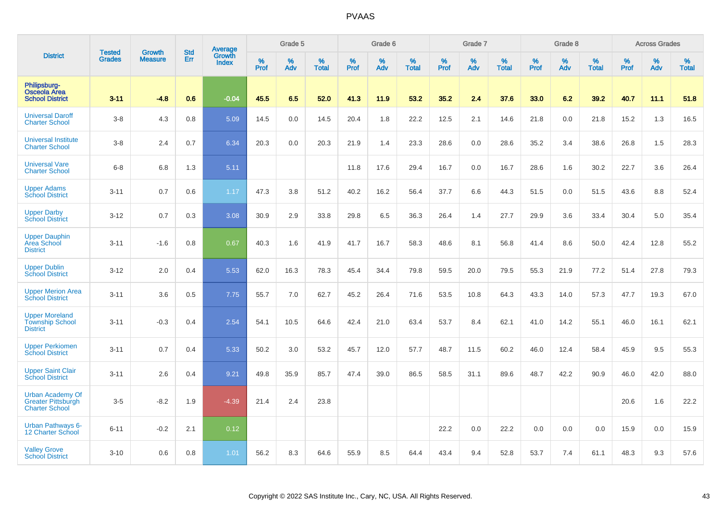|                                                                               | <b>Tested</b> | <b>Growth</b>  | <b>Std</b> | <b>Average</b><br>Growth |                     | Grade 5  |                   |                  | Grade 6  |                   |                  | Grade 7  |                   |                  | Grade 8     |                   |                  | <b>Across Grades</b> |                   |
|-------------------------------------------------------------------------------|---------------|----------------|------------|--------------------------|---------------------|----------|-------------------|------------------|----------|-------------------|------------------|----------|-------------------|------------------|-------------|-------------------|------------------|----------------------|-------------------|
| <b>District</b>                                                               | <b>Grades</b> | <b>Measure</b> | Err        | <b>Index</b>             | $\%$<br><b>Prof</b> | %<br>Adv | %<br><b>Total</b> | %<br><b>Prof</b> | %<br>Adv | %<br><b>Total</b> | %<br><b>Prof</b> | %<br>Adv | %<br><b>Total</b> | %<br><b>Prof</b> | $\%$<br>Adv | %<br><b>Total</b> | %<br><b>Prof</b> | %<br>Adv             | %<br><b>Total</b> |
| Philipsburg-<br><b>Osceola Area</b><br><b>School District</b>                 | $3 - 11$      | $-4.8$         | 0.6        | $-0.04$                  | 45.5                | 6.5      | 52.0              | 41.3             | 11.9     | 53.2              | 35.2             | 2.4      | 37.6              | 33.0             | 6.2         | 39.2              | 40.7             | 11.1                 | 51.8              |
| <b>Universal Daroff</b><br><b>Charter School</b>                              | $3 - 8$       | 4.3            | 0.8        | 5.09                     | 14.5                | 0.0      | 14.5              | 20.4             | 1.8      | 22.2              | 12.5             | 2.1      | 14.6              | 21.8             | 0.0         | 21.8              | 15.2             | 1.3                  | 16.5              |
| <b>Universal Institute</b><br><b>Charter School</b>                           | $3-8$         | 2.4            | 0.7        | 6.34                     | 20.3                | 0.0      | 20.3              | 21.9             | 1.4      | 23.3              | 28.6             | 0.0      | 28.6              | 35.2             | 3.4         | 38.6              | 26.8             | 1.5                  | 28.3              |
| <b>Universal Vare</b><br><b>Charter School</b>                                | $6 - 8$       | 6.8            | 1.3        | 5.11                     |                     |          |                   | 11.8             | 17.6     | 29.4              | 16.7             | 0.0      | 16.7              | 28.6             | 1.6         | 30.2              | 22.7             | 3.6                  | 26.4              |
| <b>Upper Adams</b><br><b>School District</b>                                  | $3 - 11$      | 0.7            | 0.6        | 1.17                     | 47.3                | 3.8      | 51.2              | 40.2             | 16.2     | 56.4              | 37.7             | 6.6      | 44.3              | 51.5             | 0.0         | 51.5              | 43.6             | 8.8                  | 52.4              |
| <b>Upper Darby</b><br><b>School District</b>                                  | $3 - 12$      | 0.7            | 0.3        | 3.08                     | 30.9                | 2.9      | 33.8              | 29.8             | 6.5      | 36.3              | 26.4             | 1.4      | 27.7              | 29.9             | 3.6         | 33.4              | 30.4             | 5.0                  | 35.4              |
| <b>Upper Dauphin</b><br>Area School<br><b>District</b>                        | $3 - 11$      | $-1.6$         | 0.8        | 0.67                     | 40.3                | 1.6      | 41.9              | 41.7             | 16.7     | 58.3              | 48.6             | 8.1      | 56.8              | 41.4             | 8.6         | 50.0              | 42.4             | 12.8                 | 55.2              |
| <b>Upper Dublin</b><br><b>School District</b>                                 | $3 - 12$      | 2.0            | 0.4        | 5.53                     | 62.0                | 16.3     | 78.3              | 45.4             | 34.4     | 79.8              | 59.5             | 20.0     | 79.5              | 55.3             | 21.9        | 77.2              | 51.4             | 27.8                 | 79.3              |
| <b>Upper Merion Area</b><br><b>School District</b>                            | $3 - 11$      | 3.6            | 0.5        | 7.75                     | 55.7                | 7.0      | 62.7              | 45.2             | 26.4     | 71.6              | 53.5             | 10.8     | 64.3              | 43.3             | 14.0        | 57.3              | 47.7             | 19.3                 | 67.0              |
| <b>Upper Moreland</b><br><b>Township School</b><br><b>District</b>            | $3 - 11$      | $-0.3$         | 0.4        | 2.54                     | 54.1                | 10.5     | 64.6              | 42.4             | 21.0     | 63.4              | 53.7             | 8.4      | 62.1              | 41.0             | 14.2        | 55.1              | 46.0             | 16.1                 | 62.1              |
| <b>Upper Perkiomen</b><br><b>School District</b>                              | $3 - 11$      | 0.7            | 0.4        | 5.33                     | 50.2                | 3.0      | 53.2              | 45.7             | 12.0     | 57.7              | 48.7             | 11.5     | 60.2              | 46.0             | 12.4        | 58.4              | 45.9             | 9.5                  | 55.3              |
| <b>Upper Saint Clair</b><br><b>School District</b>                            | $3 - 11$      | 2.6            | 0.4        | 9.21                     | 49.8                | 35.9     | 85.7              | 47.4             | 39.0     | 86.5              | 58.5             | 31.1     | 89.6              | 48.7             | 42.2        | 90.9              | 46.0             | 42.0                 | 88.0              |
| <b>Urban Academy Of</b><br><b>Greater Pittsburgh</b><br><b>Charter School</b> | $3-5$         | $-8.2$         | 1.9        | $-4.39$                  | 21.4                | 2.4      | 23.8              |                  |          |                   |                  |          |                   |                  |             |                   | 20.6             | 1.6                  | 22.2              |
| <b>Urban Pathways 6-</b><br>12 Charter School                                 | $6 - 11$      | $-0.2$         | 2.1        | 0.12                     |                     |          |                   |                  |          |                   | 22.2             | 0.0      | 22.2              | 0.0              | 0.0         | 0.0               | 15.9             | 0.0                  | 15.9              |
| <b>Valley Grove</b><br><b>School District</b>                                 | $3 - 10$      | 0.6            | 0.8        | 1.01                     | 56.2                | 8.3      | 64.6              | 55.9             | 8.5      | 64.4              | 43.4             | 9.4      | 52.8              | 53.7             | 7.4         | 61.1              | 48.3             | 9.3                  | 57.6              |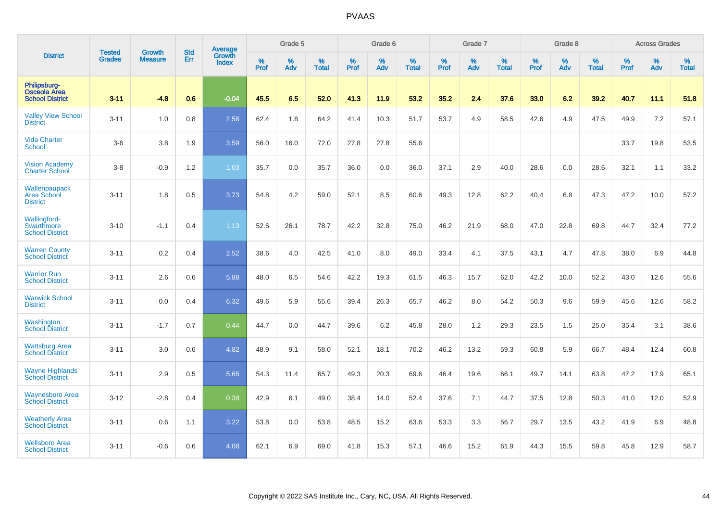|                                                               | <b>Tested</b> | <b>Growth</b>  | <b>Std</b> | Average                       |           | Grade 5  |                   |           | Grade 6  |                   |           | Grade 7  |                   |           | Grade 8  |                   |           | <b>Across Grades</b> |                   |
|---------------------------------------------------------------|---------------|----------------|------------|-------------------------------|-----------|----------|-------------------|-----------|----------|-------------------|-----------|----------|-------------------|-----------|----------|-------------------|-----------|----------------------|-------------------|
| <b>District</b>                                               | <b>Grades</b> | <b>Measure</b> | Err        | <b>Growth</b><br><b>Index</b> | %<br>Prof | %<br>Adv | %<br><b>Total</b> | %<br>Prof | %<br>Adv | %<br><b>Total</b> | %<br>Prof | %<br>Adv | %<br><b>Total</b> | %<br>Prof | %<br>Adv | %<br><b>Total</b> | %<br>Prof | %<br>Adv             | %<br><b>Total</b> |
| Philipsburg-<br><b>Osceola Area</b><br><b>School District</b> | $3 - 11$      | $-4.8$         | 0.6        | $-0.04$                       | 45.5      | 6.5      | 52.0              | 41.3      | 11.9     | 53.2              | 35.2      | 2.4      | 37.6              | 33.0      | 6.2      | 39.2              | 40.7      | 11.1                 | 51.8              |
| <b>Valley View School</b><br><b>District</b>                  | $3 - 11$      | 1.0            | 0.8        | 2.58                          | 62.4      | 1.8      | 64.2              | 41.4      | 10.3     | 51.7              | 53.7      | 4.9      | 58.5              | 42.6      | 4.9      | 47.5              | 49.9      | 7.2                  | 57.1              |
| <b>Vida Charter</b><br><b>School</b>                          | $3-6$         | 3.8            | 1.9        | 3.59                          | 56.0      | 16.0     | 72.0              | 27.8      | 27.8     | 55.6              |           |          |                   |           |          |                   | 33.7      | 19.8                 | 53.5              |
| <b>Vision Academy</b><br><b>Charter School</b>                | $3-8$         | $-0.9$         | 1.2        | 1.03                          | 35.7      | 0.0      | 35.7              | 36.0      | 0.0      | 36.0              | 37.1      | 2.9      | 40.0              | 28.6      | 0.0      | 28.6              | 32.1      | 1.1                  | 33.2              |
| Wallenpaupack<br>Area School<br><b>District</b>               | $3 - 11$      | 1.8            | 0.5        | 3.73                          | 54.8      | 4.2      | 59.0              | 52.1      | 8.5      | 60.6              | 49.3      | 12.8     | 62.2              | 40.4      | 6.8      | 47.3              | 47.2      | 10.0                 | 57.2              |
| <b>Wallingford-</b><br>Swarthmore<br><b>School District</b>   | $3 - 10$      | $-1.1$         | 0.4        | 1.13                          | 52.6      | 26.1     | 78.7              | 42.2      | 32.8     | 75.0              | 46.2      | 21.9     | 68.0              | 47.0      | 22.8     | 69.8              | 44.7      | 32.4                 | 77.2              |
| <b>Warren County</b><br><b>School District</b>                | $3 - 11$      | 0.2            | 0.4        | 2.52                          | 38.6      | 4.0      | 42.5              | 41.0      | 8.0      | 49.0              | 33.4      | 4.1      | 37.5              | 43.1      | 4.7      | 47.8              | 38.0      | 6.9                  | 44.8              |
| <b>Warrior Run</b><br><b>School District</b>                  | $3 - 11$      | 2.6            | 0.6        | 5.88                          | 48.0      | 6.5      | 54.6              | 42.2      | 19.3     | 61.5              | 46.3      | 15.7     | 62.0              | 42.2      | 10.0     | 52.2              | 43.0      | 12.6                 | 55.6              |
| <b>Warwick School</b><br><b>District</b>                      | $3 - 11$      | 0.0            | 0.4        | 6.32                          | 49.6      | 5.9      | 55.6              | 39.4      | 26.3     | 65.7              | 46.2      | 8.0      | 54.2              | 50.3      | 9.6      | 59.9              | 45.6      | 12.6                 | 58.2              |
| Washington<br><b>School District</b>                          | $3 - 11$      | $-1.7$         | 0.7        | 0.44                          | 44.7      | 0.0      | 44.7              | 39.6      | 6.2      | 45.8              | 28.0      | 1.2      | 29.3              | 23.5      | 1.5      | 25.0              | 35.4      | 3.1                  | 38.6              |
| <b>Wattsburg Area</b><br><b>School District</b>               | $3 - 11$      | 3.0            | 0.6        | 4.82                          | 48.9      | 9.1      | 58.0              | 52.1      | 18.1     | 70.2              | 46.2      | 13.2     | 59.3              | 60.8      | 5.9      | 66.7              | 48.4      | 12.4                 | 60.8              |
| <b>Wayne Highlands</b><br><b>School District</b>              | $3 - 11$      | 2.9            | 0.5        | 5.65                          | 54.3      | 11.4     | 65.7              | 49.3      | 20.3     | 69.6              | 46.4      | 19.6     | 66.1              | 49.7      | 14.1     | 63.8              | 47.2      | 17.9                 | 65.1              |
| <b>Waynesboro Area</b><br><b>School District</b>              | $3 - 12$      | $-2.8$         | 0.4        | 0.38                          | 42.9      | 6.1      | 49.0              | 38.4      | 14.0     | 52.4              | 37.6      | 7.1      | 44.7              | 37.5      | 12.8     | 50.3              | 41.0      | 12.0                 | 52.9              |
| <b>Weatherly Area</b><br><b>School District</b>               | $3 - 11$      | 0.6            | 1.1        | 3.22                          | 53.8      | 0.0      | 53.8              | 48.5      | 15.2     | 63.6              | 53.3      | 3.3      | 56.7              | 29.7      | 13.5     | 43.2              | 41.9      | 6.9                  | 48.8              |
| <b>Wellsboro Area</b><br><b>School District</b>               | $3 - 11$      | $-0.6$         | 0.6        | 4.08                          | 62.1      | 6.9      | 69.0              | 41.8      | 15.3     | 57.1              | 46.6      | 15.2     | 61.9              | 44.3      | 15.5     | 59.8              | 45.8      | 12.9                 | 58.7              |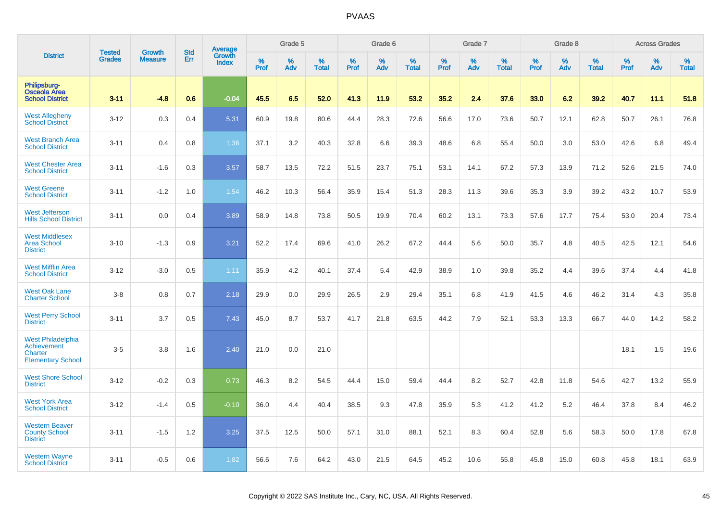|                                                                                | <b>Tested</b> | <b>Growth</b>  | <b>Std</b> | Average                |           | Grade 5  |                   |           | Grade 6  |                   |           | Grade 7  |                   |           | Grade 8  |                   |           | <b>Across Grades</b> |                   |
|--------------------------------------------------------------------------------|---------------|----------------|------------|------------------------|-----------|----------|-------------------|-----------|----------|-------------------|-----------|----------|-------------------|-----------|----------|-------------------|-----------|----------------------|-------------------|
| <b>District</b>                                                                | <b>Grades</b> | <b>Measure</b> | Err        | Growth<br><b>Index</b> | %<br>Prof | %<br>Adv | %<br><b>Total</b> | %<br>Prof | %<br>Adv | %<br><b>Total</b> | %<br>Prof | %<br>Adv | %<br><b>Total</b> | %<br>Prof | %<br>Adv | %<br><b>Total</b> | %<br>Prof | %<br>Adv             | %<br><b>Total</b> |
| Philipsburg-<br>Osceola Area<br><b>School District</b>                         | $3 - 11$      | $-4.8$         | 0.6        | $-0.04$                | 45.5      | 6.5      | 52.0              | 41.3      | 11.9     | 53.2              | 35.2      | 2.4      | 37.6              | 33.0      | 6.2      | 39.2              | 40.7      | 11.1                 | 51.8              |
| <b>West Allegheny</b><br><b>School District</b>                                | $3 - 12$      | 0.3            | 0.4        | 5.31                   | 60.9      | 19.8     | 80.6              | 44.4      | 28.3     | 72.6              | 56.6      | 17.0     | 73.6              | 50.7      | 12.1     | 62.8              | 50.7      | 26.1                 | 76.8              |
| <b>West Branch Area</b><br><b>School District</b>                              | $3 - 11$      | 0.4            | 0.8        | 1.36                   | 37.1      | 3.2      | 40.3              | 32.8      | 6.6      | 39.3              | 48.6      | 6.8      | 55.4              | 50.0      | 3.0      | 53.0              | 42.6      | 6.8                  | 49.4              |
| <b>West Chester Area</b><br><b>School District</b>                             | $3 - 11$      | $-1.6$         | 0.3        | 3.57                   | 58.7      | 13.5     | 72.2              | 51.5      | 23.7     | 75.1              | 53.1      | 14.1     | 67.2              | 57.3      | 13.9     | 71.2              | 52.6      | 21.5                 | 74.0              |
| <b>West Greene</b><br><b>School District</b>                                   | $3 - 11$      | $-1.2$         | 1.0        | 1.54                   | 46.2      | 10.3     | 56.4              | 35.9      | 15.4     | 51.3              | 28.3      | 11.3     | 39.6              | 35.3      | 3.9      | 39.2              | 43.2      | 10.7                 | 53.9              |
| <b>West Jefferson</b><br><b>Hills School District</b>                          | $3 - 11$      | 0.0            | 0.4        | 3.89                   | 58.9      | 14.8     | 73.8              | 50.5      | 19.9     | 70.4              | 60.2      | 13.1     | 73.3              | 57.6      | 17.7     | 75.4              | 53.0      | 20.4                 | 73.4              |
| <b>West Middlesex</b><br><b>Area School</b><br><b>District</b>                 | $3 - 10$      | $-1.3$         | 0.9        | 3.21                   | 52.2      | 17.4     | 69.6              | 41.0      | 26.2     | 67.2              | 44.4      | 5.6      | 50.0              | 35.7      | 4.8      | 40.5              | 42.5      | 12.1                 | 54.6              |
| <b>West Mifflin Area</b><br><b>School District</b>                             | $3 - 12$      | $-3.0$         | 0.5        | 1.11                   | 35.9      | 4.2      | 40.1              | 37.4      | 5.4      | 42.9              | 38.9      | 1.0      | 39.8              | 35.2      | 4.4      | 39.6              | 37.4      | 4.4                  | 41.8              |
| <b>West Oak Lane</b><br><b>Charter School</b>                                  | $3 - 8$       | 0.8            | 0.7        | 2.18                   | 29.9      | 0.0      | 29.9              | 26.5      | 2.9      | 29.4              | 35.1      | 6.8      | 41.9              | 41.5      | 4.6      | 46.2              | 31.4      | 4.3                  | 35.8              |
| <b>West Perry School</b><br><b>District</b>                                    | $3 - 11$      | 3.7            | 0.5        | 7.43                   | 45.0      | 8.7      | 53.7              | 41.7      | 21.8     | 63.5              | 44.2      | 7.9      | 52.1              | 53.3      | 13.3     | 66.7              | 44.0      | 14.2                 | 58.2              |
| <b>West Philadelphia</b><br>Achievement<br>Charter<br><b>Elementary School</b> | $3-5$         | 3.8            | 1.6        | 2.40                   | 21.0      | 0.0      | 21.0              |           |          |                   |           |          |                   |           |          |                   | 18.1      | 1.5                  | 19.6              |
| <b>West Shore School</b><br><b>District</b>                                    | $3 - 12$      | $-0.2$         | 0.3        | 0.73                   | 46.3      | 8.2      | 54.5              | 44.4      | 15.0     | 59.4              | 44.4      | 8.2      | 52.7              | 42.8      | 11.8     | 54.6              | 42.7      | 13.2                 | 55.9              |
| <b>West York Area</b><br><b>School District</b>                                | $3 - 12$      | $-1.4$         | 0.5        | $-0.10$                | 36.0      | 4.4      | 40.4              | 38.5      | 9.3      | 47.8              | 35.9      | 5.3      | 41.2              | 41.2      | 5.2      | 46.4              | 37.8      | 8.4                  | 46.2              |
| <b>Western Beaver</b><br><b>County School</b><br><b>District</b>               | $3 - 11$      | $-1.5$         | 1.2        | 3.25                   | 37.5      | 12.5     | 50.0              | 57.1      | 31.0     | 88.1              | 52.1      | 8.3      | 60.4              | 52.8      | 5.6      | 58.3              | 50.0      | 17.8                 | 67.8              |
| <b>Western Wayne</b><br><b>School District</b>                                 | $3 - 11$      | $-0.5$         | 0.6        | 1.82                   | 56.6      | 7.6      | 64.2              | 43.0      | 21.5     | 64.5              | 45.2      | 10.6     | 55.8              | 45.8      | 15.0     | 60.8              | 45.8      | 18.1                 | 63.9              |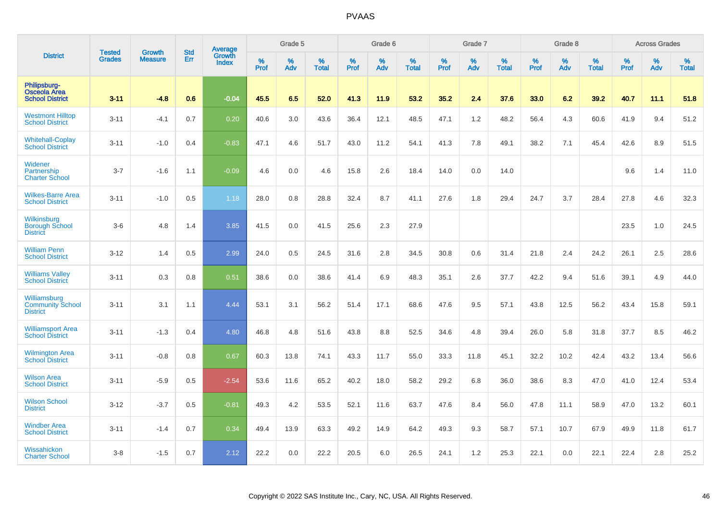|                                                               |                                | <b>Growth</b>  | <b>Std</b> | Average                |              | Grade 5  |                   |           | Grade 6  |                   |           | Grade 7  |                   |           | Grade 8  |                   |           | <b>Across Grades</b> |                   |
|---------------------------------------------------------------|--------------------------------|----------------|------------|------------------------|--------------|----------|-------------------|-----------|----------|-------------------|-----------|----------|-------------------|-----------|----------|-------------------|-----------|----------------------|-------------------|
| <b>District</b>                                               | <b>Tested</b><br><b>Grades</b> | <b>Measure</b> | Err        | Growth<br><b>Index</b> | $\%$<br>Prof | %<br>Adv | %<br><b>Total</b> | %<br>Prof | %<br>Adv | %<br><b>Total</b> | %<br>Prof | %<br>Adv | %<br><b>Total</b> | %<br>Prof | %<br>Adv | %<br><b>Total</b> | %<br>Prof | %<br>Adv             | %<br><b>Total</b> |
| Philipsburg-<br><b>Osceola Area</b><br><b>School District</b> | $3 - 11$                       | $-4.8$         | 0.6        | $-0.04$                | 45.5         | 6.5      | 52.0              | 41.3      | 11.9     | 53.2              | 35.2      | 2.4      | 37.6              | 33.0      | 6.2      | 39.2              | 40.7      | 11.1                 | 51.8              |
| <b>Westmont Hilltop</b><br><b>School District</b>             | $3 - 11$                       | $-4.1$         | 0.7        | 0.20                   | 40.6         | 3.0      | 43.6              | 36.4      | 12.1     | 48.5              | 47.1      | 1.2      | 48.2              | 56.4      | 4.3      | 60.6              | 41.9      | 9.4                  | 51.2              |
| <b>Whitehall-Coplay</b><br><b>School District</b>             | $3 - 11$                       | $-1.0$         | 0.4        | $-0.83$                | 47.1         | 4.6      | 51.7              | 43.0      | 11.2     | 54.1              | 41.3      | 7.8      | 49.1              | 38.2      | 7.1      | 45.4              | 42.6      | 8.9                  | 51.5              |
| Widener<br>Partnership<br><b>Charter School</b>               | $3 - 7$                        | $-1.6$         | 1.1        | $-0.09$                | 4.6          | 0.0      | 4.6               | 15.8      | 2.6      | 18.4              | 14.0      | 0.0      | 14.0              |           |          |                   | 9.6       | 1.4                  | 11.0              |
| <b>Wilkes-Barre Area</b><br><b>School District</b>            | $3 - 11$                       | $-1.0$         | 0.5        | 1.18                   | 28.0         | 0.8      | 28.8              | 32.4      | 8.7      | 41.1              | 27.6      | 1.8      | 29.4              | 24.7      | 3.7      | 28.4              | 27.8      | 4.6                  | 32.3              |
| Wilkinsburg<br><b>Borough School</b><br><b>District</b>       | $3-6$                          | 4.8            | 1.4        | 3.85                   | 41.5         | 0.0      | 41.5              | 25.6      | 2.3      | 27.9              |           |          |                   |           |          |                   | 23.5      | 1.0                  | 24.5              |
| <b>William Penn</b><br><b>School District</b>                 | $3 - 12$                       | 1.4            | 0.5        | 2.99                   | 24.0         | 0.5      | 24.5              | 31.6      | 2.8      | 34.5              | 30.8      | 0.6      | 31.4              | 21.8      | 2.4      | 24.2              | 26.1      | 2.5                  | 28.6              |
| <b>Williams Valley</b><br><b>School District</b>              | $3 - 11$                       | 0.3            | 0.8        | 0.51                   | 38.6         | 0.0      | 38.6              | 41.4      | 6.9      | 48.3              | 35.1      | 2.6      | 37.7              | 42.2      | 9.4      | 51.6              | 39.1      | 4.9                  | 44.0              |
| Williamsburg<br><b>Community School</b><br><b>District</b>    | $3 - 11$                       | 3.1            | 1.1        | 4.44                   | 53.1         | 3.1      | 56.2              | 51.4      | 17.1     | 68.6              | 47.6      | 9.5      | 57.1              | 43.8      | 12.5     | 56.2              | 43.4      | 15.8                 | 59.1              |
| <b>Williamsport Area</b><br><b>School District</b>            | $3 - 11$                       | $-1.3$         | 0.4        | 4.80                   | 46.8         | 4.8      | 51.6              | 43.8      | 8.8      | 52.5              | 34.6      | 4.8      | 39.4              | 26.0      | 5.8      | 31.8              | 37.7      | 8.5                  | 46.2              |
| Wilmington Area<br>School District                            | $3 - 11$                       | $-0.8$         | 0.8        | 0.67                   | 60.3         | 13.8     | 74.1              | 43.3      | 11.7     | 55.0              | 33.3      | 11.8     | 45.1              | 32.2      | 10.2     | 42.4              | 43.2      | 13.4                 | 56.6              |
| <b>Wilson Area</b><br><b>School District</b>                  | $3 - 11$                       | $-5.9$         | 0.5        | $-2.54$                | 53.6         | 11.6     | 65.2              | 40.2      | 18.0     | 58.2              | 29.2      | 6.8      | 36.0              | 38.6      | 8.3      | 47.0              | 41.0      | 12.4                 | 53.4              |
| <b>Wilson School</b><br><b>District</b>                       | $3 - 12$                       | $-3.7$         | 0.5        | $-0.81$                | 49.3         | 4.2      | 53.5              | 52.1      | 11.6     | 63.7              | 47.6      | 8.4      | 56.0              | 47.8      | 11.1     | 58.9              | 47.0      | 13.2                 | 60.1              |
| <b>Windber Area</b><br><b>School District</b>                 | $3 - 11$                       | $-1.4$         | 0.7        | 0.34                   | 49.4         | 13.9     | 63.3              | 49.2      | 14.9     | 64.2              | 49.3      | 9.3      | 58.7              | 57.1      | 10.7     | 67.9              | 49.9      | 11.8                 | 61.7              |
| Wissahickon<br><b>Charter School</b>                          | $3 - 8$                        | $-1.5$         | 0.7        | 2.12                   | 22.2         | 0.0      | 22.2              | 20.5      | 6.0      | 26.5              | 24.1      | 1.2      | 25.3              | 22.1      | 0.0      | 22.1              | 22.4      | 2.8                  | 25.2              |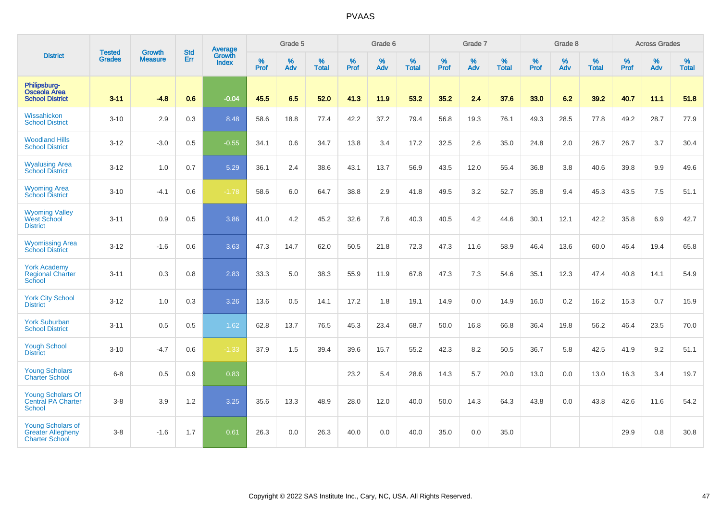|                                                                               |                                |                                 | <b>Std</b> | Average                       |                     | Grade 5  |                   |                  | Grade 6  |                   |                  | Grade 7  |                   |                  | Grade 8  |                   |                  | <b>Across Grades</b> |                   |
|-------------------------------------------------------------------------------|--------------------------------|---------------------------------|------------|-------------------------------|---------------------|----------|-------------------|------------------|----------|-------------------|------------------|----------|-------------------|------------------|----------|-------------------|------------------|----------------------|-------------------|
| <b>District</b>                                                               | <b>Tested</b><br><b>Grades</b> | <b>Growth</b><br><b>Measure</b> | Err        | <b>Growth</b><br><b>Index</b> | $\%$<br><b>Prof</b> | %<br>Adv | %<br><b>Total</b> | %<br><b>Prof</b> | %<br>Adv | %<br><b>Total</b> | %<br><b>Prof</b> | %<br>Adv | %<br><b>Total</b> | %<br><b>Prof</b> | %<br>Adv | %<br><b>Total</b> | %<br><b>Prof</b> | %<br>Adv             | %<br><b>Total</b> |
| Philipsburg-<br><b>Osceola Area</b><br><b>School District</b>                 | $3 - 11$                       | $-4.8$                          | 0.6        | $-0.04$                       | 45.5                | 6.5      | 52.0              | 41.3             | 11.9     | 53.2              | 35.2             | 2.4      | 37.6              | 33.0             | 6.2      | 39.2              | 40.7             | 11.1                 | 51.8              |
| Wissahickon<br><b>School District</b>                                         | $3 - 10$                       | 2.9                             | 0.3        | 8.48                          | 58.6                | 18.8     | 77.4              | 42.2             | 37.2     | 79.4              | 56.8             | 19.3     | 76.1              | 49.3             | 28.5     | 77.8              | 49.2             | 28.7                 | 77.9              |
| <b>Woodland Hills</b><br><b>School District</b>                               | $3 - 12$                       | $-3.0$                          | 0.5        | $-0.55$                       | 34.1                | 0.6      | 34.7              | 13.8             | 3.4      | 17.2              | 32.5             | 2.6      | 35.0              | 24.8             | 2.0      | 26.7              | 26.7             | 3.7                  | 30.4              |
| <b>Wyalusing Area</b><br><b>School District</b>                               | $3 - 12$                       | 1.0                             | 0.7        | 5.29                          | 36.1                | 2.4      | 38.6              | 43.1             | 13.7     | 56.9              | 43.5             | 12.0     | 55.4              | 36.8             | 3.8      | 40.6              | 39.8             | 9.9                  | 49.6              |
| <b>Wyoming Area</b><br><b>School District</b>                                 | $3 - 10$                       | $-4.1$                          | 0.6        | $-1.78$                       | 58.6                | 6.0      | 64.7              | 38.8             | 2.9      | 41.8              | 49.5             | 3.2      | 52.7              | 35.8             | 9.4      | 45.3              | 43.5             | 7.5                  | 51.1              |
| <b>Wyoming Valley</b><br>West School<br><b>District</b>                       | $3 - 11$                       | 0.9                             | 0.5        | 3.86                          | 41.0                | 4.2      | 45.2              | 32.6             | 7.6      | 40.3              | 40.5             | 4.2      | 44.6              | 30.1             | 12.1     | 42.2              | 35.8             | 6.9                  | 42.7              |
| <b>Wyomissing Area</b><br><b>School District</b>                              | $3 - 12$                       | $-1.6$                          | 0.6        | 3.63                          | 47.3                | 14.7     | 62.0              | 50.5             | 21.8     | 72.3              | 47.3             | 11.6     | 58.9              | 46.4             | 13.6     | 60.0              | 46.4             | 19.4                 | 65.8              |
| <b>York Academy</b><br><b>Regional Charter</b><br>School                      | $3 - 11$                       | 0.3                             | 0.8        | 2.83                          | 33.3                | 5.0      | 38.3              | 55.9             | 11.9     | 67.8              | 47.3             | 7.3      | 54.6              | 35.1             | 12.3     | 47.4              | 40.8             | 14.1                 | 54.9              |
| <b>York City School</b><br><b>District</b>                                    | $3 - 12$                       | 1.0                             | 0.3        | 3.26                          | 13.6                | 0.5      | 14.1              | 17.2             | 1.8      | 19.1              | 14.9             | 0.0      | 14.9              | 16.0             | 0.2      | 16.2              | 15.3             | 0.7                  | 15.9              |
| <b>York Suburban</b><br><b>School District</b>                                | $3 - 11$                       | 0.5                             | 0.5        | 1.62                          | 62.8                | 13.7     | 76.5              | 45.3             | 23.4     | 68.7              | 50.0             | 16.8     | 66.8              | 36.4             | 19.8     | 56.2              | 46.4             | 23.5                 | 70.0              |
| <b>Yough School</b><br><b>District</b>                                        | $3 - 10$                       | $-4.7$                          | 0.6        | $-1.33$                       | 37.9                | 1.5      | 39.4              | 39.6             | 15.7     | 55.2              | 42.3             | 8.2      | 50.5              | 36.7             | 5.8      | 42.5              | 41.9             | 9.2                  | 51.1              |
| <b>Young Scholars</b><br><b>Charter School</b>                                | $6 - 8$                        | 0.5                             | 0.9        | 0.83                          |                     |          |                   | 23.2             | 5.4      | 28.6              | 14.3             | 5.7      | 20.0              | 13.0             | 0.0      | 13.0              | 16.3             | 3.4                  | 19.7              |
| <b>Young Scholars Of</b><br><b>Central PA Charter</b><br><b>School</b>        | $3-8$                          | 3.9                             | 1.2        | 3.25                          | 35.6                | 13.3     | 48.9              | 28.0             | 12.0     | 40.0              | 50.0             | 14.3     | 64.3              | 43.8             | 0.0      | 43.8              | 42.6             | 11.6                 | 54.2              |
| <b>Young Scholars of</b><br><b>Greater Allegheny</b><br><b>Charter School</b> | $3-8$                          | $-1.6$                          | 1.7        | 0.61                          | 26.3                | 0.0      | 26.3              | 40.0             | 0.0      | 40.0              | 35.0             | 0.0      | 35.0              |                  |          |                   | 29.9             | 0.8                  | 30.8              |